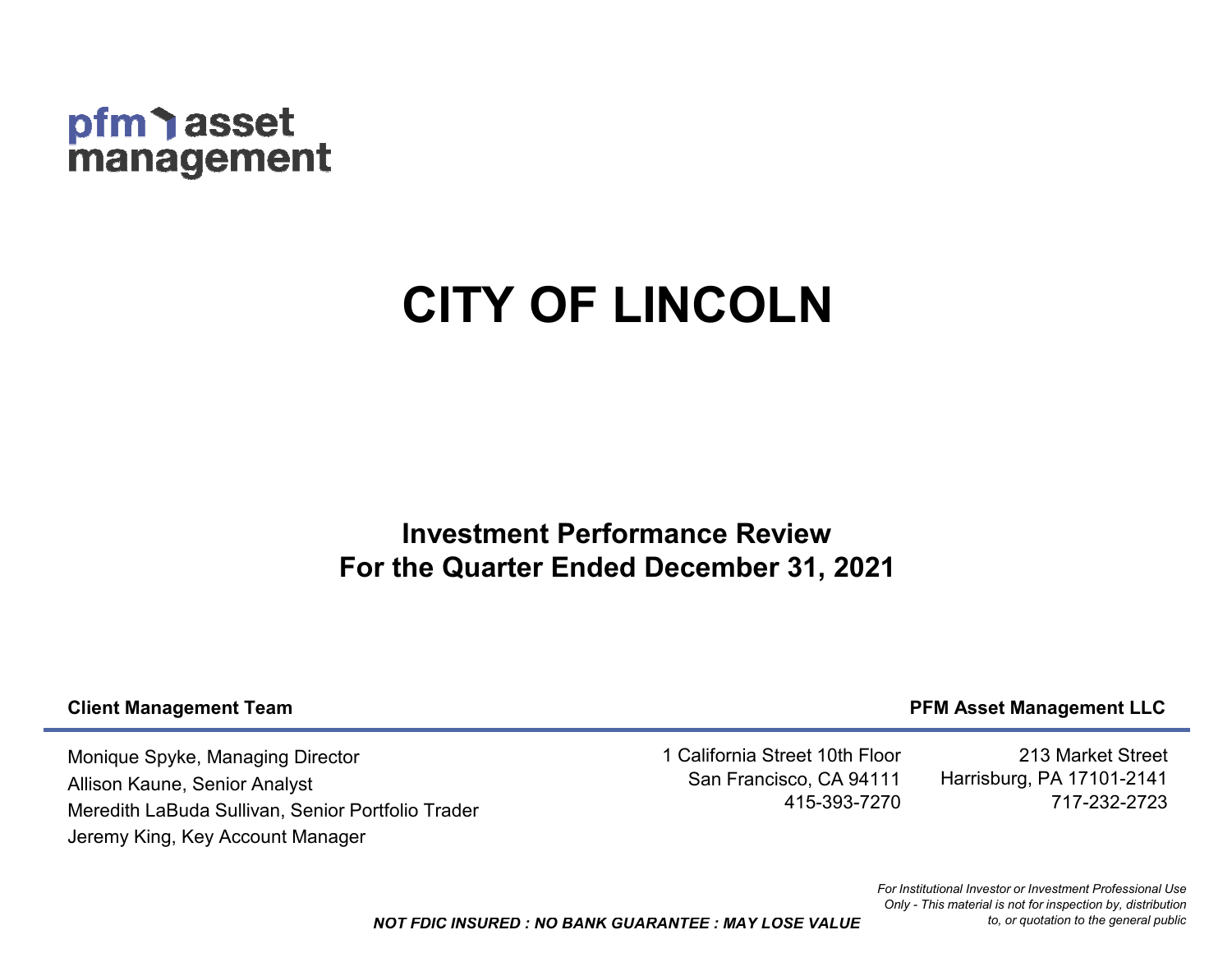# pfm asset management

# **CITY OF LINCOLN**

# **Investment Performance ReviewFor the Quarter Ended December 31, 2021**

#### **Client Management Team**

## **PFM Asset Management LLC**

Monique Spyke, Managing DirectorAllison Kaune, Senior AnalystMeredith LaBuda Sullivan, Senior Portfolio TraderJeremy King, Key Account Manager

1 California Street 10th Floor San Francisco, CA 94111415-393-7270

213 Market StreetHarrisburg, PA 17101-2141717-232-2723

*NOT FDIC INSURED : NO BANK GUARANTEE : MAY LOSE VALUE*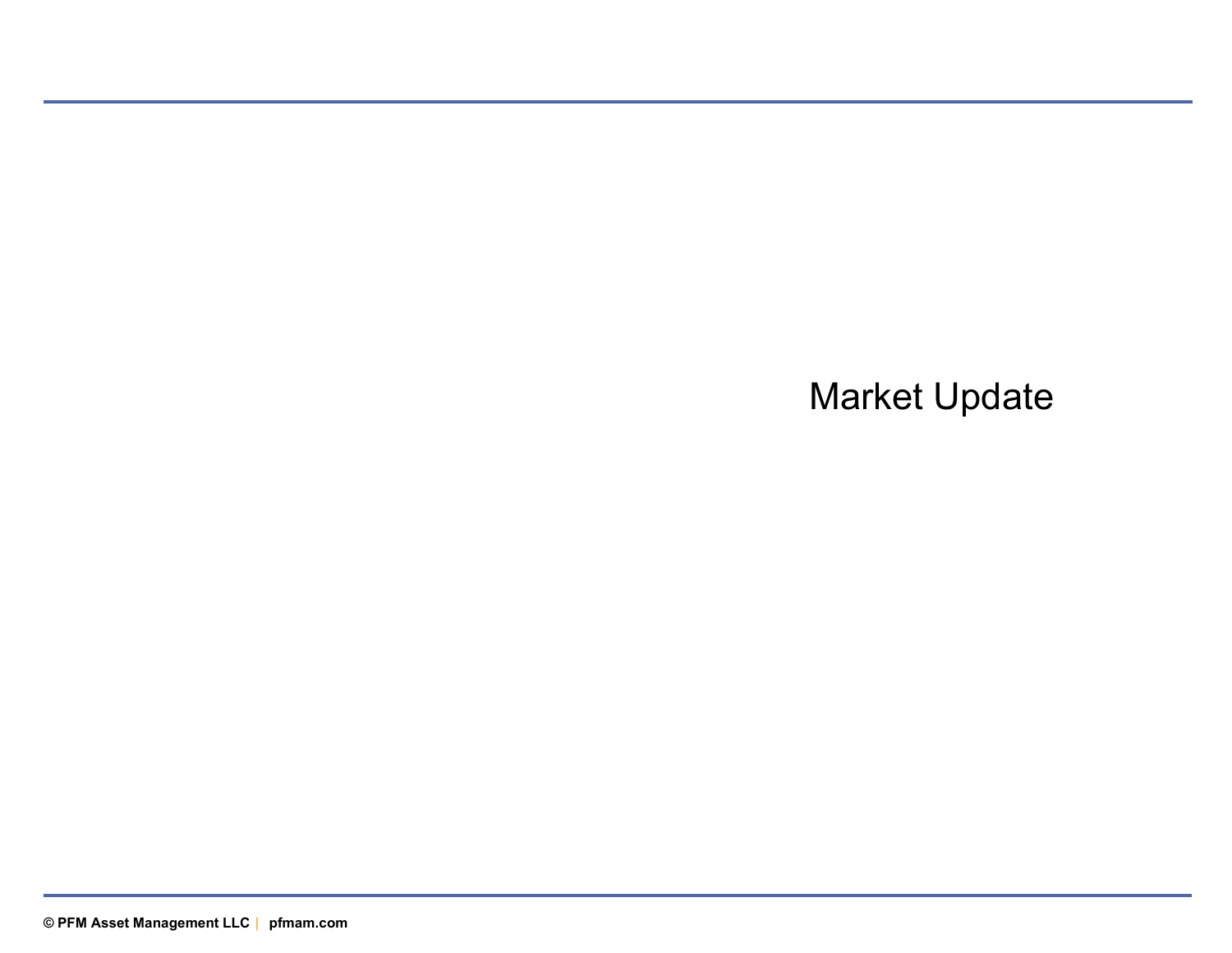# Market Update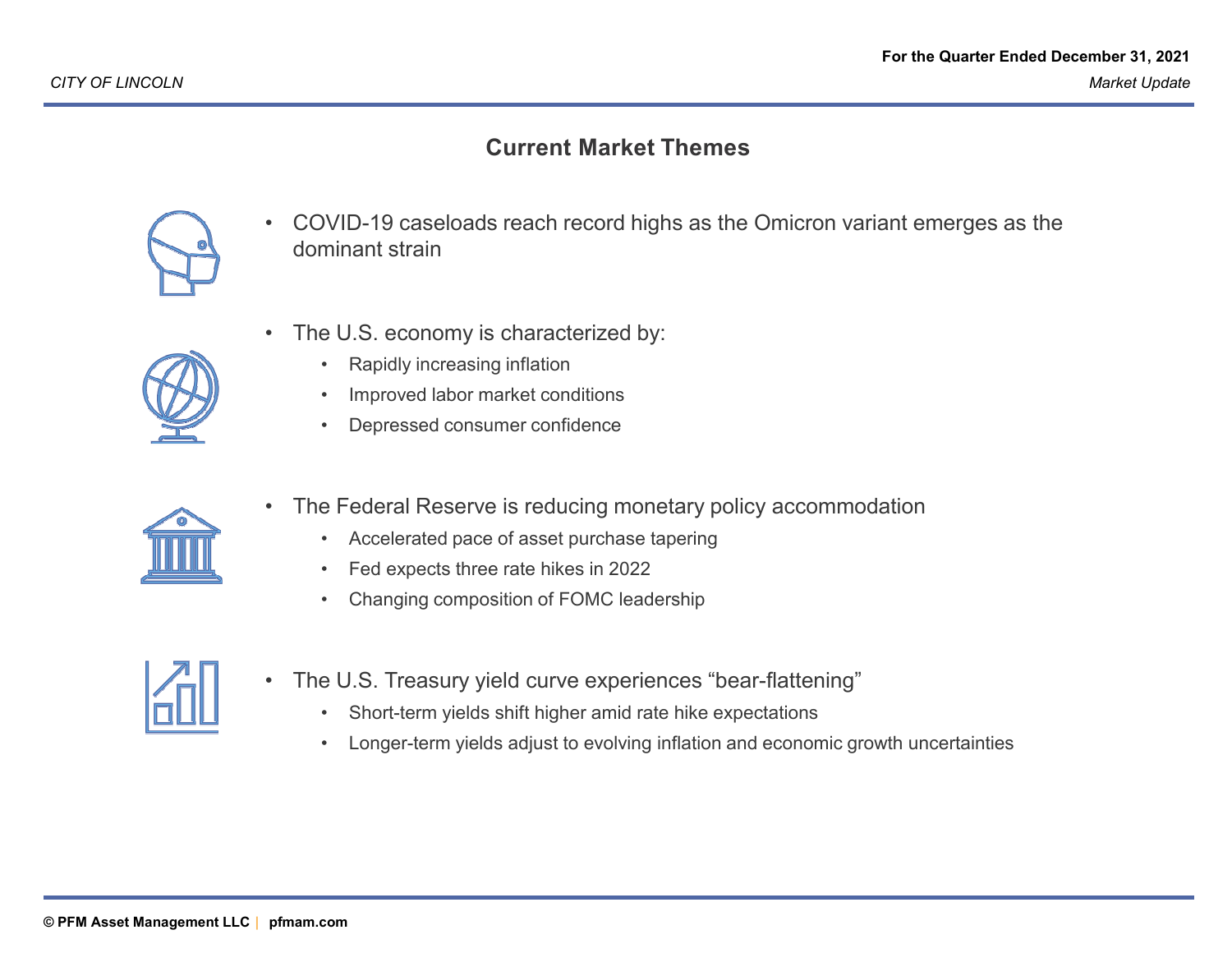### **Current Market Themes**



- • COVID-19 caseloads reach record highs as the Omicron variant emerges as the dominant strain
- • The U.S. economy is characterized by:
	- $\bullet$ Rapidly increasing inflation
	- •Improved labor market conditions
	- •Depressed consumer confidence



- • The Federal Reserve is reducing monetary policy accommodation
	- •Accelerated pace of asset purchase tapering
	- •Fed expects three rate hikes in 2022
	- •Changing composition of FOMC leadership



- The U.S. Treasury yield curve experiences "bear-flattening"
	- •Short-term yields shift higher amid rate hike expectations
	- •Longer-term yields adjust to evolving inflation and economic growth uncertainties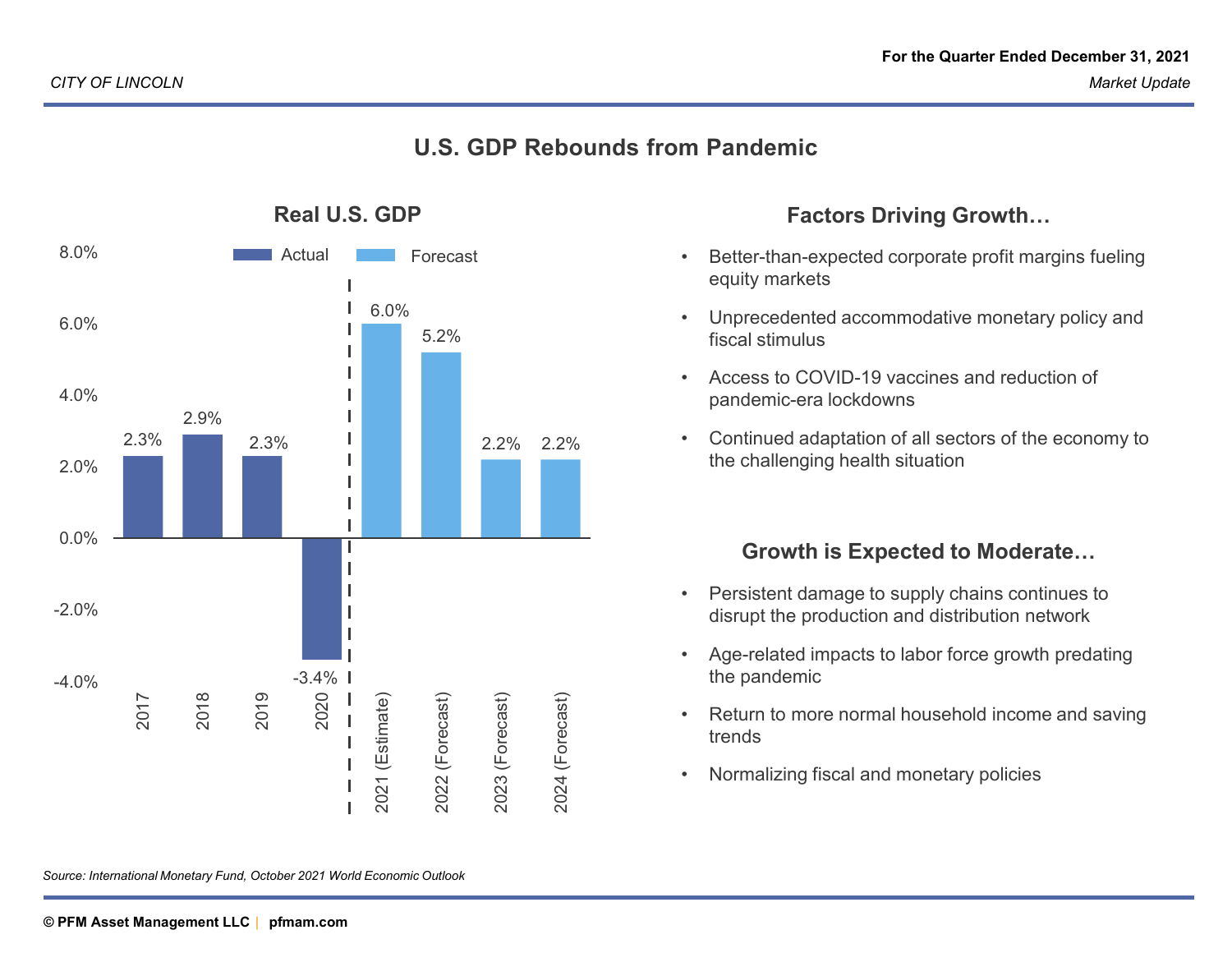#### **U.S. GDP Rebounds from Pandemic**



**Real U.S. GDP**

#### **Factors Driving Growth…**

- • Better-than-expected corporate profit margins fueling equity markets
- • Unprecedented accommodative monetary policy and fiscal stimulus
- • Access to COVID-19 vaccines and reduction of pandemic-era lockdowns
- • Continued adaptation of all sectors of the economy to the challenging health situation

## **Growth is Expected to Moderate…**

- • Persistent damage to supply chains continues to disrupt the production and distribution network
- • Age-related impacts to labor force growth predating the pandemic
- • Return to more normal household income and saving trends
- •Normalizing fiscal and monetary policies

*Source: International Monetary Fund, October 2021 World Economic Outlook*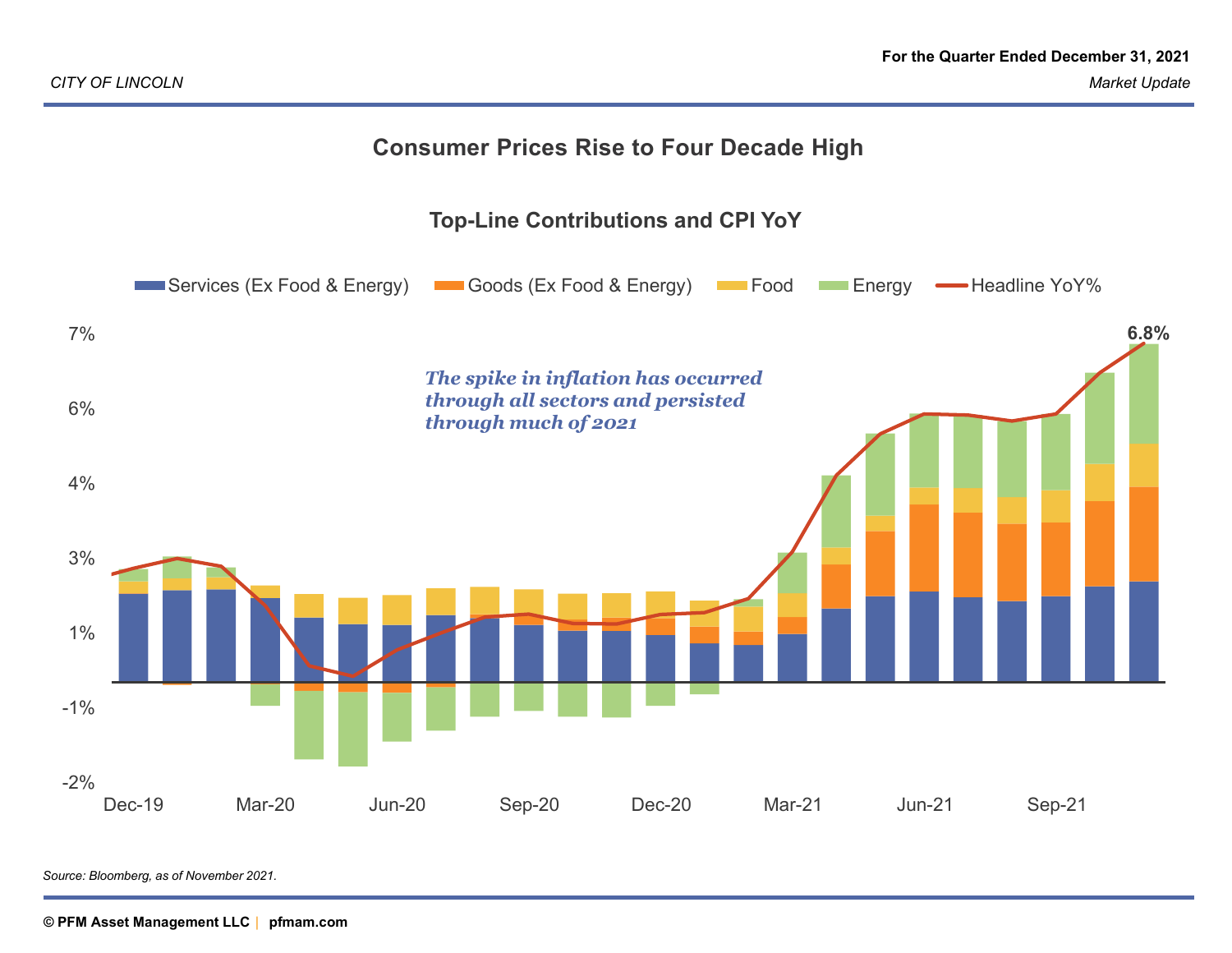# **Consumer Prices Rise to Four Decade High**



*Source: Bloomberg, as of November 2021.*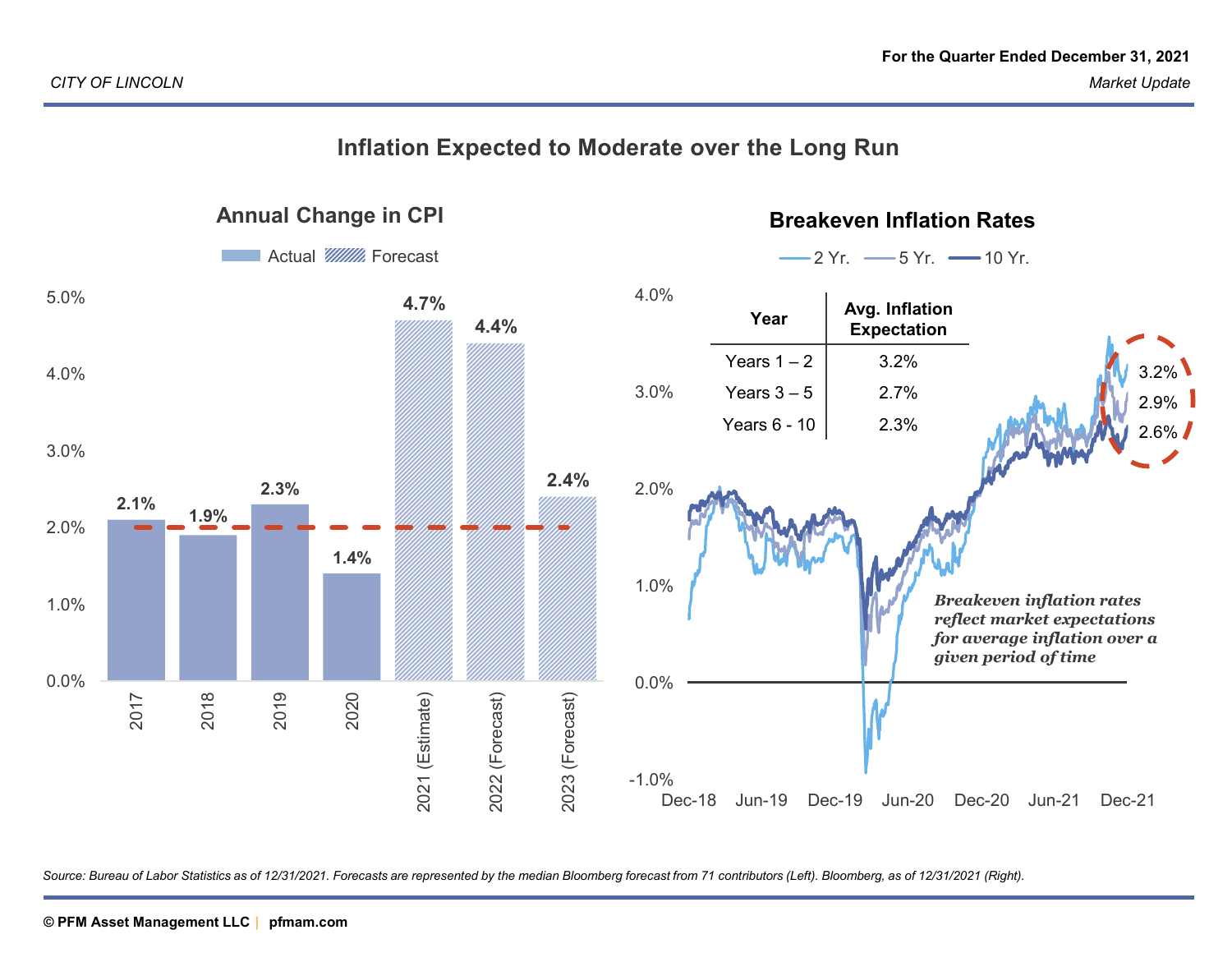#### **Inflation Expected to Moderate over the Long RunAnnual Change in CPIBreakeven Inflation Rates**Actual *W/////* Forecast 2 Yr.  $-5$  Yr.  $-10$  Yr. 4.0%5.0%**4.7% Avg. Inflation ExpectationYear4.4%**Years  $1 - 2$  3.2% 4.0%3.2%3.0%Years  $3 - 5$ 2.7% 2.9%Years 6 - 10 2.3% 2.6%3.0%**2.4%2.3%**2.0%**2.1% 1.9%**2.0%**1.4%**1.0%*Breakeven inflation rates* 1.0% *reflect market expectations for average inflation over a given period of time*0.0%0.0%2018 2019 2017 2020 2023 (Forecast) 2021 (Estimate) 2021 (Estimate) 2022 (Forecast) 2022 (Forecast) 2023 (Forecast) -1.0%Dec-18 Jun-19 Dec-19 Jun-20 Dec-20 Jun-21 Dec-21  $Dec-18$

*Source: Bureau of Labor Statistics as of 12/31/2021. Forecasts are represented by the median Bloomberg forecast from 71 contributors (Left). Bloomberg, as of 12/31/2021 (Right).*

# **PFM Asset Management LLC © PFM Asset Management LLC | pfmam.com© PFM Asset Management LLC pfmam.com <sup>|</sup>**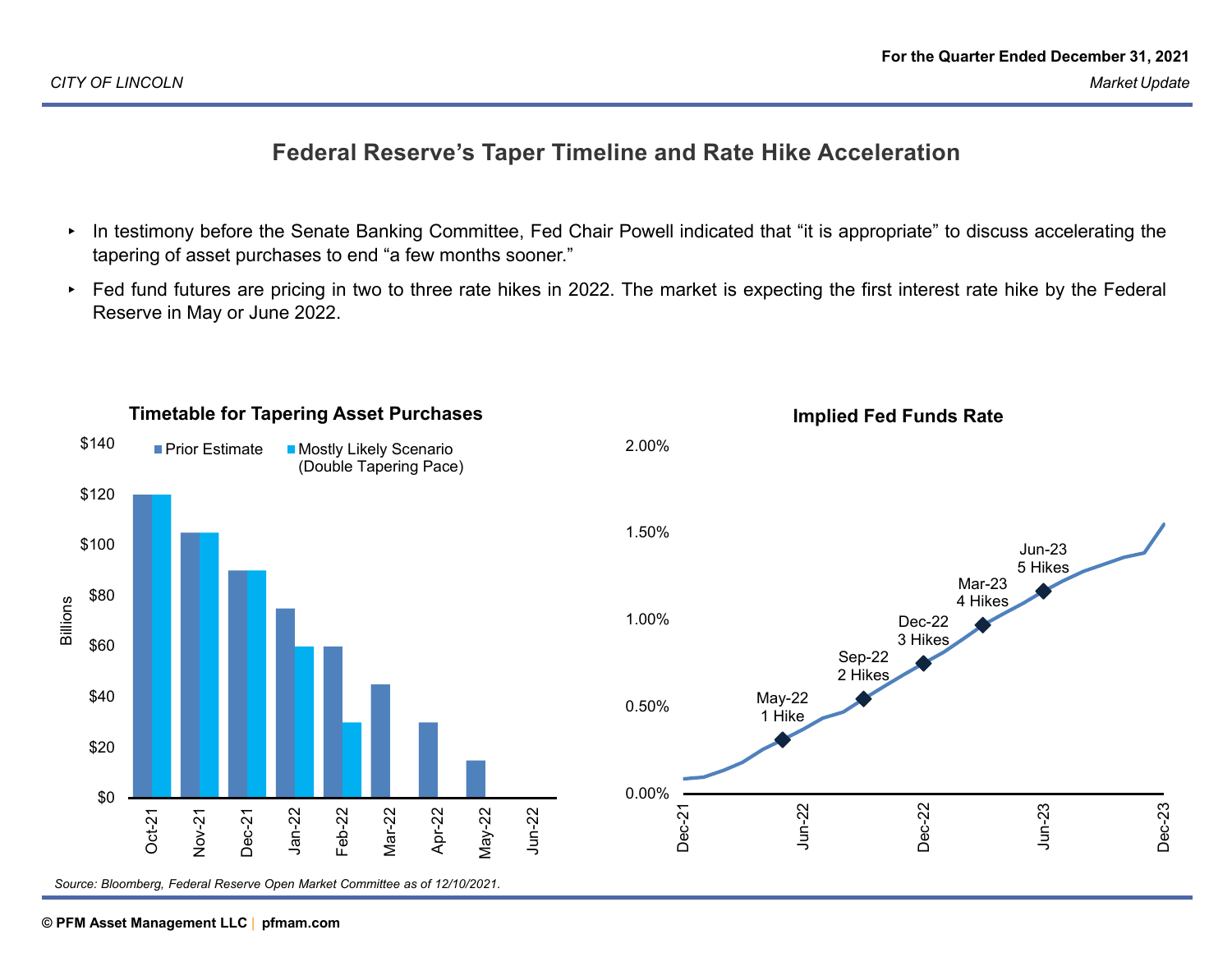## **Federal Reserve's Taper Timeline and Rate Hike Acceleration**

- ▸ In testimony before the Senate Banking Committee, Fed Chair Powell indicated that "it is appropriate" to discuss accelerating the tapering of asset purchases to end "a few months sooner."
- ▸ Fed fund futures are pricing in two to three rate hikes in 2022. The market is expecting the first interest rate hike by the Federal Reserve in May or June 2022.



#### **PFM Asset Management LLC © PFM Asset Management LLC | pfmam.com**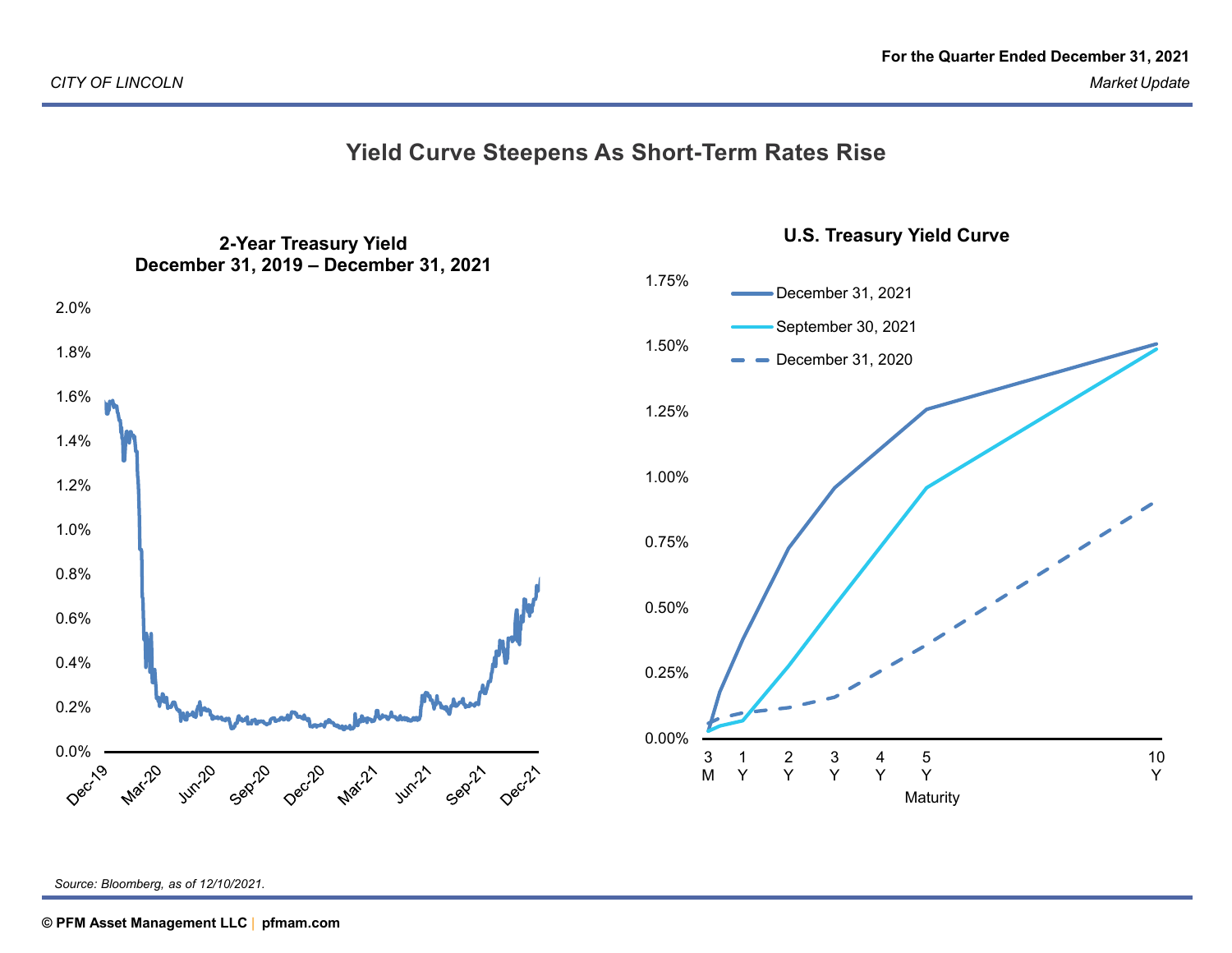



**U.S. Treasury Yield Curve**

*Source: Bloomberg, as of 12/10/2021.*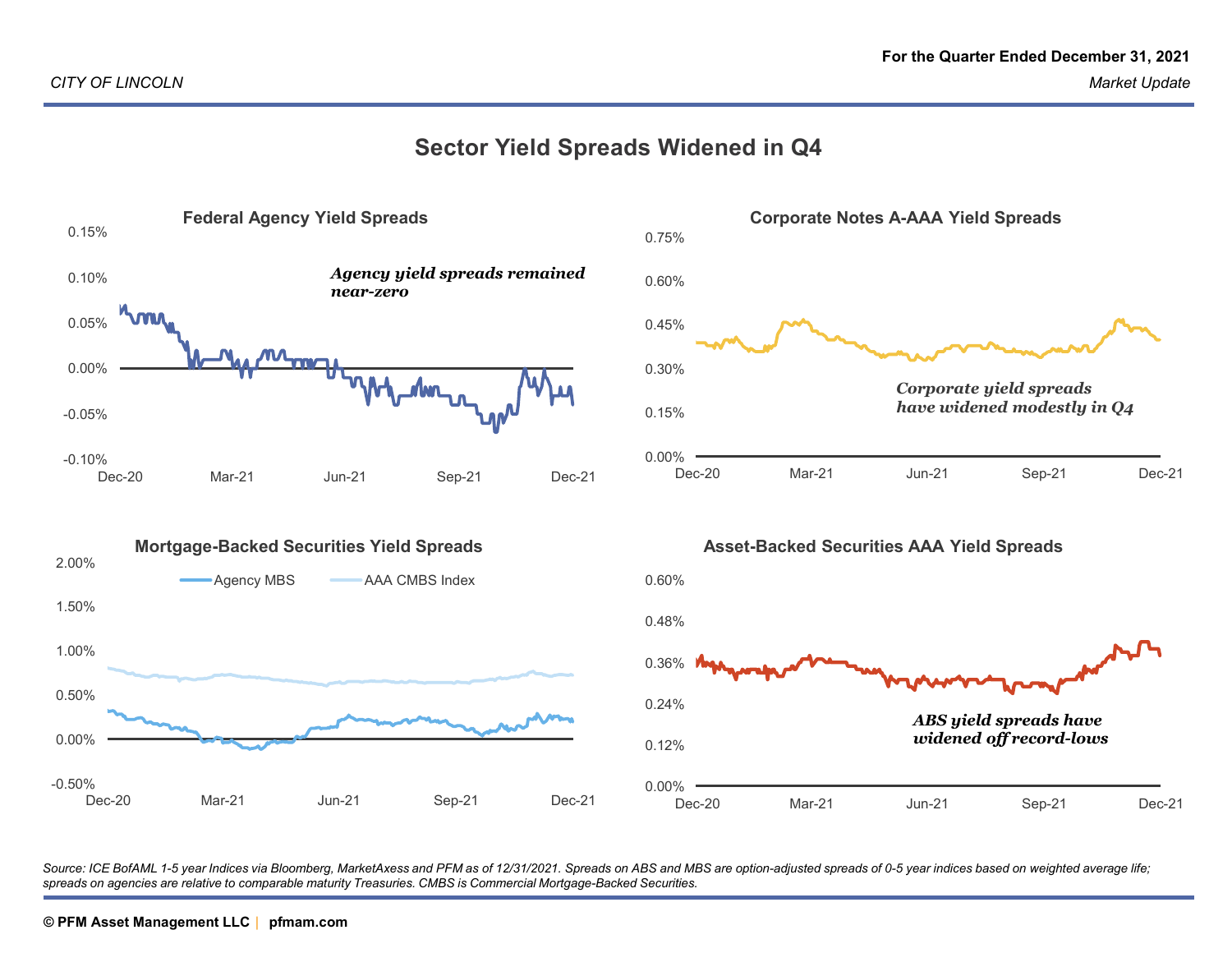### **Sector Yield Spreads Widened in Q4**



Source: ICE BofAML 1-5 year Indices via Bloomberg, MarketAxess and PFM as of 12/31/2021. Spreads on ABS and MBS are option-adjusted spreads of 0-5 year indices based on weighted average life; *spreads on agencies are relative to comparable maturity Treasuries. CMBS is Commercial Mortgage-Backed Securities.*

# **PFM Asset Management LLC © PFM Asset Management LLC | pfmam.com© PFM Asset Management LLC pfmam.com <sup>|</sup>**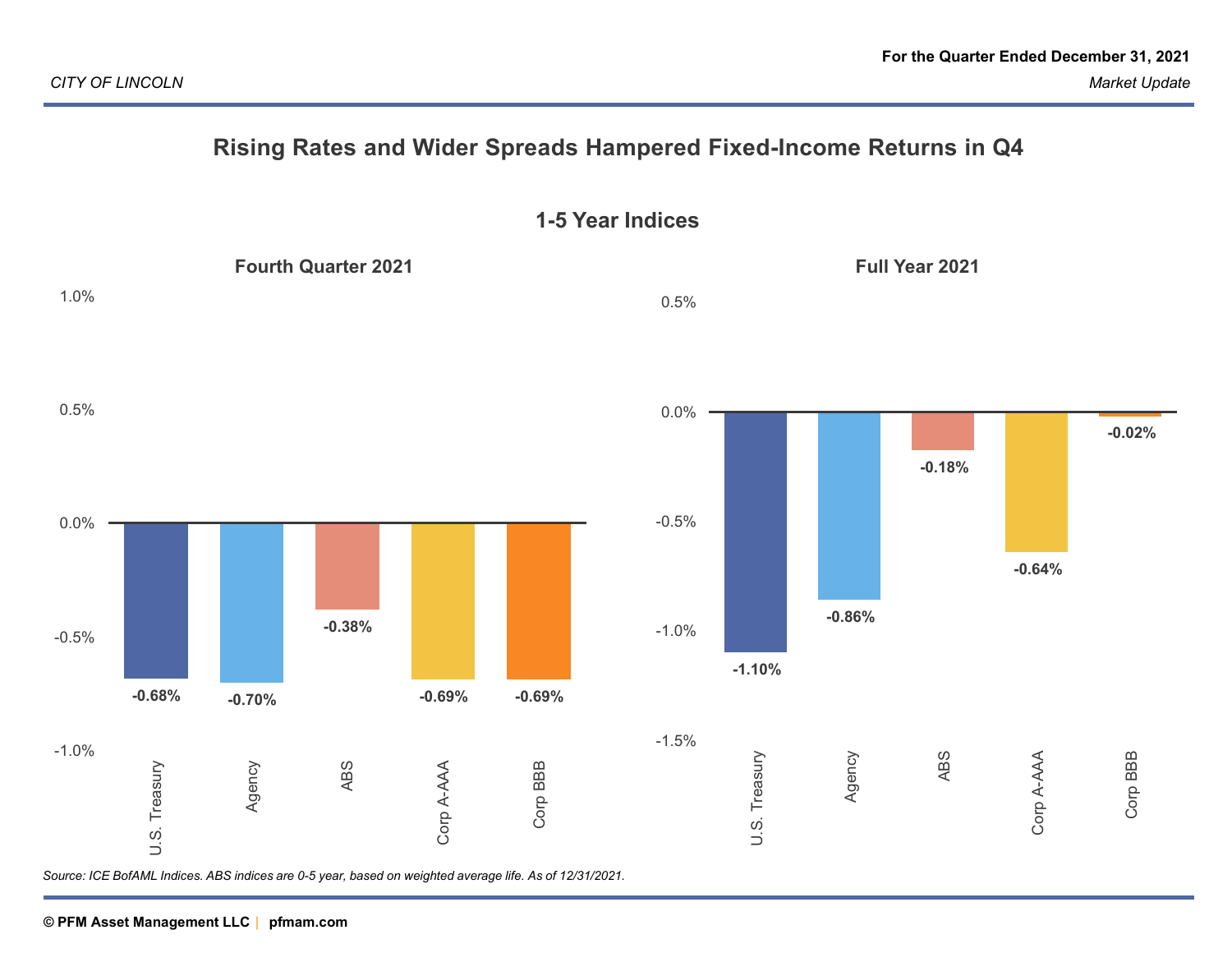## **Rising Rates and Wider Spreads Hampered Fixed-Income Returns in Q4**

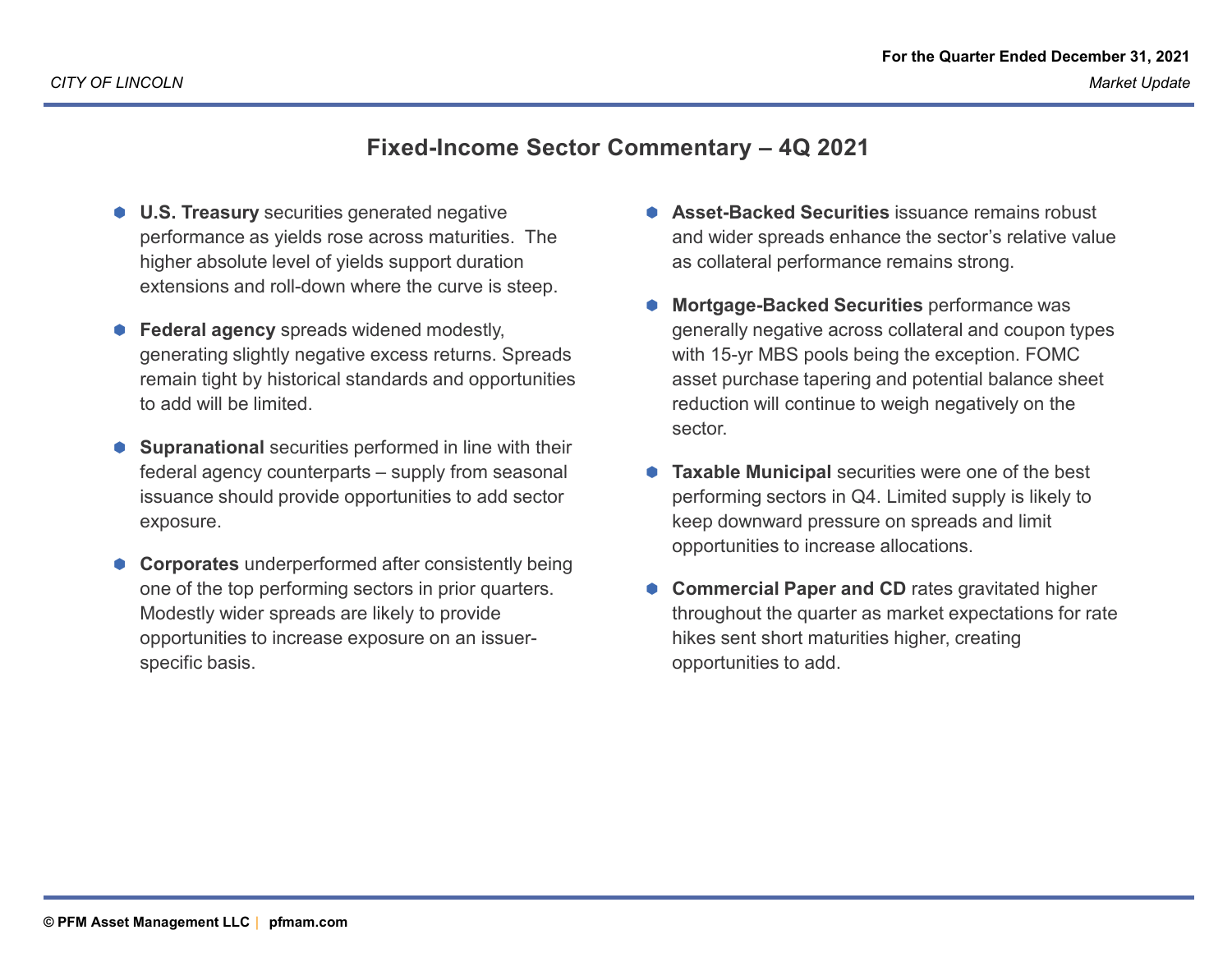## **Fixed-Income Sector Commentary – 4Q 2021**

- **U.S. Treasury** securities generated negative performance as yields rose across maturities. The higher absolute level of yields support duration extensions and roll-down where the curve is steep.
- **Federal agency** spreads widened modestly, generating slightly negative excess returns. Spreads remain tight by historical standards and opportunities to add will be limited.
- **Supranational** securities performed in line with their<br>
interactional securities federal agency counterparts – supply from seasonal issuance should provide opportunities to add sector exposure.
- **Corporates** underperformed after consistently being one of the top performing sectors in prior quarters. Modestly wider spreads are likely to provide opportunities to increase exposure on an issuerspecific basis.
- **Asset-Backed Securities** issuance remains robust and wider spreads enhance the sector's relative value as collateral performance remains strong.
- 0 **Mortgage-Backed Securities** performance was generally negative across collateral and coupon types with 15-yr MBS pools being the exception. FOMC asset purchase tapering and potential balance sheet reduction will continue to weigh negatively on the sector.
- 0 **Taxable Municipal** securities were one of the best performing sectors in Q4. Limited supply is likely to keep downward pressure on spreads and limit opportunities to increase allocations.
- 0 **Commercial Paper and CD** rates gravitated higher throughout the quarter as market expectations for rate hikes sent short maturities higher, creating opportunities to add.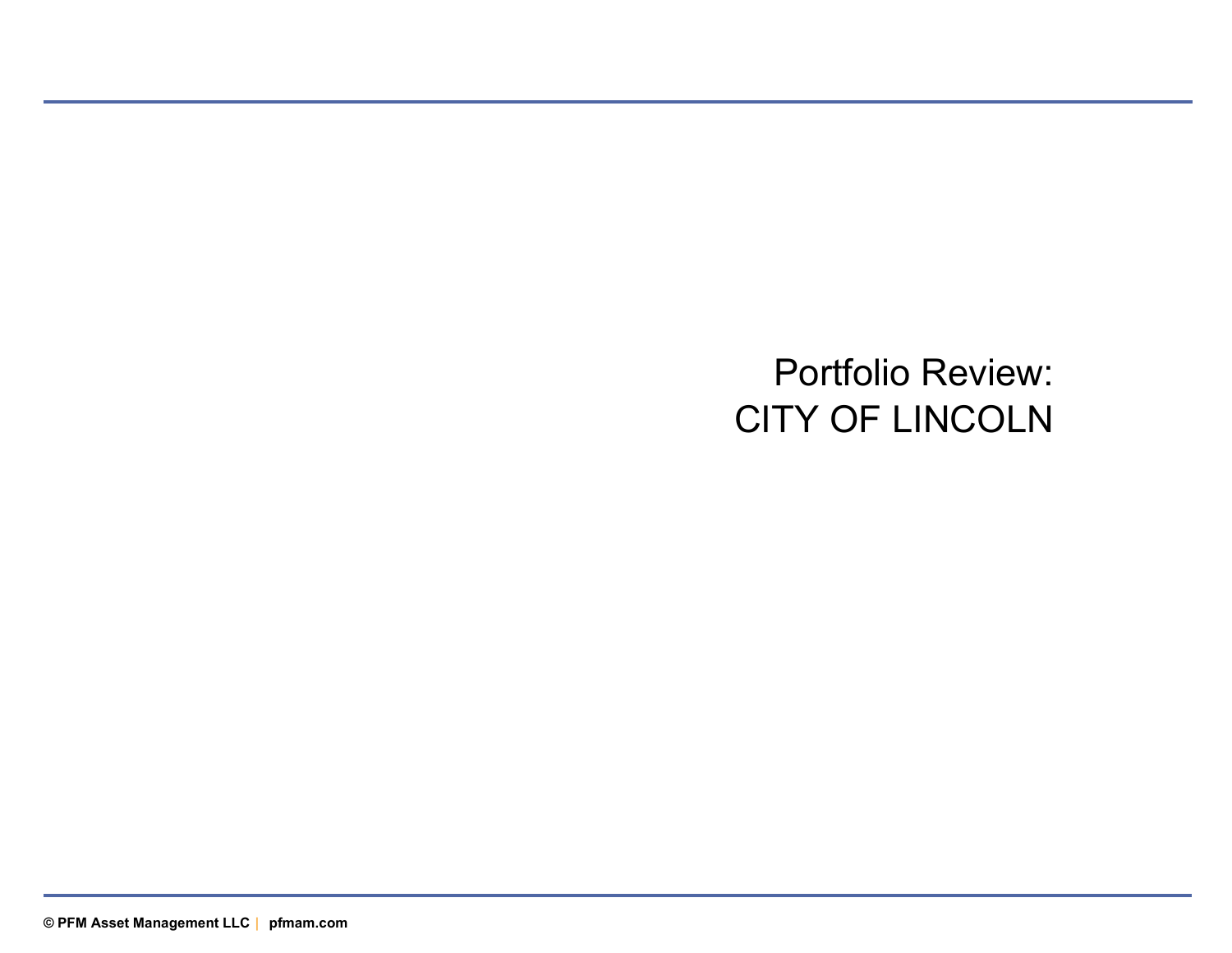Portfolio Review:CITY OF LINCOLN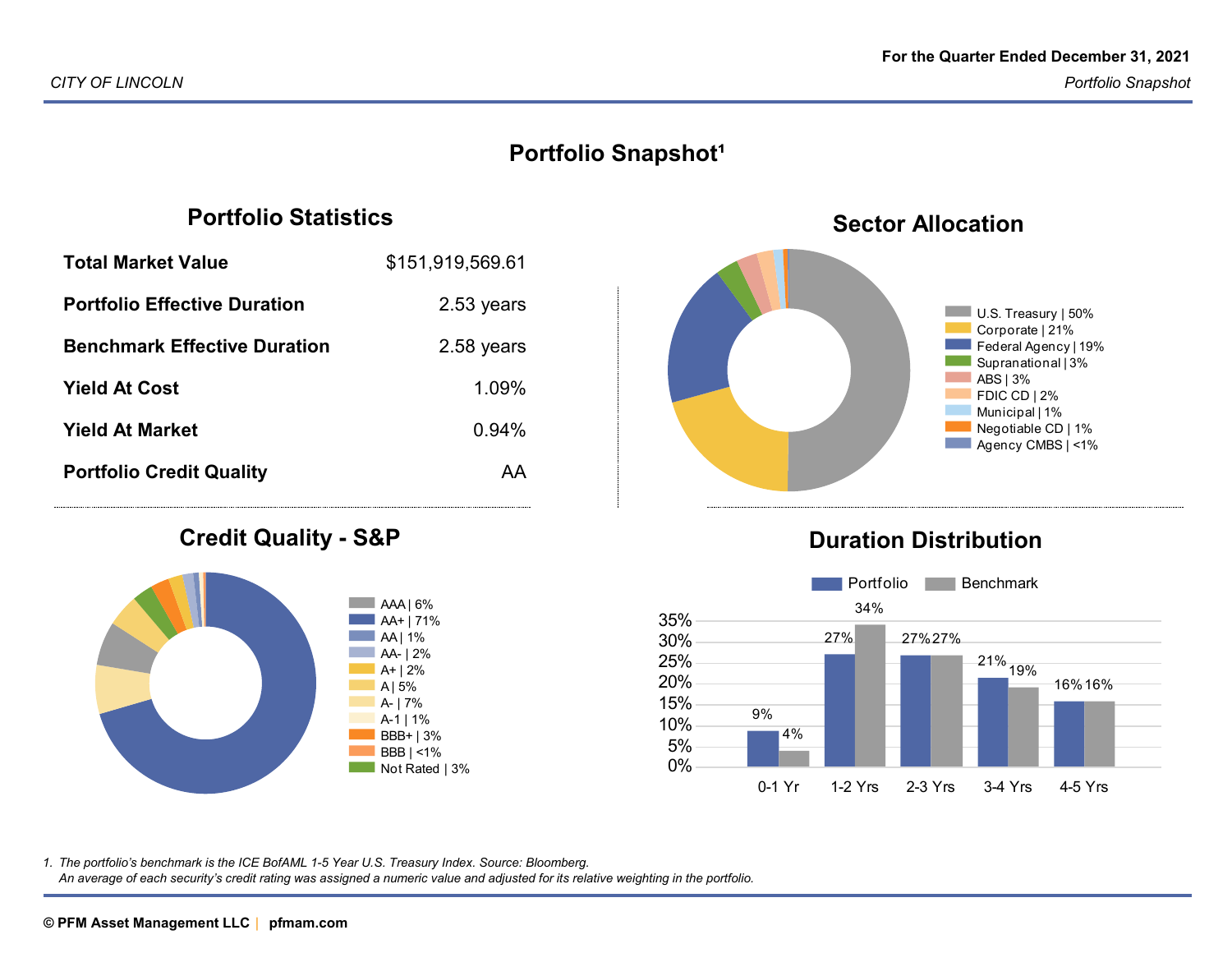## **Portfolio Snapshot<sup>1</sup>**

## **Portfolio Statistics**

| <b>Total Market Value</b>           | \$151,919,569.61 |
|-------------------------------------|------------------|
| <b>Portfolio Effective Duration</b> | 2.53 years       |
| <b>Benchmark Effective Duration</b> | 2.58 years       |
| <b>Yield At Cost</b>                | 1.09%            |
| <b>Yield At Market</b>              | 0.94%            |
| <b>Portfolio Credit Quality</b>     | AA               |
|                                     |                  |

#### **Credit Quality - S&P**





## **Duration Distribution**



*The portfolio's benchmark is the ICE BofAML 1-5 Year U.S. Treasury Index. Source: Bloomberg.1.*

*An average of each security's credit rating was assigned a numeric value and adjusted for its relative weighting in the portfolio.*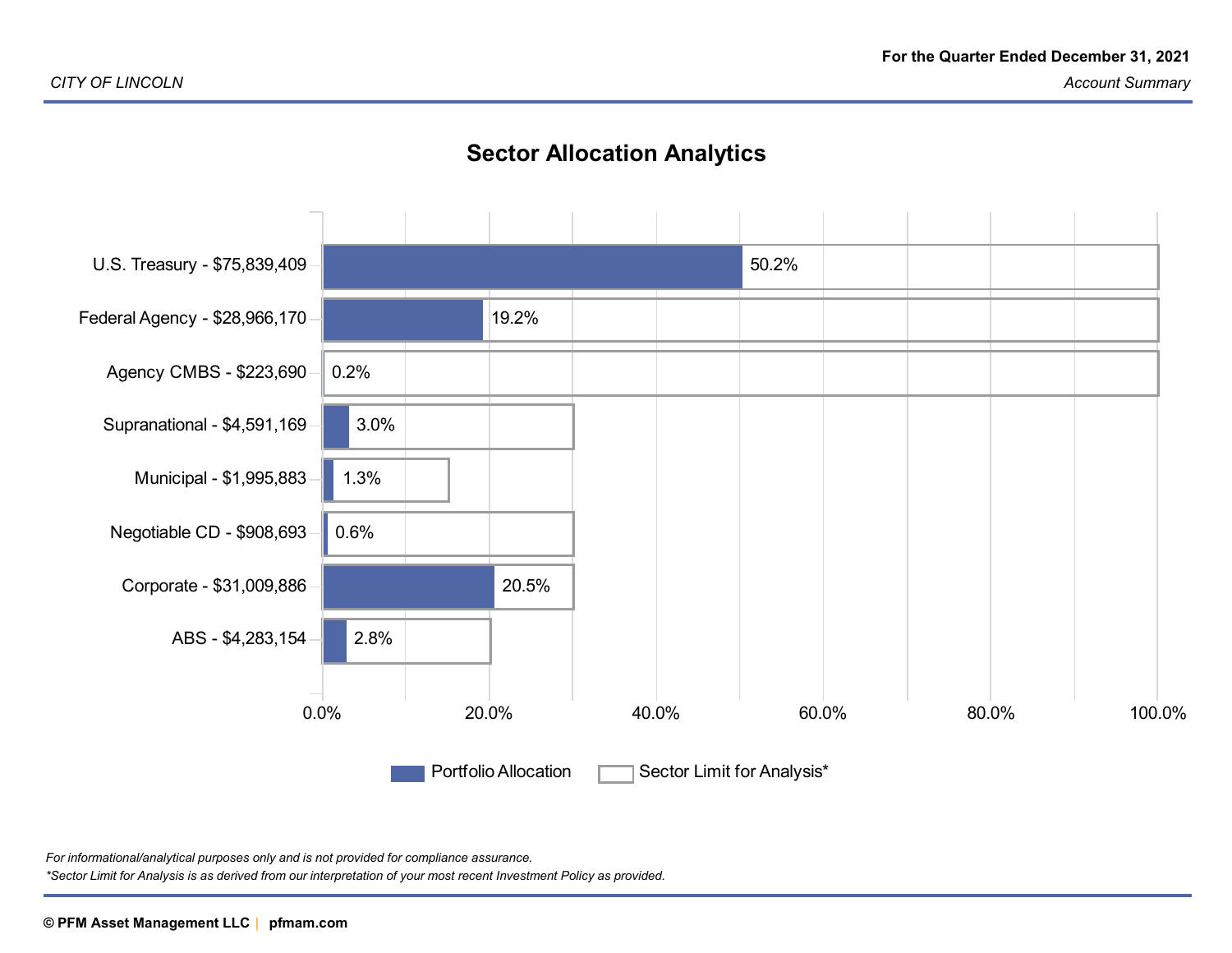## **Sector Allocation Analytics**



*For informational/analytical purposes only and is not provided for compliance assurance.\*Sector Limit for Analysis is as derived from our interpretation of your most recent Investment Policy as provided.*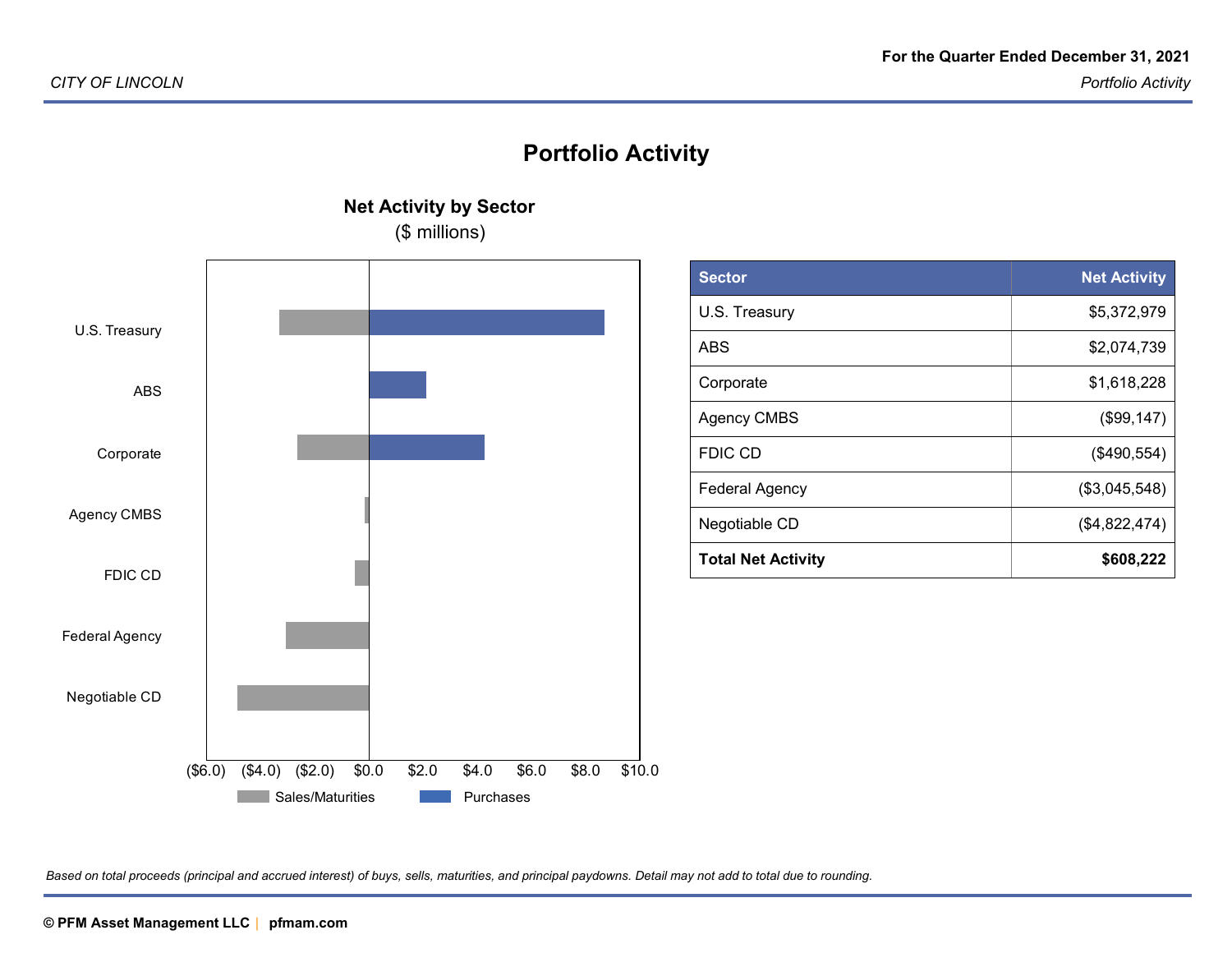## **Portfolio Activity**

(\$ millions)Negotiable CDFederal AgencyFDIC CDAgency CMBSCorporateU.S. TreasuryNegotiable CDFederal AgencyFDIC CDAgency CMBSCorporateABSU.S. Treasury(\$6.0) (\$4.0) (\$2.0) \$0.0 \$2.0 \$4.0 \$6.0 \$8.0 \$10.0<br>Sales/Maturities Purchases **Naturities** Purchases **Purchases** 

**Net Activity by Sector**

| <b>Sector</b>             | <b>Net Activity</b> |
|---------------------------|---------------------|
| U.S. Treasury             | \$5,372,979         |
| ABS                       | \$2,074,739         |
| Corporate                 | \$1,618,228         |
| <b>Agency CMBS</b>        | (\$99,147)          |
| <b>FDIC CD</b>            | (\$490,554)         |
| <b>Federal Agency</b>     | (\$3,045,548)       |
| Negotiable CD             | (\$4,822,474)       |
| <b>Total Net Activity</b> | \$608,222           |

*Based on total proceeds (principal and accrued interest) of buys, sells, maturities, and principal paydowns. Detail may not add to total due to rounding.*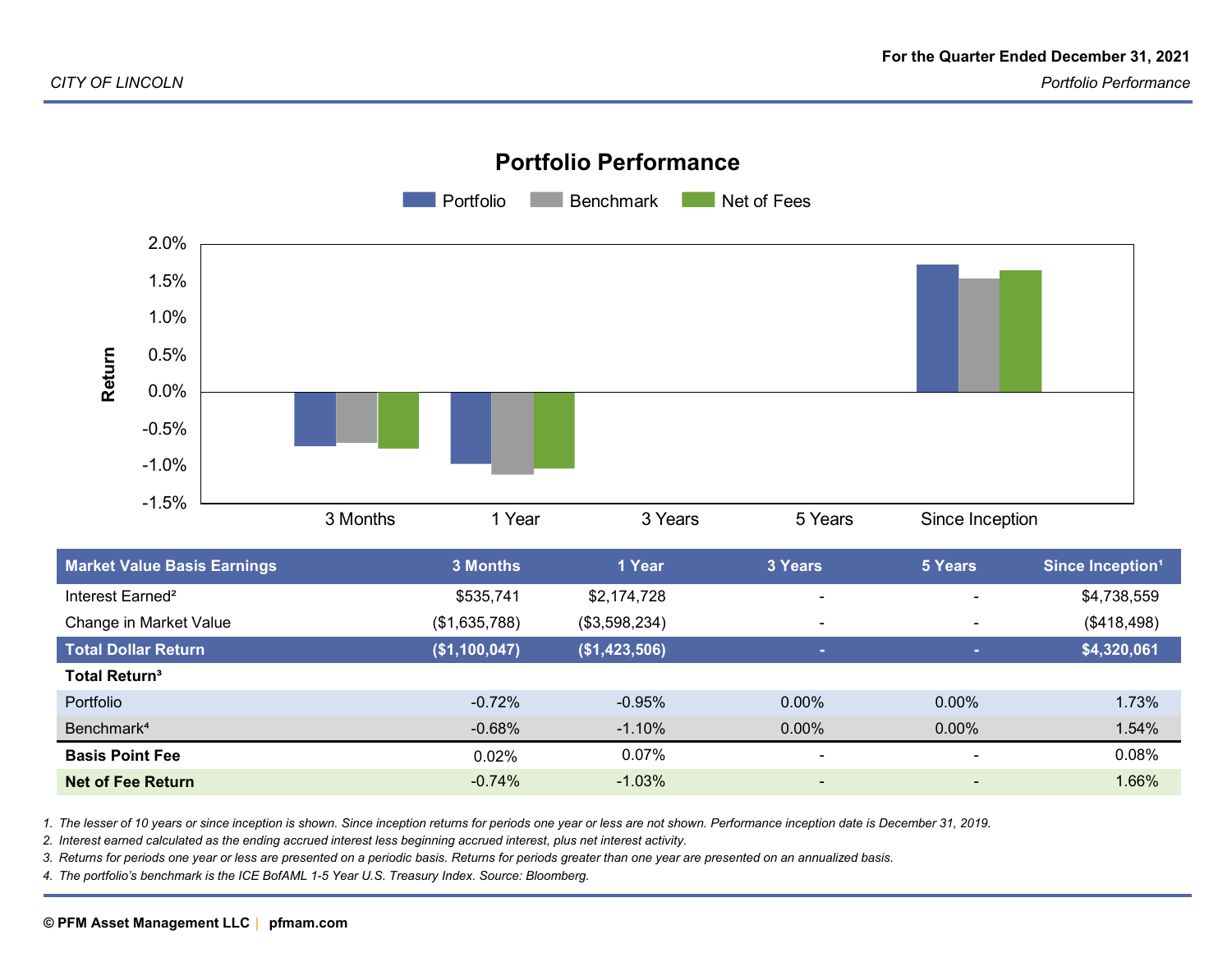

#### **Portfolio Performance**

| <b>Market Value Basis Earnings</b> | <b>3 Months</b> | 1 Year        | 3 Years                  | 5 Years                  | Since Inception <sup>1</sup> |
|------------------------------------|-----------------|---------------|--------------------------|--------------------------|------------------------------|
| Interest Earned <sup>2</sup>       | \$535,741       | \$2,174,728   | $\overline{\phantom{0}}$ | $\blacksquare$           | \$4,738,559                  |
| Change in Market Value             | (\$1,635,788)   | (\$3,598,234) | $\overline{\phantom{0}}$ | $\overline{\phantom{a}}$ | (\$418,498)                  |
| <b>Total Dollar Return</b>         | (\$1,100,047)   | (\$1,423,506) | m.                       | ×.                       | \$4,320,061                  |
| <b>Total Return<sup>3</sup></b>    |                 |               |                          |                          |                              |
| Portfolio                          | $-0.72%$        | $-0.95\%$     | $0.00\%$                 | $0.00\%$                 | 1.73%                        |
| Benchmark <sup>4</sup>             | $-0.68%$        | $-1.10%$      | $0.00\%$                 | $0.00\%$                 | 1.54%                        |
| <b>Basis Point Fee</b>             | 0.02%           | 0.07%         | $\blacksquare$           | $\blacksquare$           | 0.08%                        |
| Net of Fee Return                  | $-0.74%$        | $-1.03%$      | $\blacksquare$           | $\blacksquare$           | 1.66%                        |
|                                    |                 |               |                          |                          |                              |

*1. The lesser of 10 years or since inception is shown. Since inception returns for periods one year or less are not shown. Performance inception date is December 31, 2019.*

*2. Interest earned calculated as the ending accrued interest less beginning accrued interest, plus net interest activity.*

*3. Returns for periods one year or less are presented on a periodic basis. Returns for periods greater than one year are presented on an annualized basis.*

*4. The portfolio's benchmark is the ICE BofAML 1-5 Year U.S. Treasury Index. Source: Bloomberg.*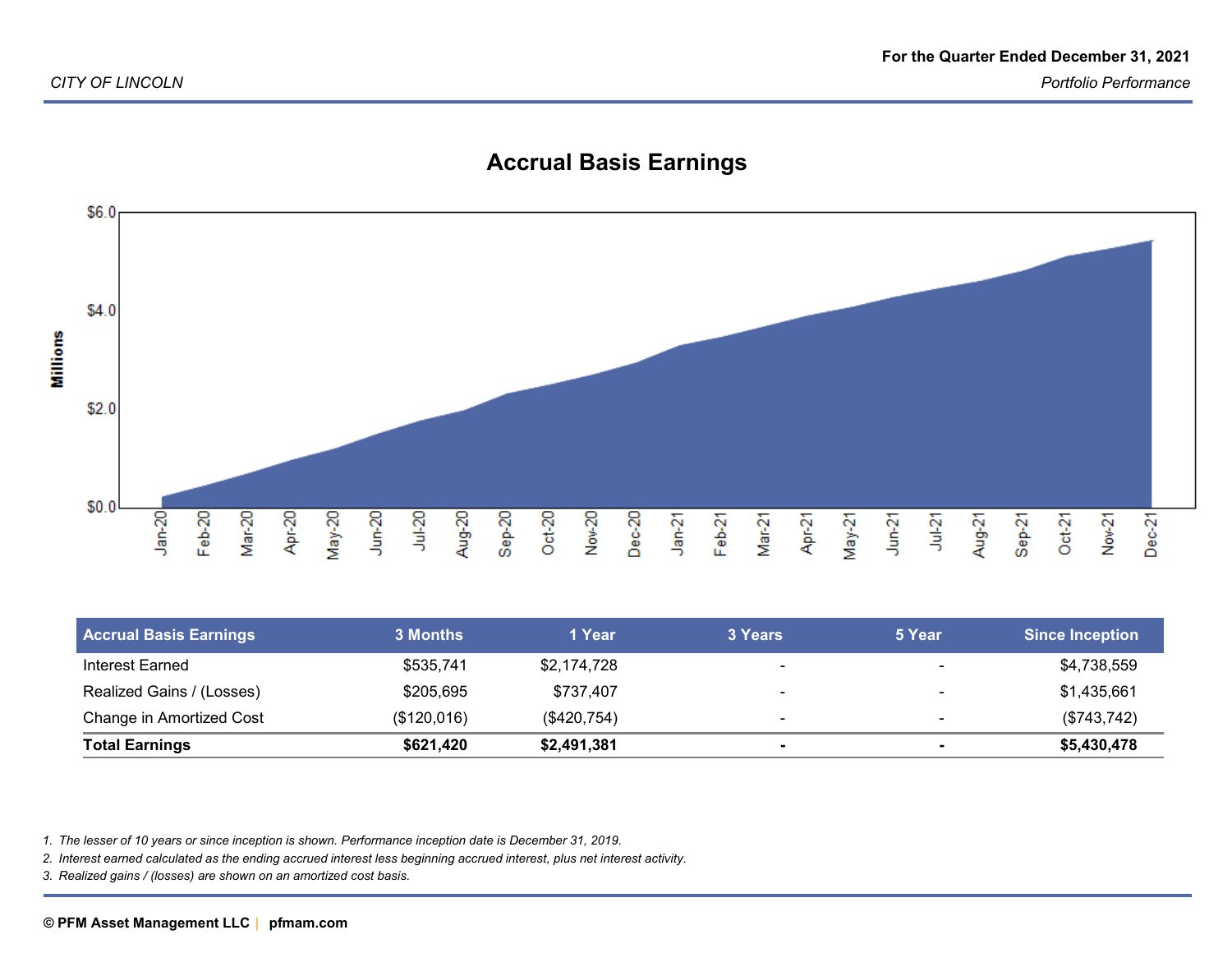

## **Accrual Basis Earnings**

| <b>Accrual Basis Earnings</b> | <b>3 Months</b> | 1 Year      | 3 Years                  | 5 Year                   | <b>Since Inception</b> |
|-------------------------------|-----------------|-------------|--------------------------|--------------------------|------------------------|
| Interest Earned               | \$535,741       | \$2,174,728 | $\overline{\phantom{0}}$ | -                        | \$4,738,559            |
| Realized Gains / (Losses)     | \$205,695       | \$737,407   | $\overline{\phantom{0}}$ | $\overline{\phantom{0}}$ | \$1,435,661            |
| Change in Amortized Cost      | (\$120,016)     | (\$420,754) | $\overline{\phantom{0}}$ | $\overline{\phantom{0}}$ | (\$743,742)            |
| <b>Total Earnings</b>         | \$621,420       | \$2,491,381 |                          |                          | \$5,430,478            |

*1. The lesser of 10 years or since inception is shown. Performance inception date is December 31, 2019.*

*2. Interest earned calculated as the ending accrued interest less beginning accrued interest, plus net interest activity.*

*3. Realized gains / (losses) are shown on an amortized cost basis.*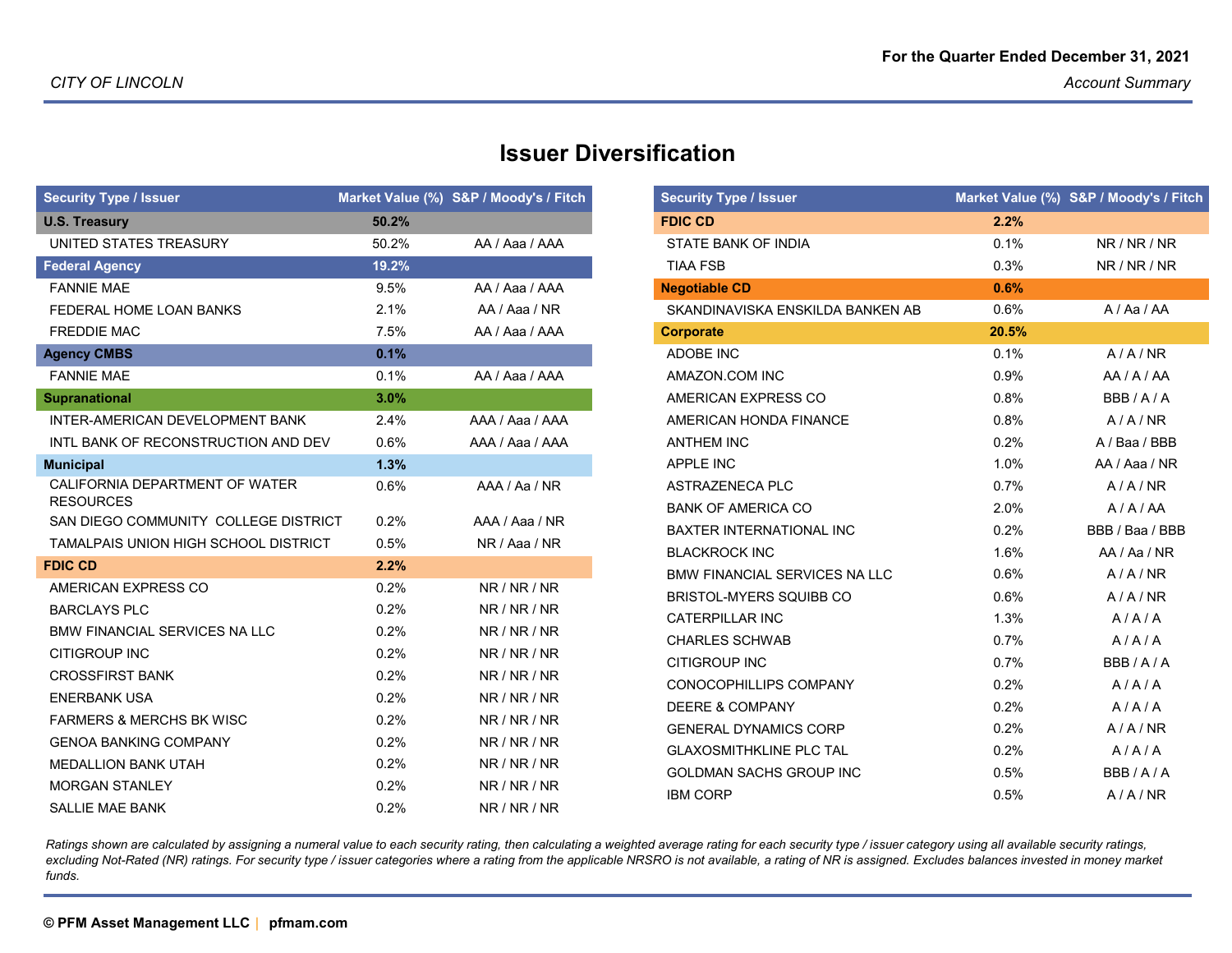| <b>Security Type / Issuer</b>                      |         | Market Value (%) S&P / Moody's / Fitch |
|----------------------------------------------------|---------|----------------------------------------|
| <b>U.S. Treasury</b>                               | 50.2%   |                                        |
| UNITED STATES TREASURY                             | 50.2%   | AA / Aaa / AAA                         |
| <b>Federal Agency</b>                              | 19.2%   |                                        |
| <b>FANNIE MAE</b>                                  | 9.5%    | AA / Aaa / AAA                         |
| FEDERAL HOME LOAN BANKS                            | 2.1%    | AA / Aaa / NR                          |
| <b>FREDDIE MAC</b>                                 | 7.5%    | AA / Aaa / AAA                         |
| <b>Agency CMBS</b>                                 | 0.1%    |                                        |
| <b>FANNIE MAE</b>                                  | 0.1%    | AA / Aaa / AAA                         |
| <b>Supranational</b>                               | 3.0%    |                                        |
| INTER-AMERICAN DEVELOPMENT BANK                    | $2.4\%$ | AAA / Aaa / AAA                        |
| INTL BANK OF RECONSTRUCTION AND DEV                | 0.6%    | AAA / Aaa / AAA                        |
| <b>Municipal</b>                                   | 1.3%    |                                        |
| CALIFORNIA DEPARTMENT OF WATER<br><b>RESOURCES</b> | 0.6%    | AAA / Aa / NR                          |
| SAN DIEGO COMMUNITY COLLEGE DISTRICT               | 0.2%    | AAA / Aaa / NR                         |
| <b>TAMALPAIS UNION HIGH SCHOOL DISTRICT</b>        | 0.5%    | NR / Aaa / NR                          |
| <b>FDIC CD</b>                                     | 2.2%    |                                        |
| AMERICAN EXPRESS CO                                | 0.2%    | NR/NR/NR                               |
| <b>BARCLAYS PLC</b>                                | 0.2%    | NR/NR/NR                               |
| <b>BMW FINANCIAL SERVICES NA LLC</b>               | 0.2%    | NR / NR / NR                           |
| <b>CITIGROUP INC</b>                               | $0.2\%$ | NR/NR/NR                               |
| <b>CROSSFIRST BANK</b>                             | 0.2%    | NR / NR / NR                           |
| <b>ENERBANK USA</b>                                | 0.2%    | NR/NR/NR                               |
| <b>FARMERS &amp; MERCHS BK WISC</b>                | 0.2%    | NR/NR/NR                               |
| <b>GENOA BANKING COMPANY</b>                       | 0.2%    | NR/NR/NR                               |
| <b>MEDALLION BANK UTAH</b>                         | 0.2%    | NR/NR/NR                               |
| <b>MORGAN STANLEY</b>                              | 0.2%    | NR/NR/NR                               |
| <b>SALLIE MAE BANK</b>                             | 0.2%    | NR/NR/NR                               |

### **Issuer Diversification**

| <b>Security Type / Issuer</b>        |       | Market Value (%) S&P / Moody's / Fitch |
|--------------------------------------|-------|----------------------------------------|
| <b>FDIC CD</b>                       | 2.2%  |                                        |
| STATE BANK OF INDIA                  | 0.1%  | NR/NR/NR                               |
| <b>TIAA FSB</b>                      | 0.3%  | NR/NR/NR                               |
| <b>Negotiable CD</b>                 | 0.6%  |                                        |
| SKANDINAVISKA ENSKILDA BANKEN AB     | 0.6%  | A / Aa / AA                            |
| <b>Corporate</b>                     | 20.5% |                                        |
| ADOBE INC                            | 0.1%  | A/A/NR                                 |
| AMAZON.COM INC                       | 0.9%  | AA/AA                                  |
| AMERICAN EXPRESS CO                  | 0.8%  | BBB/A/A                                |
| AMERICAN HONDA FINANCE               | 0.8%  | A/A/NR                                 |
| <b>ANTHEM INC</b>                    | 0.2%  | A / Baa / BBB                          |
| <b>APPLE INC</b>                     | 1.0%  | AA / Aaa / NR                          |
| ASTRAZENECA PLC                      | 0.7%  | A/A/NR                                 |
| <b>BANK OF AMERICA CO</b>            | 2.0%  | A/A/AA                                 |
| <b>BAXTER INTERNATIONAL INC</b>      | 0.2%  | BBB / Baa / BBB                        |
| <b>BLACKROCK INC</b>                 | 1.6%  | AA/AA/NR                               |
| <b>BMW FINANCIAL SERVICES NA LLC</b> | 0.6%  | A/A/NR                                 |
| <b>BRISTOL-MYERS SQUIBB CO</b>       | 0.6%  | A/A/NR                                 |
| <b>CATERPILLAR INC</b>               | 1.3%  | A/A/A                                  |
| <b>CHARLES SCHWAB</b>                | 0.7%  | A/A/A                                  |
| <b>CITIGROUP INC</b>                 | 0.7%  | BBB/A/A                                |
| CONOCOPHILLIPS COMPANY               | 0.2%  | A/A/A                                  |
| <b>DEERE &amp; COMPANY</b>           | 0.2%  | A/A/A                                  |
| <b>GENERAL DYNAMICS CORP</b>         | 0.2%  | A/A/NR                                 |
| <b>GLAXOSMITHKLINE PLC TAL</b>       | 0.2%  | A/A/A                                  |
| <b>GOLDMAN SACHS GROUP INC</b>       | 0.5%  | BBB/A/A                                |
| <b>IBM CORP</b>                      | 0.5%  | A/A/NR                                 |

*Ratings shown are calculated by assigning a numeral value to each security rating, then calculating a weighted average rating for each security type / issuer category using all available security ratings,*excluding Not-Rated (NR) ratings. For security type / issuer categories where a rating from the applicable NRSRO is not available, a rating of NR is assigned. Excludes balances invested in money market *funds.*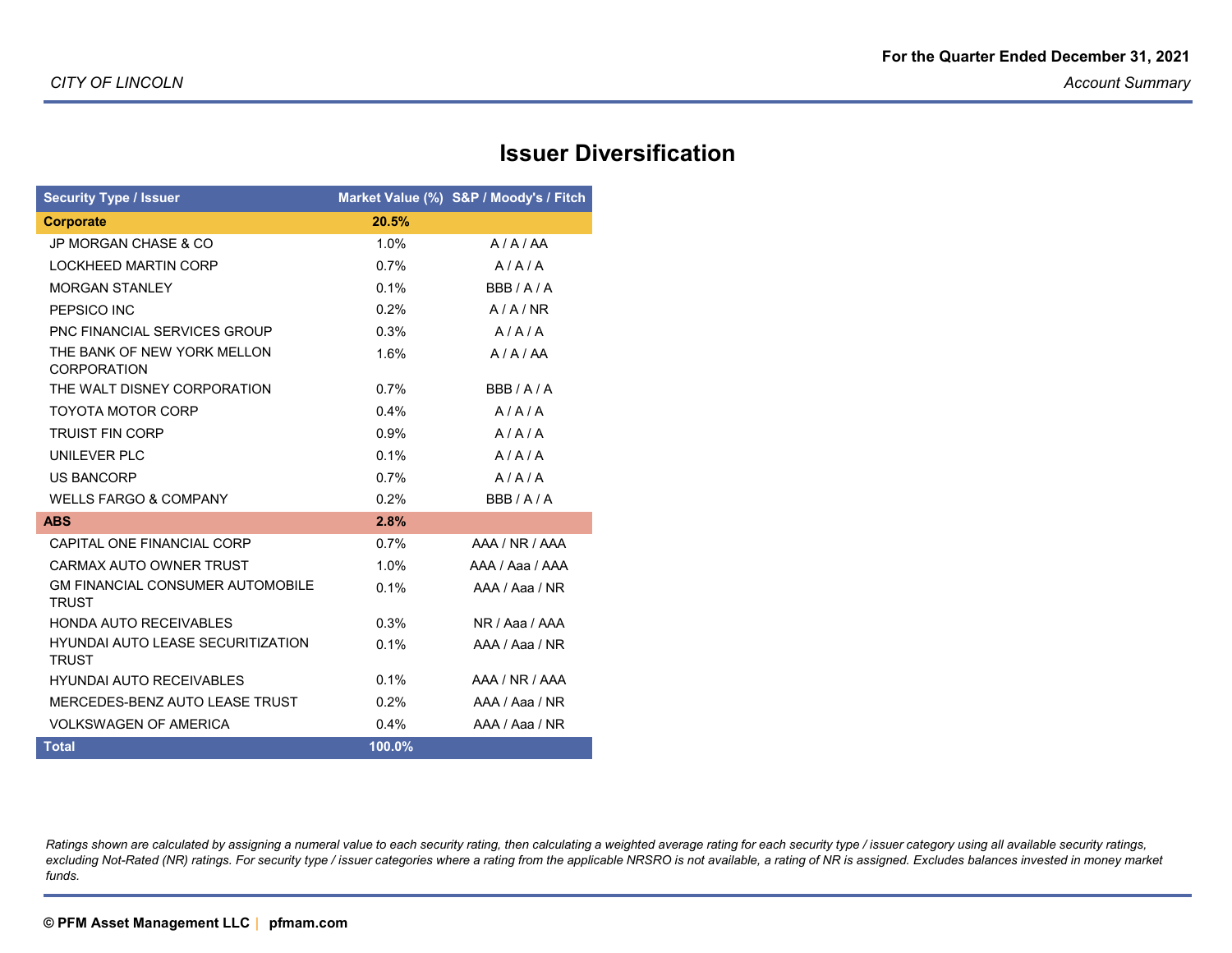## **Issuer Diversification**

| <b>Security Type / Issuer</b>                            |         | Market Value (%) S&P / Moody's / Fitch |
|----------------------------------------------------------|---------|----------------------------------------|
| <b>Corporate</b>                                         | 20.5%   |                                        |
| <b>JP MORGAN CHASE &amp; CO</b>                          | 1.0%    | A/A/AA                                 |
| <b>LOCKHEED MARTIN CORP</b>                              | $0.7\%$ | A/A/A                                  |
| <b>MORGAN STANLEY</b>                                    | 0.1%    | BBB/A/A                                |
| PEPSICO INC                                              | 0.2%    | A/A/NR                                 |
| <b>PNC FINANCIAL SERVICES GROUP</b>                      | 0.3%    | A/A/A                                  |
| THE BANK OF NEW YORK MELLON<br><b>CORPORATION</b>        | 1.6%    | A/A/AA                                 |
| THE WALT DISNEY CORPORATION                              | 0.7%    | BBB/A/A                                |
| <b>TOYOTA MOTOR CORP</b>                                 | 0.4%    | A/A/A                                  |
| <b>TRUIST FIN CORP</b>                                   | 0.9%    | A/A/A                                  |
| UNILEVER PLC                                             | 0.1%    | A/A/A                                  |
| <b>US BANCORP</b>                                        | 0.7%    | A/A/A                                  |
| <b>WELLS FARGO &amp; COMPANY</b>                         | 0.2%    | BBB/A/A                                |
| <b>ABS</b>                                               | 2.8%    |                                        |
| CAPITAL ONE FINANCIAL CORP                               | 0.7%    | AAA / NR / AAA                         |
| CARMAX AUTO OWNER TRUST                                  | 1.0%    | AAA / Aaa / AAA                        |
| <b>GM FINANCIAL CONSUMER AUTOMOBILE</b><br><b>TRUST</b>  | 0.1%    | AAA / Aaa / NR                         |
| <b>HONDA AUTO RECEIVABLES</b>                            | 0.3%    | NR / Aaa / AAA                         |
| <b>HYUNDAI AUTO LEASE SECURITIZATION</b><br><b>TRUST</b> | 0.1%    | AAA / Aaa / NR                         |
| <b>HYUNDAI AUTO RECEIVABLES</b>                          | 0.1%    | AAA / NR / AAA                         |
| MERCEDES-BENZ AUTO LEASE TRUST                           | 0.2%    | AAA / Aaa / NR                         |
| <b>VOLKSWAGEN OF AMERICA</b>                             | 0.4%    | AAA / Aaa / NR                         |
| <b>Total</b>                                             | 100.0%  |                                        |

*Ratings shown are calculated by assigning a numeral value to each security rating, then calculating a weighted average rating for each security type / issuer category using all available security ratings,*excluding Not-Rated (NR) ratings. For security type / issuer categories where a rating from the applicable NRSRO is not available, a rating of NR is assigned. Excludes balances invested in money market *funds.*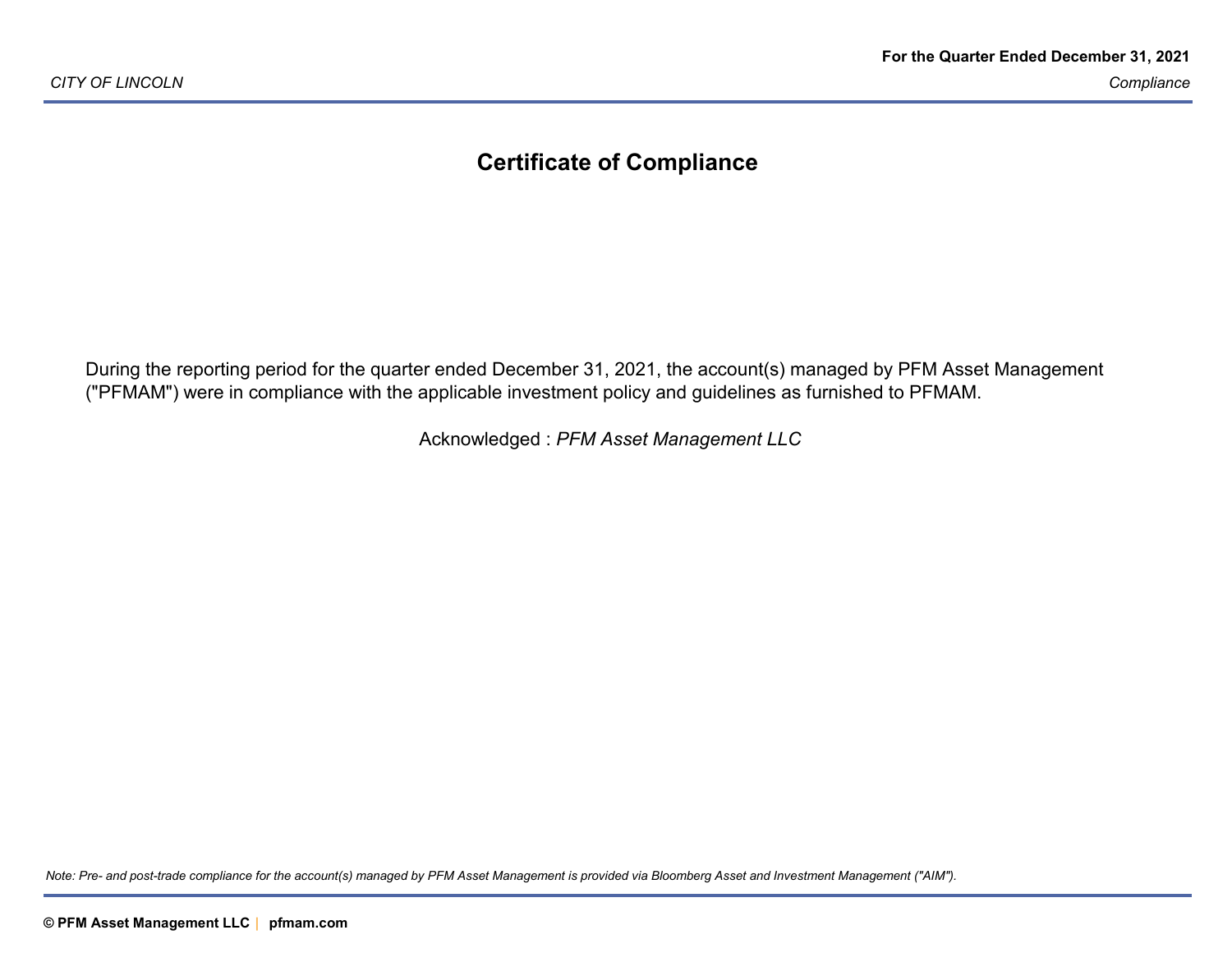### **Certificate of Compliance**

During the reporting period for the quarter ended December 31, 2021, the account(s) managed by PFM Asset Management("PFMAM") were in compliance with the applicable investment policy and guidelines as furnished to PFMAM.

Acknowledged : *PFM Asset Management LLC*

*Note: Pre- and post-trade compliance for the account(s) managed by PFM Asset Management is provided via Bloomberg Asset and Investment Management ("AIM").*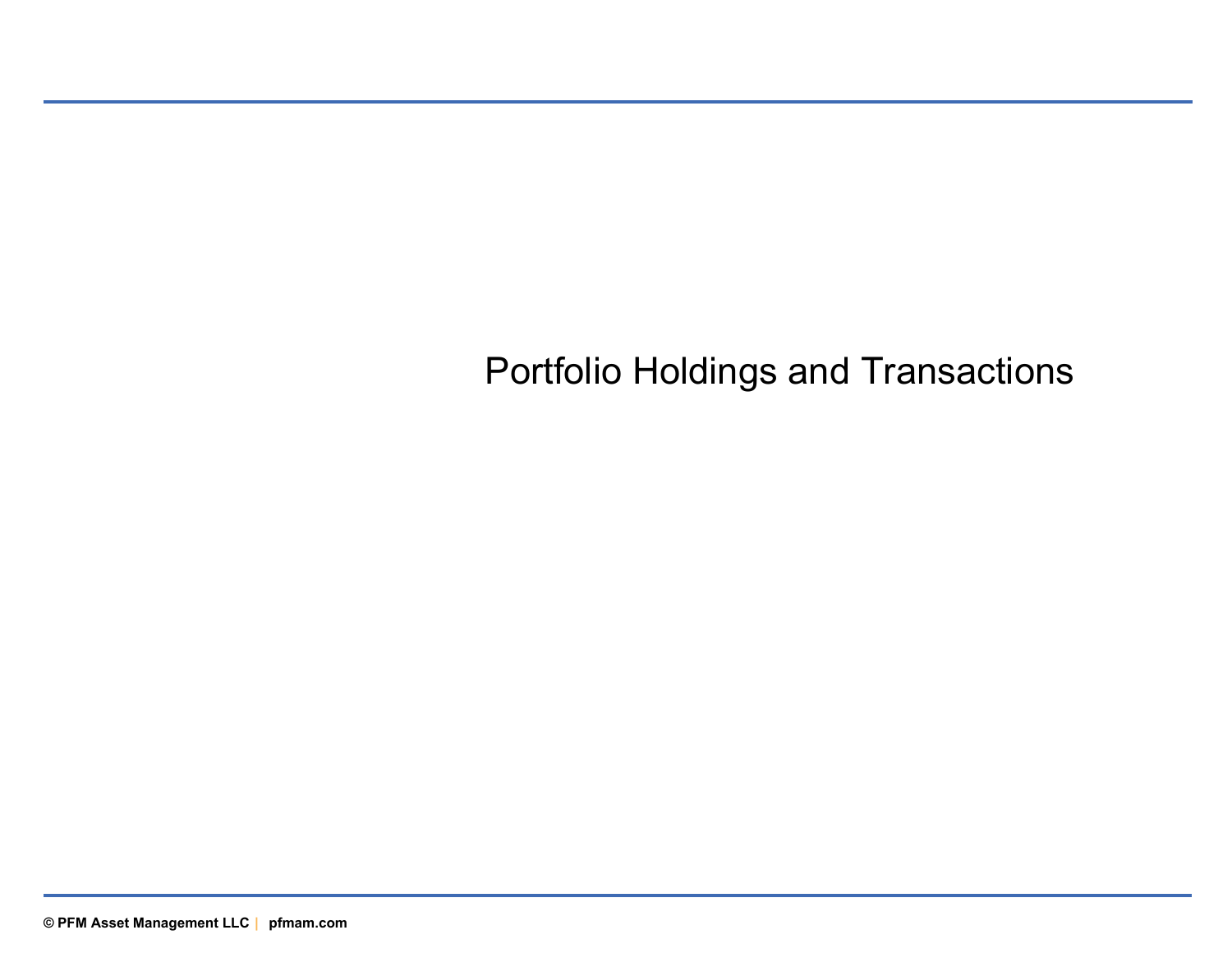# Portfolio Holdings and Transactions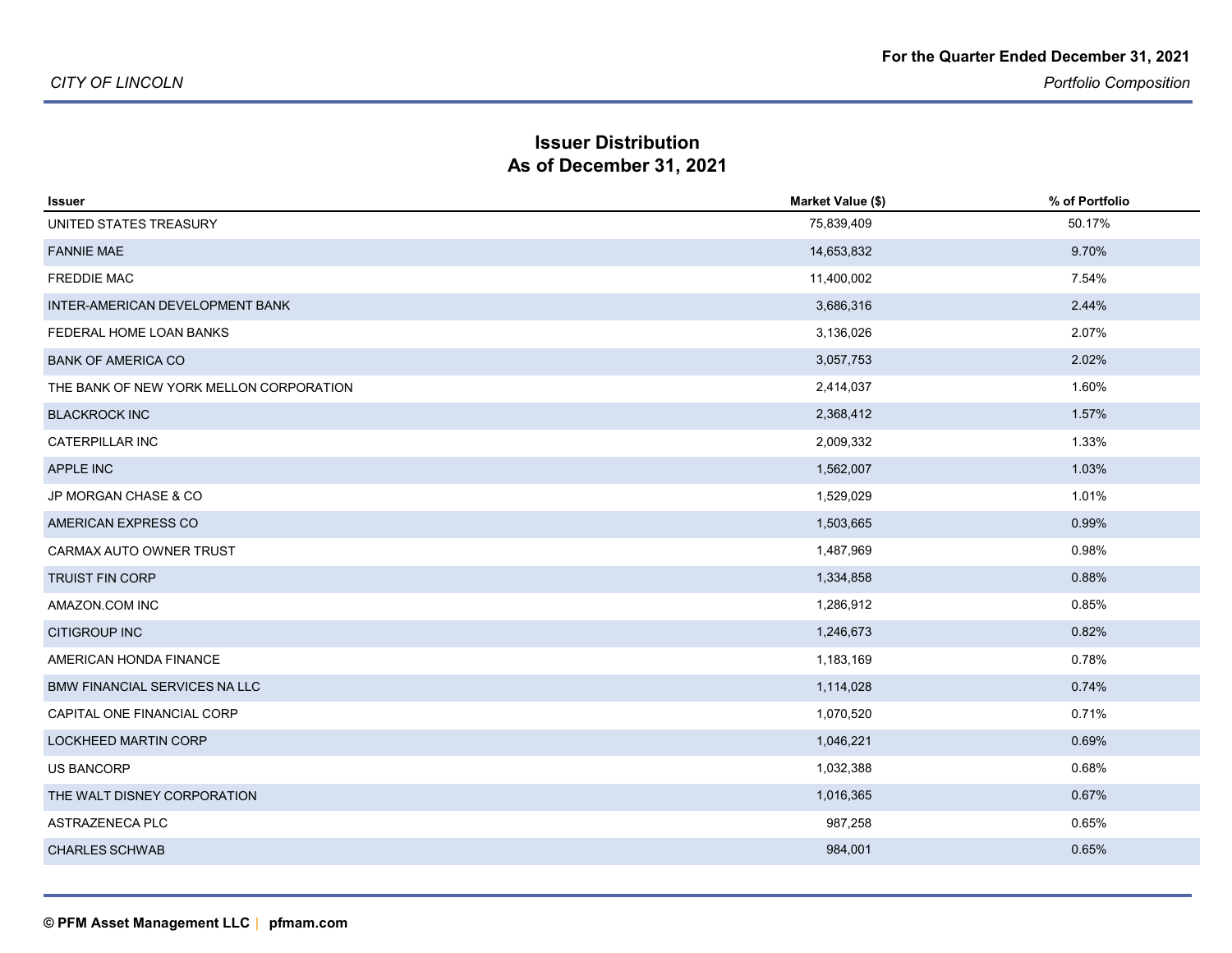#### **Issuer DistributionAs of December 31, 2021**

| <b>Issuer</b>                           | Market Value (\$) | % of Portfolio |
|-----------------------------------------|-------------------|----------------|
| UNITED STATES TREASURY                  | 75,839,409        | 50.17%         |
| <b>FANNIE MAE</b>                       | 14,653,832        | 9.70%          |
| <b>FREDDIE MAC</b>                      | 11,400,002        | 7.54%          |
| INTER-AMERICAN DEVELOPMENT BANK         | 3,686,316         | 2.44%          |
| FEDERAL HOME LOAN BANKS                 | 3,136,026         | 2.07%          |
| <b>BANK OF AMERICA CO</b>               | 3,057,753         | 2.02%          |
| THE BANK OF NEW YORK MELLON CORPORATION | 2,414,037         | 1.60%          |
| <b>BLACKROCK INC</b>                    | 2,368,412         | 1.57%          |
| <b>CATERPILLAR INC</b>                  | 2,009,332         | 1.33%          |
| APPLE INC                               | 1,562,007         | 1.03%          |
| JP MORGAN CHASE & CO                    | 1,529,029         | 1.01%          |
| AMERICAN EXPRESS CO                     | 1,503,665         | 0.99%          |
| CARMAX AUTO OWNER TRUST                 | 1,487,969         | 0.98%          |
| <b>TRUIST FIN CORP</b>                  | 1,334,858         | 0.88%          |
| AMAZON COM INC                          | 1,286,912         | 0.85%          |
| <b>CITIGROUP INC</b>                    | 1,246,673         | 0.82%          |
| AMERICAN HONDA FINANCE                  | 1,183,169         | 0.78%          |
| <b>BMW FINANCIAL SERVICES NA LLC</b>    | 1,114,028         | 0.74%          |
| CAPITAL ONE FINANCIAL CORP              | 1,070,520         | 0.71%          |
| <b>LOCKHEED MARTIN CORP</b>             | 1,046,221         | 0.69%          |
| <b>US BANCORP</b>                       | 1,032,388         | 0.68%          |
| THE WALT DISNEY CORPORATION             | 1,016,365         | 0.67%          |
| ASTRAZENECA PLC                         | 987,258           | 0.65%          |
| <b>CHARLES SCHWAB</b>                   | 984,001           | 0.65%          |
|                                         |                   |                |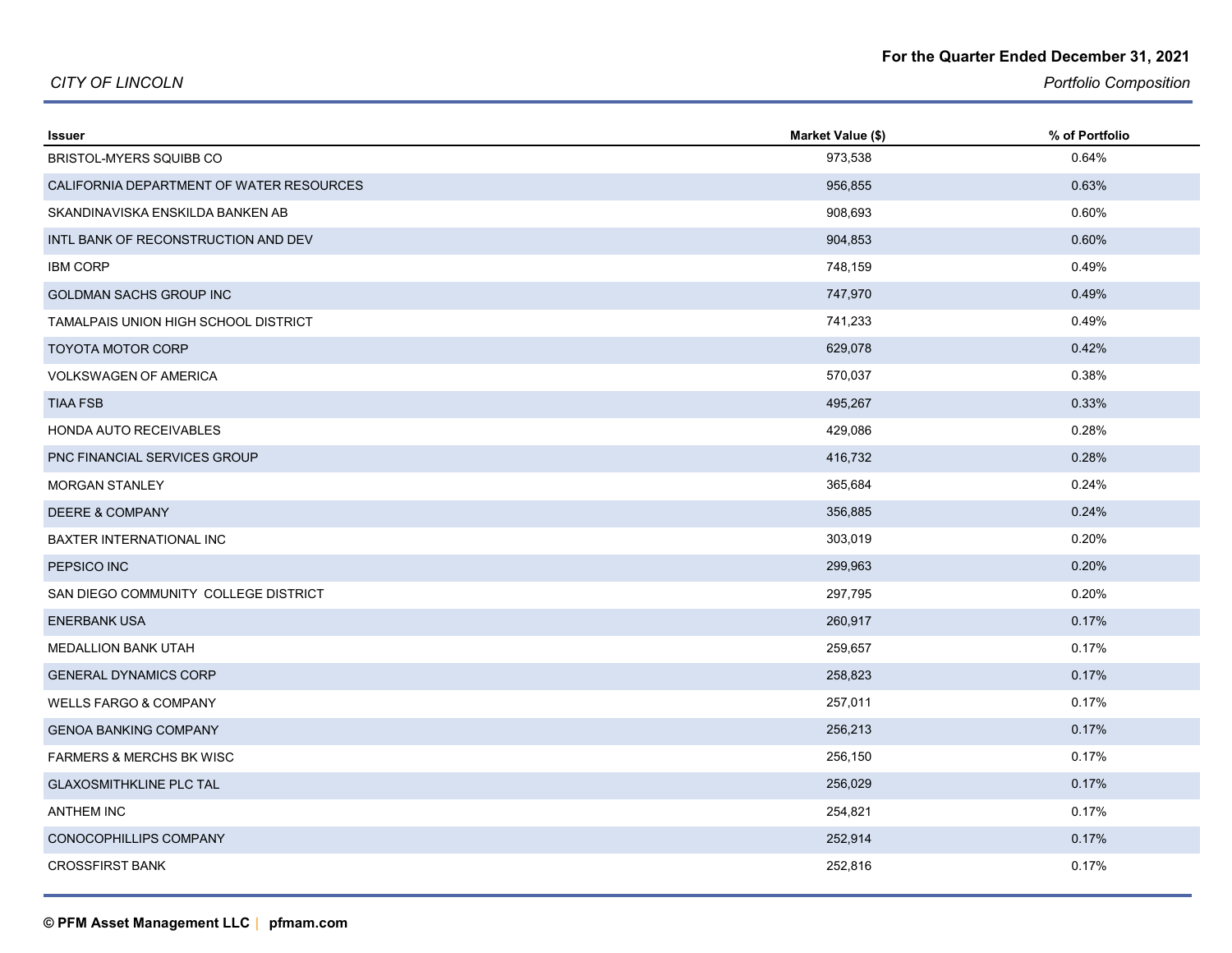#### **For the Quarter Ended December 31, 2021**

*CITY OF LINCOLN*

*Portfolio Composition*

| <b>Issuer</b>                            | Market Value (\$) | % of Portfolio |
|------------------------------------------|-------------------|----------------|
| BRISTOL-MYERS SQUIBB CO                  | 973,538           | 0.64%          |
| CALIFORNIA DEPARTMENT OF WATER RESOURCES | 956,855           | 0.63%          |
| SKANDINAVISKA ENSKILDA BANKEN AB         | 908,693           | 0.60%          |
| INTL BANK OF RECONSTRUCTION AND DEV      | 904,853           | 0.60%          |
| <b>IBM CORP</b>                          | 748,159           | 0.49%          |
| GOLDMAN SACHS GROUP INC                  | 747,970           | 0.49%          |
| TAMALPAIS UNION HIGH SCHOOL DISTRICT     | 741,233           | 0.49%          |
| <b>TOYOTA MOTOR CORP</b>                 | 629,078           | 0.42%          |
| <b>VOLKSWAGEN OF AMERICA</b>             | 570,037           | 0.38%          |
| <b>TIAA FSB</b>                          | 495,267           | 0.33%          |
| HONDA AUTO RECEIVABLES                   | 429,086           | 0.28%          |
| <b>PNC FINANCIAL SERVICES GROUP</b>      | 416,732           | 0.28%          |
| <b>MORGAN STANLEY</b>                    | 365,684           | 0.24%          |
| <b>DEERE &amp; COMPANY</b>               | 356,885           | 0.24%          |
| <b>BAXTER INTERNATIONAL INC</b>          | 303,019           | 0.20%          |
| PEPSICO INC                              | 299,963           | 0.20%          |
| SAN DIEGO COMMUNITY COLLEGE DISTRICT     | 297,795           | 0.20%          |
| <b>ENERBANK USA</b>                      | 260,917           | 0.17%          |
| MEDALLION BANK UTAH                      | 259,657           | 0.17%          |
| <b>GENERAL DYNAMICS CORP</b>             | 258,823           | 0.17%          |
| <b>WELLS FARGO &amp; COMPANY</b>         | 257,011           | 0.17%          |
| <b>GENOA BANKING COMPANY</b>             | 256,213           | 0.17%          |
| <b>FARMERS &amp; MERCHS BK WISC</b>      | 256,150           | 0.17%          |
| <b>GLAXOSMITHKLINE PLC TAL</b>           | 256,029           | 0.17%          |
| <b>ANTHEM INC</b>                        | 254,821           | 0.17%          |
| CONOCOPHILLIPS COMPANY                   | 252,914           | 0.17%          |
| <b>CROSSFIRST BANK</b>                   | 252,816           | 0.17%          |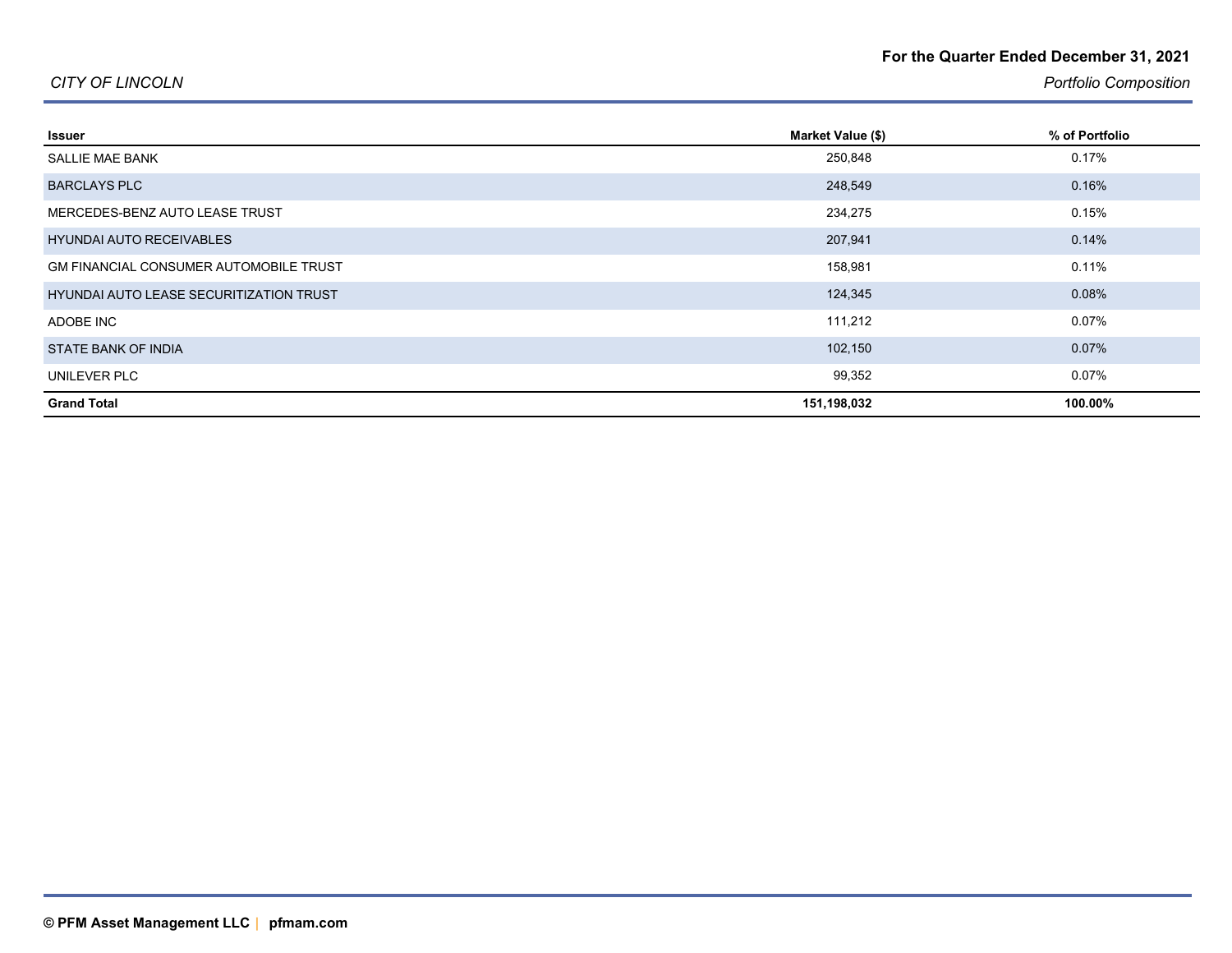#### **For the Quarter Ended December 31, 2021**

#### *CITY OF LINCOLN*

*Portfolio Composition*

| Issuer                                         | Market Value (\$) | % of Portfolio |
|------------------------------------------------|-------------------|----------------|
| <b>SALLIE MAE BANK</b>                         | 250,848           | 0.17%          |
| <b>BARCLAYS PLC</b>                            | 248,549           | 0.16%          |
| MERCEDES-BENZ AUTO LEASE TRUST                 | 234,275           | 0.15%          |
| <b>HYUNDAI AUTO RECEIVABLES</b>                | 207,941           | 0.14%          |
| <b>GM FINANCIAL CONSUMER AUTOMOBILE TRUST</b>  | 158,981           | 0.11%          |
| <b>HYUNDAI AUTO LEASE SECURITIZATION TRUST</b> | 124,345           | 0.08%          |
| ADOBE INC                                      | 111,212           | $0.07\%$       |
| STATE BANK OF INDIA                            | 102,150           | 0.07%          |
| UNILEVER PLC                                   | 99,352            | $0.07\%$       |
| <b>Grand Total</b>                             | 151,198,032       | 100.00%        |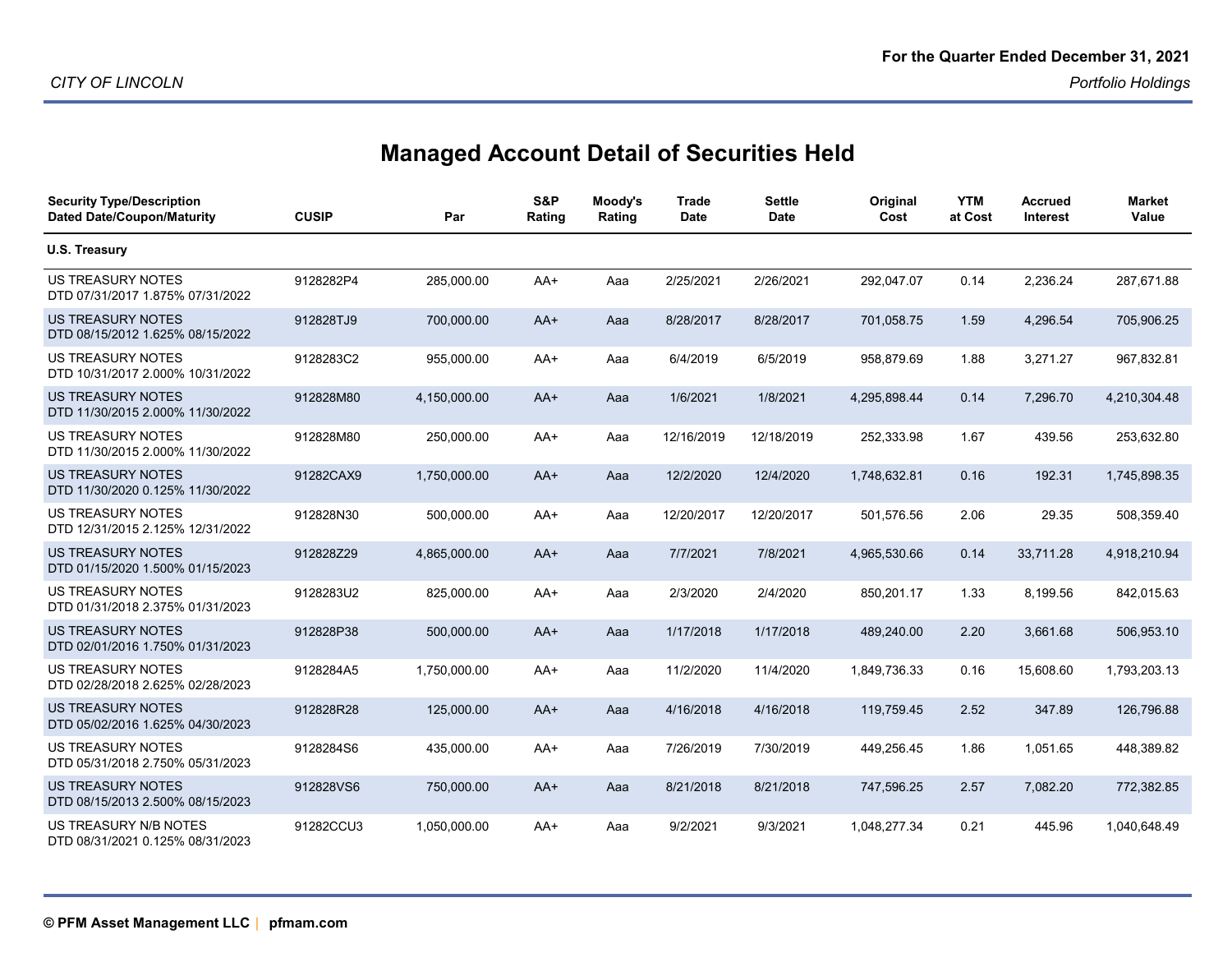# **Managed Account Detail of Securities Held**

| <b>Security Type/Description</b><br><b>Dated Date/Coupon/Maturity</b> | <b>CUSIP</b> | Par          | S&P<br>Rating | Moody's<br>Rating | <b>Trade</b><br><b>Date</b> | <b>Settle</b><br><b>Date</b> | Original<br>Cost | <b>YTM</b><br>at Cost | <b>Accrued</b><br>Interest | <b>Market</b><br>Value |
|-----------------------------------------------------------------------|--------------|--------------|---------------|-------------------|-----------------------------|------------------------------|------------------|-----------------------|----------------------------|------------------------|
| U.S. Treasury                                                         |              |              |               |                   |                             |                              |                  |                       |                            |                        |
| US TREASURY NOTES<br>DTD 07/31/2017 1.875% 07/31/2022                 | 9128282P4    | 285,000.00   | AA+           | Aaa               | 2/25/2021                   | 2/26/2021                    | 292,047.07       | 0.14                  | 2,236.24                   | 287,671.88             |
| <b>US TREASURY NOTES</b><br>DTD 08/15/2012 1.625% 08/15/2022          | 912828TJ9    | 700,000.00   | AA+           | Aaa               | 8/28/2017                   | 8/28/2017                    | 701,058.75       | 1.59                  | 4,296.54                   | 705,906.25             |
| <b>US TREASURY NOTES</b><br>DTD 10/31/2017 2.000% 10/31/2022          | 9128283C2    | 955,000.00   | AA+           | Aaa               | 6/4/2019                    | 6/5/2019                     | 958,879.69       | 1.88                  | 3,271.27                   | 967,832.81             |
| <b>US TREASURY NOTES</b><br>DTD 11/30/2015 2.000% 11/30/2022          | 912828M80    | 4,150,000.00 | AA+           | Aaa               | 1/6/2021                    | 1/8/2021                     | 4,295,898.44     | 0.14                  | 7,296.70                   | 4,210,304.48           |
| US TREASURY NOTES<br>DTD 11/30/2015 2.000% 11/30/2022                 | 912828M80    | 250,000.00   | AA+           | Aaa               | 12/16/2019                  | 12/18/2019                   | 252,333.98       | 1.67                  | 439.56                     | 253,632.80             |
| <b>US TREASURY NOTES</b><br>DTD 11/30/2020 0.125% 11/30/2022          | 91282CAX9    | 1,750,000.00 | $AA+$         | Aaa               | 12/2/2020                   | 12/4/2020                    | 1,748,632.81     | 0.16                  | 192.31                     | 1,745,898.35           |
| <b>US TREASURY NOTES</b><br>DTD 12/31/2015 2.125% 12/31/2022          | 912828N30    | 500,000.00   | AA+           | Aaa               | 12/20/2017                  | 12/20/2017                   | 501,576.56       | 2.06                  | 29.35                      | 508,359.40             |
| US TREASURY NOTES<br>DTD 01/15/2020 1.500% 01/15/2023                 | 912828Z29    | 4,865,000.00 | AA+           | Aaa               | 7/7/2021                    | 7/8/2021                     | 4,965,530.66     | 0.14                  | 33,711.28                  | 4,918,210.94           |
| US TREASURY NOTES<br>DTD 01/31/2018 2.375% 01/31/2023                 | 9128283U2    | 825,000.00   | AA+           | Aaa               | 2/3/2020                    | 2/4/2020                     | 850,201.17       | 1.33                  | 8,199.56                   | 842,015.63             |
| US TREASURY NOTES<br>DTD 02/01/2016 1.750% 01/31/2023                 | 912828P38    | 500,000.00   | $AA+$         | Aaa               | 1/17/2018                   | 1/17/2018                    | 489,240.00       | 2.20                  | 3,661.68                   | 506,953.10             |
| US TREASURY NOTES<br>DTD 02/28/2018 2.625% 02/28/2023                 | 9128284A5    | 1,750,000.00 | AA+           | Aaa               | 11/2/2020                   | 11/4/2020                    | 1,849,736.33     | 0.16                  | 15,608.60                  | 1,793,203.13           |
| <b>US TREASURY NOTES</b><br>DTD 05/02/2016 1.625% 04/30/2023          | 912828R28    | 125,000.00   | $AA+$         | Aaa               | 4/16/2018                   | 4/16/2018                    | 119,759.45       | 2.52                  | 347.89                     | 126,796.88             |
| <b>US TREASURY NOTES</b><br>DTD 05/31/2018 2.750% 05/31/2023          | 9128284S6    | 435,000.00   | AA+           | Aaa               | 7/26/2019                   | 7/30/2019                    | 449,256.45       | 1.86                  | 1,051.65                   | 448,389.82             |
| US TREASURY NOTES<br>DTD 08/15/2013 2.500% 08/15/2023                 | 912828VS6    | 750,000.00   | AA+           | Aaa               | 8/21/2018                   | 8/21/2018                    | 747,596.25       | 2.57                  | 7,082.20                   | 772,382.85             |
| US TREASURY N/B NOTES<br>DTD 08/31/2021 0.125% 08/31/2023             | 91282CCU3    | 1,050,000.00 | AA+           | Aaa               | 9/2/2021                    | 9/3/2021                     | 1,048,277.34     | 0.21                  | 445.96                     | 1,040,648.49           |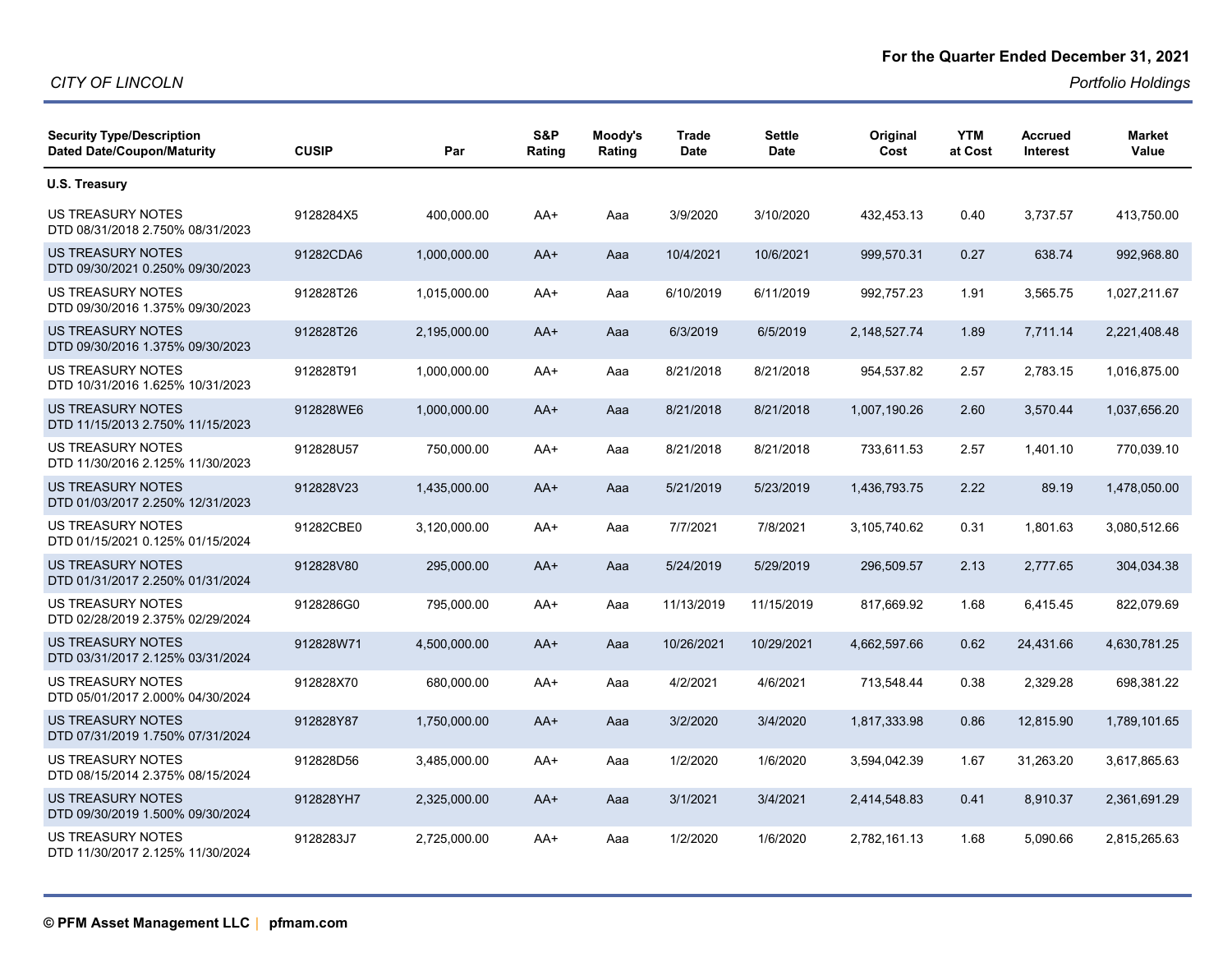#### **For the Quarter Ended December 31, 2021**

| <b>Security Type/Description</b><br><b>Dated Date/Coupon/Maturity</b> | <b>CUSIP</b> | Par          | S&P<br>Rating | Moody's<br>Rating | <b>Trade</b><br>Date | Settle<br>Date | Original<br>Cost | <b>YTM</b><br>at Cost | <b>Accrued</b><br><b>Interest</b> | <b>Market</b><br>Value |
|-----------------------------------------------------------------------|--------------|--------------|---------------|-------------------|----------------------|----------------|------------------|-----------------------|-----------------------------------|------------------------|
| U.S. Treasury                                                         |              |              |               |                   |                      |                |                  |                       |                                   |                        |
| US TREASURY NOTES<br>DTD 08/31/2018 2.750% 08/31/2023                 | 9128284X5    | 400,000.00   | AA+           | Aaa               | 3/9/2020             | 3/10/2020      | 432,453.13       | 0.40                  | 3,737.57                          | 413,750.00             |
| US TREASURY NOTES<br>DTD 09/30/2021 0.250% 09/30/2023                 | 91282CDA6    | 1,000,000.00 | $AA+$         | Aaa               | 10/4/2021            | 10/6/2021      | 999,570.31       | 0.27                  | 638.74                            | 992,968.80             |
| US TREASURY NOTES<br>DTD 09/30/2016 1.375% 09/30/2023                 | 912828T26    | 1,015,000.00 | AA+           | Aaa               | 6/10/2019            | 6/11/2019      | 992,757.23       | 1.91                  | 3,565.75                          | 1,027,211.67           |
| <b>US TREASURY NOTES</b><br>DTD 09/30/2016 1.375% 09/30/2023          | 912828T26    | 2,195,000.00 | $AA+$         | Aaa               | 6/3/2019             | 6/5/2019       | 2,148,527.74     | 1.89                  | 7,711.14                          | 2,221,408.48           |
| US TREASURY NOTES<br>DTD 10/31/2016 1.625% 10/31/2023                 | 912828T91    | 1,000,000.00 | AA+           | Aaa               | 8/21/2018            | 8/21/2018      | 954,537.82       | 2.57                  | 2,783.15                          | 1,016,875.00           |
| <b>US TREASURY NOTES</b><br>DTD 11/15/2013 2.750% 11/15/2023          | 912828WE6    | 1,000,000.00 | $AA+$         | Aaa               | 8/21/2018            | 8/21/2018      | 1,007,190.26     | 2.60                  | 3,570.44                          | 1,037,656.20           |
| <b>US TREASURY NOTES</b><br>DTD 11/30/2016 2.125% 11/30/2023          | 912828U57    | 750,000.00   | $AA+$         | Aaa               | 8/21/2018            | 8/21/2018      | 733,611.53       | 2.57                  | 1.401.10                          | 770,039.10             |
| <b>US TREASURY NOTES</b><br>DTD 01/03/2017 2.250% 12/31/2023          | 912828V23    | 1,435,000.00 | $AA+$         | Aaa               | 5/21/2019            | 5/23/2019      | 1,436,793.75     | 2.22                  | 89.19                             | 1,478,050.00           |
| US TREASURY NOTES<br>DTD 01/15/2021 0.125% 01/15/2024                 | 91282CBE0    | 3,120,000.00 | AA+           | Aaa               | 7/7/2021             | 7/8/2021       | 3,105,740.62     | 0.31                  | 1,801.63                          | 3,080,512.66           |
| US TREASURY NOTES<br>DTD 01/31/2017 2.250% 01/31/2024                 | 912828V80    | 295,000.00   | $AA+$         | Aaa               | 5/24/2019            | 5/29/2019      | 296,509.57       | 2.13                  | 2.777.65                          | 304,034.38             |
| <b>US TREASURY NOTES</b><br>DTD 02/28/2019 2.375% 02/29/2024          | 9128286G0    | 795,000.00   | $AA+$         | Aaa               | 11/13/2019           | 11/15/2019     | 817,669.92       | 1.68                  | 6,415.45                          | 822,079.69             |
| US TREASURY NOTES<br>DTD 03/31/2017 2.125% 03/31/2024                 | 912828W71    | 4,500,000.00 | $AA+$         | Aaa               | 10/26/2021           | 10/29/2021     | 4,662,597.66     | 0.62                  | 24,431.66                         | 4,630,781.25           |
| US TREASURY NOTES<br>DTD 05/01/2017 2.000% 04/30/2024                 | 912828X70    | 680,000.00   | AA+           | Aaa               | 4/2/2021             | 4/6/2021       | 713,548.44       | 0.38                  | 2,329.28                          | 698,381.22             |
| US TREASURY NOTES<br>DTD 07/31/2019 1.750% 07/31/2024                 | 912828Y87    | 1,750,000.00 | $AA+$         | Aaa               | 3/2/2020             | 3/4/2020       | 1,817,333.98     | 0.86                  | 12,815.90                         | 1,789,101.65           |
| <b>US TREASURY NOTES</b><br>DTD 08/15/2014 2.375% 08/15/2024          | 912828D56    | 3,485,000.00 | $AA+$         | Aaa               | 1/2/2020             | 1/6/2020       | 3,594,042.39     | 1.67                  | 31,263.20                         | 3,617,865.63           |
| US TREASURY NOTES<br>DTD 09/30/2019 1.500% 09/30/2024                 | 912828YH7    | 2,325,000.00 | AA+           | Aaa               | 3/1/2021             | 3/4/2021       | 2,414,548.83     | 0.41                  | 8,910.37                          | 2,361,691.29           |
| US TREASURY NOTES<br>DTD 11/30/2017 2.125% 11/30/2024                 | 9128283J7    | 2,725,000.00 | $AA+$         | Aaa               | 1/2/2020             | 1/6/2020       | 2,782,161.13     | 1.68                  | 5,090.66                          | 2,815,265.63           |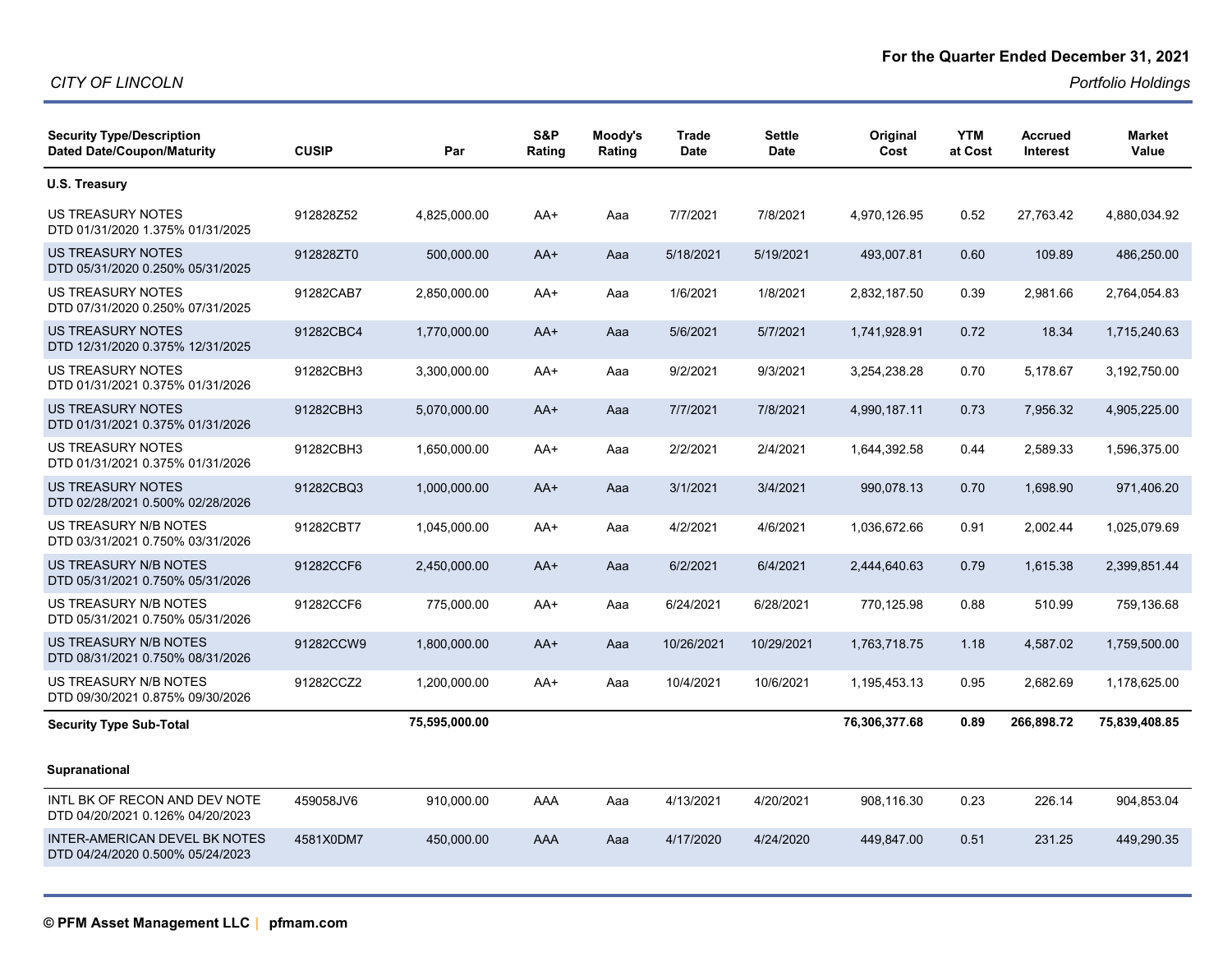| <b>Security Type/Description</b><br><b>Dated Date/Coupon/Maturity</b>    | <b>CUSIP</b> | Par           | S&P<br>Rating | Moody's<br>Rating | <b>Trade</b><br><b>Date</b> | <b>Settle</b><br><b>Date</b> | Original<br>Cost | <b>YTM</b><br>at Cost | Accrued<br><b>Interest</b> | <b>Market</b><br>Value |
|--------------------------------------------------------------------------|--------------|---------------|---------------|-------------------|-----------------------------|------------------------------|------------------|-----------------------|----------------------------|------------------------|
| U.S. Treasury                                                            |              |               |               |                   |                             |                              |                  |                       |                            |                        |
| <b>US TREASURY NOTES</b><br>DTD 01/31/2020 1.375% 01/31/2025             | 912828Z52    | 4,825,000.00  | AA+           | Aaa               | 7/7/2021                    | 7/8/2021                     | 4,970,126.95     | 0.52                  | 27,763.42                  | 4,880,034.92           |
| US TREASURY NOTES<br>DTD 05/31/2020 0.250% 05/31/2025                    | 912828ZT0    | 500,000.00    | AA+           | Aaa               | 5/18/2021                   | 5/19/2021                    | 493,007.81       | 0.60                  | 109.89                     | 486,250.00             |
| <b>US TREASURY NOTES</b><br>DTD 07/31/2020 0.250% 07/31/2025             | 91282CAB7    | 2,850,000.00  | AA+           | Aaa               | 1/6/2021                    | 1/8/2021                     | 2,832,187.50     | 0.39                  | 2,981.66                   | 2,764,054.83           |
| <b>US TREASURY NOTES</b><br>DTD 12/31/2020 0.375% 12/31/2025             | 91282CBC4    | 1,770,000.00  | AA+           | Aaa               | 5/6/2021                    | 5/7/2021                     | 1,741,928.91     | 0.72                  | 18.34                      | 1,715,240.63           |
| US TREASURY NOTES<br>DTD 01/31/2021 0.375% 01/31/2026                    | 91282CBH3    | 3,300,000.00  | AA+           | Aaa               | 9/2/2021                    | 9/3/2021                     | 3,254,238.28     | 0.70                  | 5,178.67                   | 3,192,750.00           |
| <b>US TREASURY NOTES</b><br>DTD 01/31/2021 0.375% 01/31/2026             | 91282CBH3    | 5,070,000.00  | AA+           | Aaa               | 7/7/2021                    | 7/8/2021                     | 4,990,187.11     | 0.73                  | 7,956.32                   | 4,905,225.00           |
| US TREASURY NOTES<br>DTD 01/31/2021 0.375% 01/31/2026                    | 91282CBH3    | 1,650,000.00  | AA+           | Aaa               | 2/2/2021                    | 2/4/2021                     | 1,644,392.58     | 0.44                  | 2,589.33                   | 1,596,375.00           |
| US TREASURY NOTES<br>DTD 02/28/2021 0.500% 02/28/2026                    | 91282CBQ3    | 1,000,000.00  | AA+           | Aaa               | 3/1/2021                    | 3/4/2021                     | 990,078.13       | 0.70                  | 1,698.90                   | 971,406.20             |
| US TREASURY N/B NOTES<br>DTD 03/31/2021 0.750% 03/31/2026                | 91282CBT7    | 1,045,000.00  | AA+           | Aaa               | 4/2/2021                    | 4/6/2021                     | 1,036,672.66     | 0.91                  | 2,002.44                   | 1,025,079.69           |
| US TREASURY N/B NOTES<br>DTD 05/31/2021 0.750% 05/31/2026                | 91282CCF6    | 2,450,000.00  | AA+           | Aaa               | 6/2/2021                    | 6/4/2021                     | 2,444,640.63     | 0.79                  | 1,615.38                   | 2,399,851.44           |
| US TREASURY N/B NOTES<br>DTD 05/31/2021 0.750% 05/31/2026                | 91282CCF6    | 775,000.00    | AA+           | Aaa               | 6/24/2021                   | 6/28/2021                    | 770,125.98       | 0.88                  | 510.99                     | 759,136.68             |
| US TREASURY N/B NOTES<br>DTD 08/31/2021 0.750% 08/31/2026                | 91282CCW9    | 1,800,000.00  | AA+           | Aaa               | 10/26/2021                  | 10/29/2021                   | 1,763,718.75     | 1.18                  | 4,587.02                   | 1,759,500.00           |
| US TREASURY N/B NOTES<br>DTD 09/30/2021 0.875% 09/30/2026                | 91282CCZ2    | 1,200,000.00  | AA+           | Aaa               | 10/4/2021                   | 10/6/2021                    | 1,195,453.13     | 0.95                  | 2,682.69                   | 1,178,625.00           |
| <b>Security Type Sub-Total</b>                                           |              | 75,595,000.00 |               |                   |                             |                              | 76,306,377.68    | 0.89                  | 266,898.72                 | 75,839,408.85          |
| <b>Supranational</b>                                                     |              |               |               |                   |                             |                              |                  |                       |                            |                        |
| INTL BK OF RECON AND DEV NOTE<br>DTD 04/20/2021 0.126% 04/20/2023        | 459058JV6    | 910,000.00    | AAA           | Aaa               | 4/13/2021                   | 4/20/2021                    | 908,116.30       | 0.23                  | 226.14                     | 904,853.04             |
| <b>INTER-AMERICAN DEVEL BK NOTES</b><br>DTD 04/24/2020 0.500% 05/24/2023 | 4581X0DM7    | 450,000.00    | AAA           | Aaa               | 4/17/2020                   | 4/24/2020                    | 449,847.00       | 0.51                  | 231.25                     | 449,290.35             |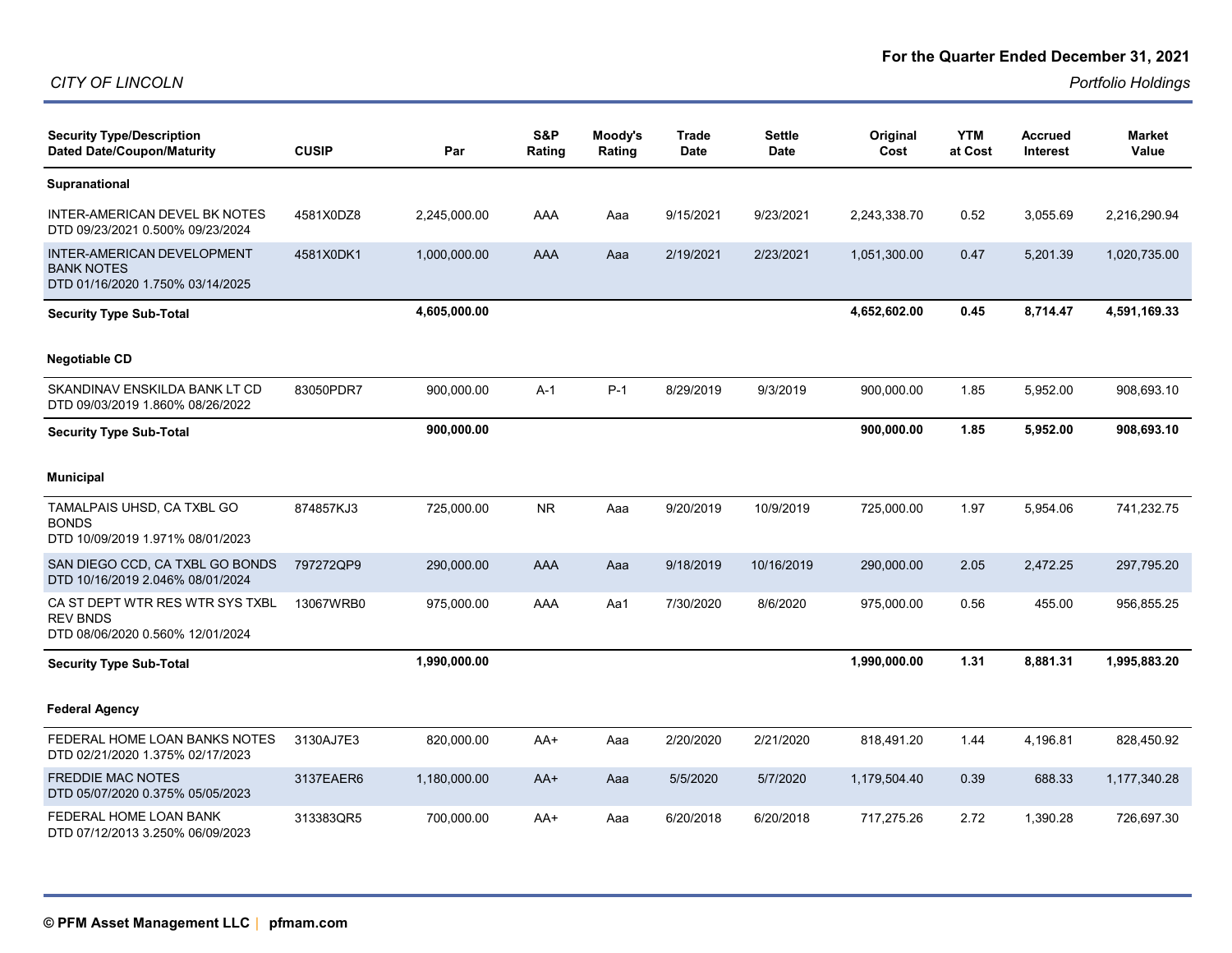| <b>Security Type/Description</b><br><b>Dated Date/Coupon/Maturity</b>                  | <b>CUSIP</b> | Par          | S&P<br>Rating | Moody's<br>Rating | Trade<br><b>Date</b> | <b>Settle</b><br>Date | Original<br>Cost | <b>YTM</b><br>at Cost | <b>Accrued</b><br>Interest | <b>Market</b><br>Value |
|----------------------------------------------------------------------------------------|--------------|--------------|---------------|-------------------|----------------------|-----------------------|------------------|-----------------------|----------------------------|------------------------|
| Supranational                                                                          |              |              |               |                   |                      |                       |                  |                       |                            |                        |
| INTER-AMERICAN DEVEL BK NOTES<br>DTD 09/23/2021 0.500% 09/23/2024                      | 4581X0DZ8    | 2,245,000.00 | AAA           | Aaa               | 9/15/2021            | 9/23/2021             | 2,243,338.70     | 0.52                  | 3,055.69                   | 2,216,290.94           |
| INTER-AMERICAN DEVELOPMENT<br><b>BANK NOTES</b><br>DTD 01/16/2020 1.750% 03/14/2025    | 4581X0DK1    | 1,000,000.00 | AAA           | Aaa               | 2/19/2021            | 2/23/2021             | 1,051,300.00     | 0.47                  | 5,201.39                   | 1,020,735.00           |
| <b>Security Type Sub-Total</b>                                                         |              | 4,605,000.00 |               |                   |                      |                       | 4,652,602.00     | 0.45                  | 8,714.47                   | 4,591,169.33           |
| <b>Negotiable CD</b>                                                                   |              |              |               |                   |                      |                       |                  |                       |                            |                        |
| SKANDINAV ENSKILDA BANK LT CD<br>DTD 09/03/2019 1.860% 08/26/2022                      | 83050PDR7    | 900,000.00   | $A-1$         | $P-1$             | 8/29/2019            | 9/3/2019              | 900,000.00       | 1.85                  | 5,952.00                   | 908,693.10             |
| <b>Security Type Sub-Total</b>                                                         |              | 900,000.00   |               |                   |                      |                       | 900,000.00       | 1.85                  | 5,952.00                   | 908,693.10             |
| <b>Municipal</b>                                                                       |              |              |               |                   |                      |                       |                  |                       |                            |                        |
| TAMALPAIS UHSD, CA TXBL GO<br><b>BONDS</b><br>DTD 10/09/2019 1.971% 08/01/2023         | 874857KJ3    | 725,000.00   | <b>NR</b>     | Aaa               | 9/20/2019            | 10/9/2019             | 725,000.00       | 1.97                  | 5,954.06                   | 741,232.75             |
| SAN DIEGO CCD, CA TXBL GO BONDS<br>DTD 10/16/2019 2.046% 08/01/2024                    | 797272QP9    | 290,000.00   | AAA           | Aaa               | 9/18/2019            | 10/16/2019            | 290,000.00       | 2.05                  | 2,472.25                   | 297,795.20             |
| CA ST DEPT WTR RES WTR SYS TXBL<br><b>REV BNDS</b><br>DTD 08/06/2020 0.560% 12/01/2024 | 13067WRB0    | 975,000.00   | AAA           | Aa1               | 7/30/2020            | 8/6/2020              | 975,000.00       | 0.56                  | 455.00                     | 956,855.25             |
| <b>Security Type Sub-Total</b>                                                         |              | 1,990,000.00 |               |                   |                      |                       | 1,990,000.00     | 1.31                  | 8,881.31                   | 1,995,883.20           |
| <b>Federal Agency</b>                                                                  |              |              |               |                   |                      |                       |                  |                       |                            |                        |
| FEDERAL HOME LOAN BANKS NOTES<br>DTD 02/21/2020 1.375% 02/17/2023                      | 3130AJ7E3    | 820,000.00   | AA+           | Aaa               | 2/20/2020            | 2/21/2020             | 818,491.20       | 1.44                  | 4,196.81                   | 828,450.92             |
| <b>FREDDIE MAC NOTES</b><br>DTD 05/07/2020 0.375% 05/05/2023                           | 3137EAER6    | 1,180,000.00 | AA+           | Aaa               | 5/5/2020             | 5/7/2020              | 1,179,504.40     | 0.39                  | 688.33                     | 1,177,340.28           |
| FEDERAL HOME LOAN BANK<br>DTD 07/12/2013 3.250% 06/09/2023                             | 313383QR5    | 700,000.00   | AA+           | Aaa               | 6/20/2018            | 6/20/2018             | 717,275.26       | 2.72                  | 1,390.28                   | 726,697.30             |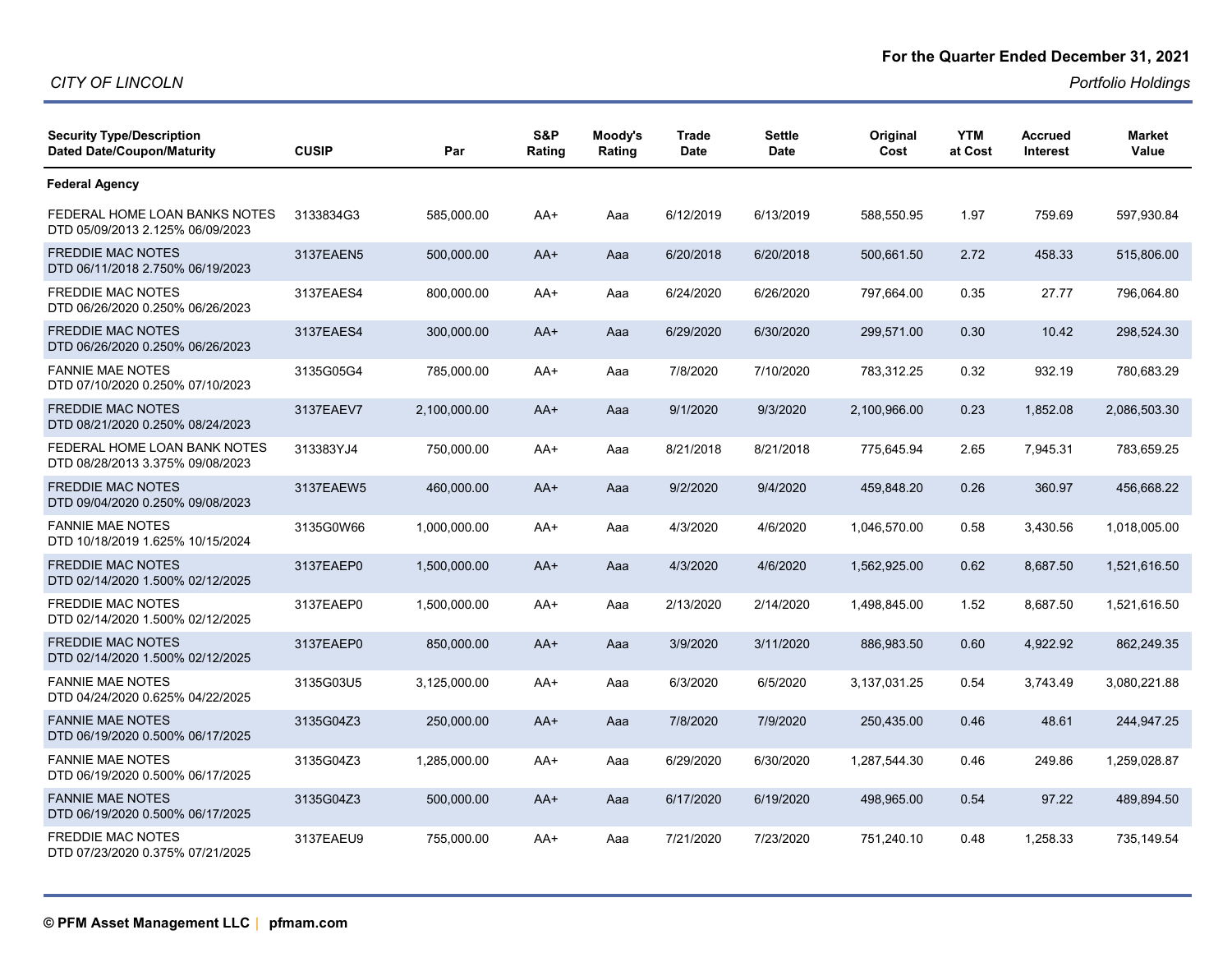| <b>Security Type/Description</b><br><b>Dated Date/Coupon/Maturity</b> | <b>CUSIP</b> | Par          | S&P<br>Rating | Moody's<br>Rating | <b>Trade</b><br><b>Date</b> | <b>Settle</b><br><b>Date</b> | Original<br>Cost | <b>YTM</b><br>at Cost | <b>Accrued</b><br>Interest | <b>Market</b><br>Value |
|-----------------------------------------------------------------------|--------------|--------------|---------------|-------------------|-----------------------------|------------------------------|------------------|-----------------------|----------------------------|------------------------|
| <b>Federal Agency</b>                                                 |              |              |               |                   |                             |                              |                  |                       |                            |                        |
| FEDERAL HOME LOAN BANKS NOTES<br>DTD 05/09/2013 2.125% 06/09/2023     | 3133834G3    | 585,000.00   | AA+           | Aaa               | 6/12/2019                   | 6/13/2019                    | 588,550.95       | 1.97                  | 759.69                     | 597,930.84             |
| <b>FREDDIE MAC NOTES</b><br>DTD 06/11/2018 2.750% 06/19/2023          | 3137EAEN5    | 500,000.00   | $AA+$         | Aaa               | 6/20/2018                   | 6/20/2018                    | 500,661.50       | 2.72                  | 458.33                     | 515,806.00             |
| <b>FREDDIE MAC NOTES</b><br>DTD 06/26/2020 0.250% 06/26/2023          | 3137EAES4    | 800,000.00   | AA+           | Aaa               | 6/24/2020                   | 6/26/2020                    | 797,664.00       | 0.35                  | 27.77                      | 796,064.80             |
| <b>FREDDIE MAC NOTES</b><br>DTD 06/26/2020 0.250% 06/26/2023          | 3137EAES4    | 300,000.00   | $AA+$         | Aaa               | 6/29/2020                   | 6/30/2020                    | 299,571.00       | 0.30                  | 10.42                      | 298,524.30             |
| <b>FANNIE MAE NOTES</b><br>DTD 07/10/2020 0.250% 07/10/2023           | 3135G05G4    | 785,000.00   | AA+           | Aaa               | 7/8/2020                    | 7/10/2020                    | 783,312.25       | 0.32                  | 932.19                     | 780,683.29             |
| <b>FREDDIE MAC NOTES</b><br>DTD 08/21/2020 0.250% 08/24/2023          | 3137EAEV7    | 2,100,000.00 | $AA+$         | Aaa               | 9/1/2020                    | 9/3/2020                     | 2,100,966.00     | 0.23                  | 1,852.08                   | 2,086,503.30           |
| FEDERAL HOME LOAN BANK NOTES<br>DTD 08/28/2013 3.375% 09/08/2023      | 313383YJ4    | 750,000.00   | $AA+$         | Aaa               | 8/21/2018                   | 8/21/2018                    | 775,645.94       | 2.65                  | 7,945.31                   | 783,659.25             |
| <b>FREDDIE MAC NOTES</b><br>DTD 09/04/2020 0.250% 09/08/2023          | 3137EAEW5    | 460,000.00   | $AA+$         | Aaa               | 9/2/2020                    | 9/4/2020                     | 459,848.20       | 0.26                  | 360.97                     | 456,668.22             |
| <b>FANNIE MAE NOTES</b><br>DTD 10/18/2019 1.625% 10/15/2024           | 3135G0W66    | 1,000,000.00 | AA+           | Aaa               | 4/3/2020                    | 4/6/2020                     | 1,046,570.00     | 0.58                  | 3,430.56                   | 1,018,005.00           |
| <b>FREDDIE MAC NOTES</b><br>DTD 02/14/2020 1.500% 02/12/2025          | 3137EAEP0    | 1,500,000.00 | $AA+$         | Aaa               | 4/3/2020                    | 4/6/2020                     | 1,562,925.00     | 0.62                  | 8.687.50                   | 1,521,616.50           |
| <b>FREDDIE MAC NOTES</b><br>DTD 02/14/2020 1.500% 02/12/2025          | 3137EAEP0    | 1,500,000.00 | AA+           | Aaa               | 2/13/2020                   | 2/14/2020                    | 1,498,845.00     | 1.52                  | 8,687.50                   | 1,521,616.50           |
| <b>FREDDIE MAC NOTES</b><br>DTD 02/14/2020 1.500% 02/12/2025          | 3137EAEP0    | 850,000.00   | $AA+$         | Aaa               | 3/9/2020                    | 3/11/2020                    | 886,983.50       | 0.60                  | 4,922.92                   | 862,249.35             |
| <b>FANNIE MAE NOTES</b><br>DTD 04/24/2020 0.625% 04/22/2025           | 3135G03U5    | 3,125,000.00 | AA+           | Aaa               | 6/3/2020                    | 6/5/2020                     | 3,137,031.25     | 0.54                  | 3,743.49                   | 3,080,221.88           |
| <b>FANNIE MAE NOTES</b><br>DTD 06/19/2020 0.500% 06/17/2025           | 3135G04Z3    | 250,000.00   | $AA+$         | Aaa               | 7/8/2020                    | 7/9/2020                     | 250,435.00       | 0.46                  | 48.61                      | 244,947.25             |
| <b>FANNIE MAE NOTES</b><br>DTD 06/19/2020 0.500% 06/17/2025           | 3135G04Z3    | 1,285,000.00 | AA+           | Aaa               | 6/29/2020                   | 6/30/2020                    | 1,287,544.30     | 0.46                  | 249.86                     | 1,259,028.87           |
| <b>FANNIE MAE NOTES</b><br>DTD 06/19/2020 0.500% 06/17/2025           | 3135G04Z3    | 500,000.00   | AA+           | Aaa               | 6/17/2020                   | 6/19/2020                    | 498,965.00       | 0.54                  | 97.22                      | 489,894.50             |
| <b>FREDDIE MAC NOTES</b><br>DTD 07/23/2020 0.375% 07/21/2025          | 3137EAEU9    | 755,000.00   | AA+           | Aaa               | 7/21/2020                   | 7/23/2020                    | 751,240.10       | 0.48                  | 1,258.33                   | 735,149.54             |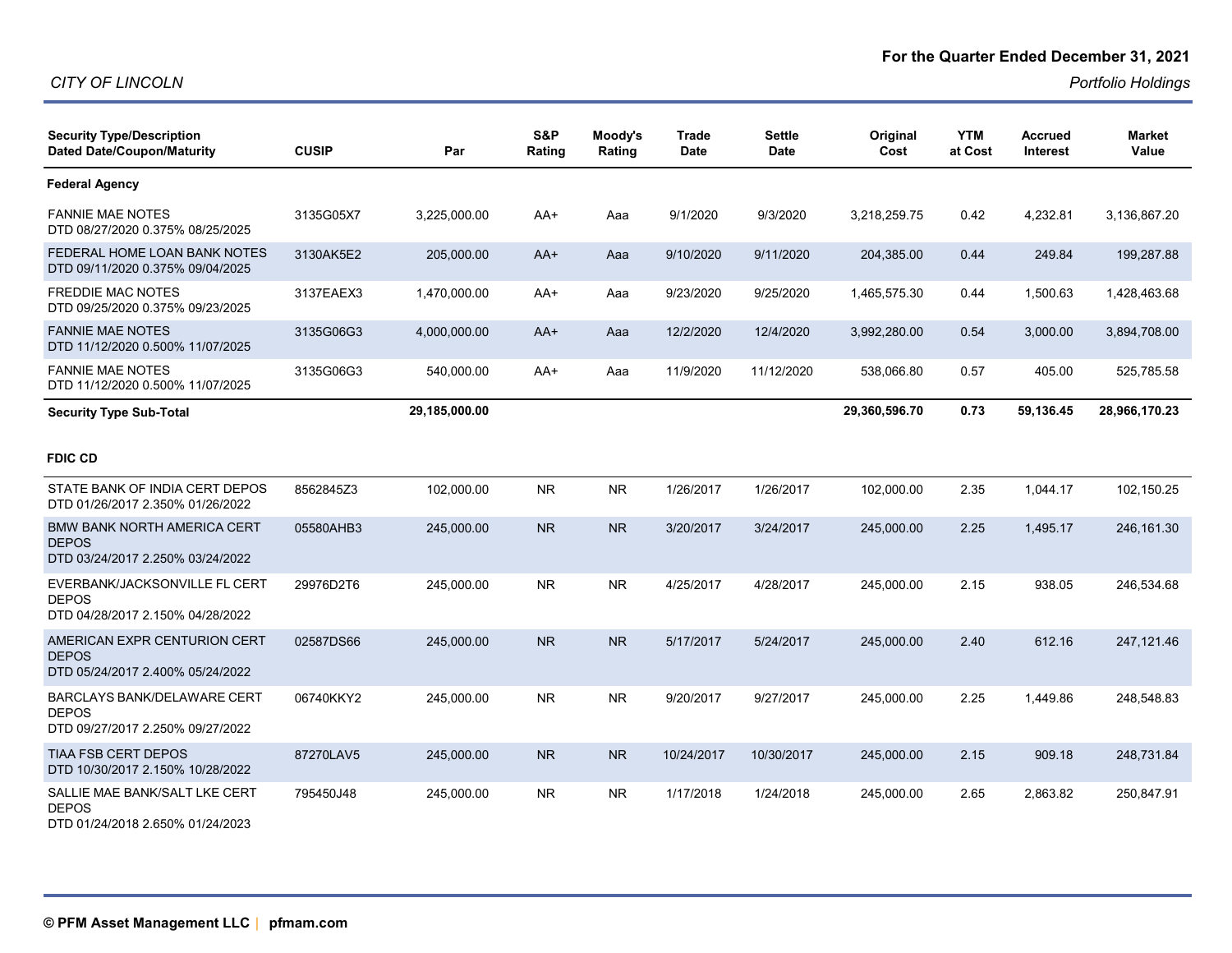| <b>Security Type/Description</b><br><b>Dated Date/Coupon/Maturity</b>                  | <b>CUSIP</b> | Par           | S&P<br>Rating | Moody's<br>Rating | <b>Trade</b><br><b>Date</b> | Settle<br><b>Date</b> | Original<br>Cost | <b>YTM</b><br>at Cost | <b>Accrued</b><br><b>Interest</b> | <b>Market</b><br>Value |
|----------------------------------------------------------------------------------------|--------------|---------------|---------------|-------------------|-----------------------------|-----------------------|------------------|-----------------------|-----------------------------------|------------------------|
| <b>Federal Agency</b>                                                                  |              |               |               |                   |                             |                       |                  |                       |                                   |                        |
| <b>FANNIE MAE NOTES</b><br>DTD 08/27/2020 0.375% 08/25/2025                            | 3135G05X7    | 3,225,000.00  | AA+           | Aaa               | 9/1/2020                    | 9/3/2020              | 3,218,259.75     | 0.42                  | 4,232.81                          | 3,136,867.20           |
| FEDERAL HOME LOAN BANK NOTES<br>DTD 09/11/2020 0.375% 09/04/2025                       | 3130AK5E2    | 205,000.00    | $AA+$         | Aaa               | 9/10/2020                   | 9/11/2020             | 204,385.00       | 0.44                  | 249.84                            | 199,287.88             |
| <b>FREDDIE MAC NOTES</b><br>DTD 09/25/2020 0.375% 09/23/2025                           | 3137EAEX3    | 1,470,000.00  | AA+           | Aaa               | 9/23/2020                   | 9/25/2020             | 1,465,575.30     | 0.44                  | 1,500.63                          | 1,428,463.68           |
| <b>FANNIE MAE NOTES</b><br>DTD 11/12/2020 0.500% 11/07/2025                            | 3135G06G3    | 4,000,000.00  | $AA+$         | Aaa               | 12/2/2020                   | 12/4/2020             | 3,992,280.00     | 0.54                  | 3,000.00                          | 3,894,708.00           |
| <b>FANNIE MAE NOTES</b><br>DTD 11/12/2020 0.500% 11/07/2025                            | 3135G06G3    | 540,000.00    | AA+           | Aaa               | 11/9/2020                   | 11/12/2020            | 538,066.80       | 0.57                  | 405.00                            | 525,785.58             |
| <b>Security Type Sub-Total</b>                                                         |              | 29,185,000.00 |               |                   |                             |                       | 29,360,596.70    | 0.73                  | 59,136.45                         | 28,966,170.23          |
| <b>FDIC CD</b>                                                                         |              |               |               |                   |                             |                       |                  |                       |                                   |                        |
| STATE BANK OF INDIA CERT DEPOS<br>DTD 01/26/2017 2.350% 01/26/2022                     | 8562845Z3    | 102,000.00    | <b>NR</b>     | NR.               | 1/26/2017                   | 1/26/2017             | 102,000.00       | 2.35                  | 1,044.17                          | 102,150.25             |
| <b>BMW BANK NORTH AMERICA CERT</b><br><b>DEPOS</b><br>DTD 03/24/2017 2.250% 03/24/2022 | 05580AHB3    | 245,000.00    | <b>NR</b>     | <b>NR</b>         | 3/20/2017                   | 3/24/2017             | 245,000.00       | 2.25                  | 1,495.17                          | 246, 161.30            |
| EVERBANK/JACKSONVILLE FL CERT<br><b>DEPOS</b><br>DTD 04/28/2017 2.150% 04/28/2022      | 29976D2T6    | 245,000.00    | <b>NR</b>     | <b>NR</b>         | 4/25/2017                   | 4/28/2017             | 245,000.00       | 2.15                  | 938.05                            | 246,534.68             |
| AMERICAN EXPR CENTURION CERT<br><b>DEPOS</b><br>DTD 05/24/2017 2.400% 05/24/2022       | 02587DS66    | 245,000.00    | <b>NR</b>     | <b>NR</b>         | 5/17/2017                   | 5/24/2017             | 245,000.00       | 2.40                  | 612.16                            | 247,121.46             |
| <b>BARCLAYS BANK/DELAWARE CERT</b><br><b>DEPOS</b><br>DTD 09/27/2017 2.250% 09/27/2022 | 06740KKY2    | 245,000.00    | <b>NR</b>     | <b>NR</b>         | 9/20/2017                   | 9/27/2017             | 245,000.00       | 2.25                  | 1,449.86                          | 248,548.83             |
| <b>TIAA FSB CERT DEPOS</b><br>DTD 10/30/2017 2.150% 10/28/2022                         | 87270LAV5    | 245.000.00    | <b>NR</b>     | <b>NR</b>         | 10/24/2017                  | 10/30/2017            | 245,000.00       | 2.15                  | 909.18                            | 248,731.84             |
| SALLIE MAE BANK/SALT LKE CERT<br><b>DEPOS</b><br>DTD 01/24/2018 2.650% 01/24/2023      | 795450J48    | 245,000.00    | <b>NR</b>     | NR.               | 1/17/2018                   | 1/24/2018             | 245,000.00       | 2.65                  | 2,863.82                          | 250,847.91             |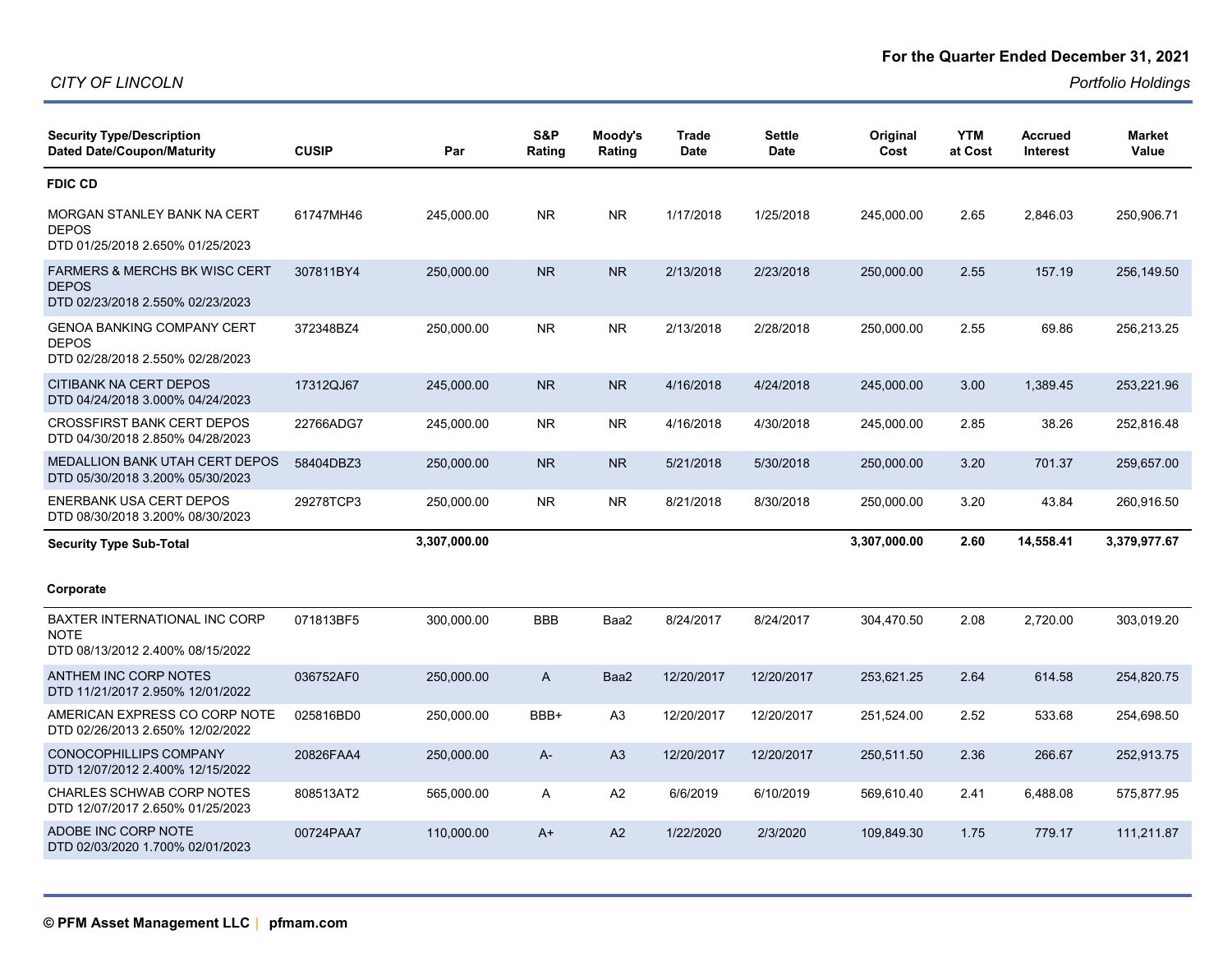#### **For the Quarter Ended December 31, 2021**

| <b>Security Type/Description</b><br><b>Dated Date/Coupon/Maturity</b>                        | <b>CUSIP</b> | Par          | S&P<br>Rating | Moody's<br>Rating | <b>Trade</b><br><b>Date</b> | <b>Settle</b><br><b>Date</b> | Original<br>Cost | <b>YTM</b><br>at Cost | Accrued<br><b>Interest</b> | <b>Market</b><br>Value |
|----------------------------------------------------------------------------------------------|--------------|--------------|---------------|-------------------|-----------------------------|------------------------------|------------------|-----------------------|----------------------------|------------------------|
| <b>FDIC CD</b>                                                                               |              |              |               |                   |                             |                              |                  |                       |                            |                        |
| MORGAN STANLEY BANK NA CERT<br><b>DEPOS</b><br>DTD 01/25/2018 2.650% 01/25/2023              | 61747MH46    | 245,000.00   | <b>NR</b>     | NR.               | 1/17/2018                   | 1/25/2018                    | 245,000.00       | 2.65                  | 2,846.03                   | 250,906.71             |
| <b>FARMERS &amp; MERCHS BK WISC CERT</b><br><b>DEPOS</b><br>DTD 02/23/2018 2.550% 02/23/2023 | 307811BY4    | 250,000.00   | <b>NR</b>     | <b>NR</b>         | 2/13/2018                   | 2/23/2018                    | 250,000.00       | 2.55                  | 157.19                     | 256,149.50             |
| <b>GENOA BANKING COMPANY CERT</b><br><b>DEPOS</b><br>DTD 02/28/2018 2.550% 02/28/2023        | 372348BZ4    | 250,000.00   | NR            | NR.               | 2/13/2018                   | 2/28/2018                    | 250,000.00       | 2.55                  | 69.86                      | 256,213.25             |
| <b>CITIBANK NA CERT DEPOS</b><br>DTD 04/24/2018 3.000% 04/24/2023                            | 17312QJ67    | 245,000.00   | <b>NR</b>     | <b>NR</b>         | 4/16/2018                   | 4/24/2018                    | 245,000.00       | 3.00                  | 1,389.45                   | 253,221.96             |
| <b>CROSSFIRST BANK CERT DEPOS</b><br>DTD 04/30/2018 2.850% 04/28/2023                        | 22766ADG7    | 245,000.00   | <b>NR</b>     | NR.               | 4/16/2018                   | 4/30/2018                    | 245,000.00       | 2.85                  | 38.26                      | 252,816.48             |
| <b>MEDALLION BANK UTAH CERT DEPOS</b><br>DTD 05/30/2018 3.200% 05/30/2023                    | 58404DBZ3    | 250,000.00   | <b>NR</b>     | <b>NR</b>         | 5/21/2018                   | 5/30/2018                    | 250,000.00       | 3.20                  | 701.37                     | 259,657.00             |
| <b>ENERBANK USA CERT DEPOS</b><br>DTD 08/30/2018 3.200% 08/30/2023                           | 29278TCP3    | 250,000.00   | <b>NR</b>     | <b>NR</b>         | 8/21/2018                   | 8/30/2018                    | 250,000.00       | 3.20                  | 43.84                      | 260,916.50             |
| <b>Security Type Sub-Total</b>                                                               |              | 3,307,000.00 |               |                   |                             |                              | 3,307,000.00     | 2.60                  | 14,558.41                  | 3,379,977.67           |
| Corporate                                                                                    |              |              |               |                   |                             |                              |                  |                       |                            |                        |
| <b>BAXTER INTERNATIONAL INC CORP</b><br><b>NOTE</b><br>DTD 08/13/2012 2.400% 08/15/2022      | 071813BF5    | 300,000.00   | <b>BBB</b>    | Baa2              | 8/24/2017                   | 8/24/2017                    | 304,470.50       | 2.08                  | 2,720.00                   | 303,019.20             |
| ANTHEM INC CORP NOTES<br>DTD 11/21/2017 2.950% 12/01/2022                                    | 036752AF0    | 250,000.00   | $\mathsf{A}$  | Baa2              | 12/20/2017                  | 12/20/2017                   | 253,621.25       | 2.64                  | 614.58                     | 254,820.75             |
| AMERICAN EXPRESS CO CORP NOTE<br>DTD 02/26/2013 2.650% 12/02/2022                            | 025816BD0    | 250,000.00   | BBB+          | A <sub>3</sub>    | 12/20/2017                  | 12/20/2017                   | 251,524.00       | 2.52                  | 533.68                     | 254,698.50             |
| <b>CONOCOPHILLIPS COMPANY</b><br>DTD 12/07/2012 2.400% 12/15/2022                            | 20826FAA4    | 250,000.00   | A-            | A3                | 12/20/2017                  | 12/20/2017                   | 250,511.50       | 2.36                  | 266.67                     | 252,913.75             |
| CHARLES SCHWAB CORP NOTES<br>DTD 12/07/2017 2.650% 01/25/2023                                | 808513AT2    | 565,000.00   | A             | A2                | 6/6/2019                    | 6/10/2019                    | 569,610.40       | 2.41                  | 6,488.08                   | 575,877.95             |
| ADOBE INC CORP NOTE<br>DTD 02/03/2020 1.700% 02/01/2023                                      | 00724PAA7    | 110,000.00   | $A+$          | A2                | 1/22/2020                   | 2/3/2020                     | 109,849.30       | 1.75                  | 779.17                     | 111,211.87             |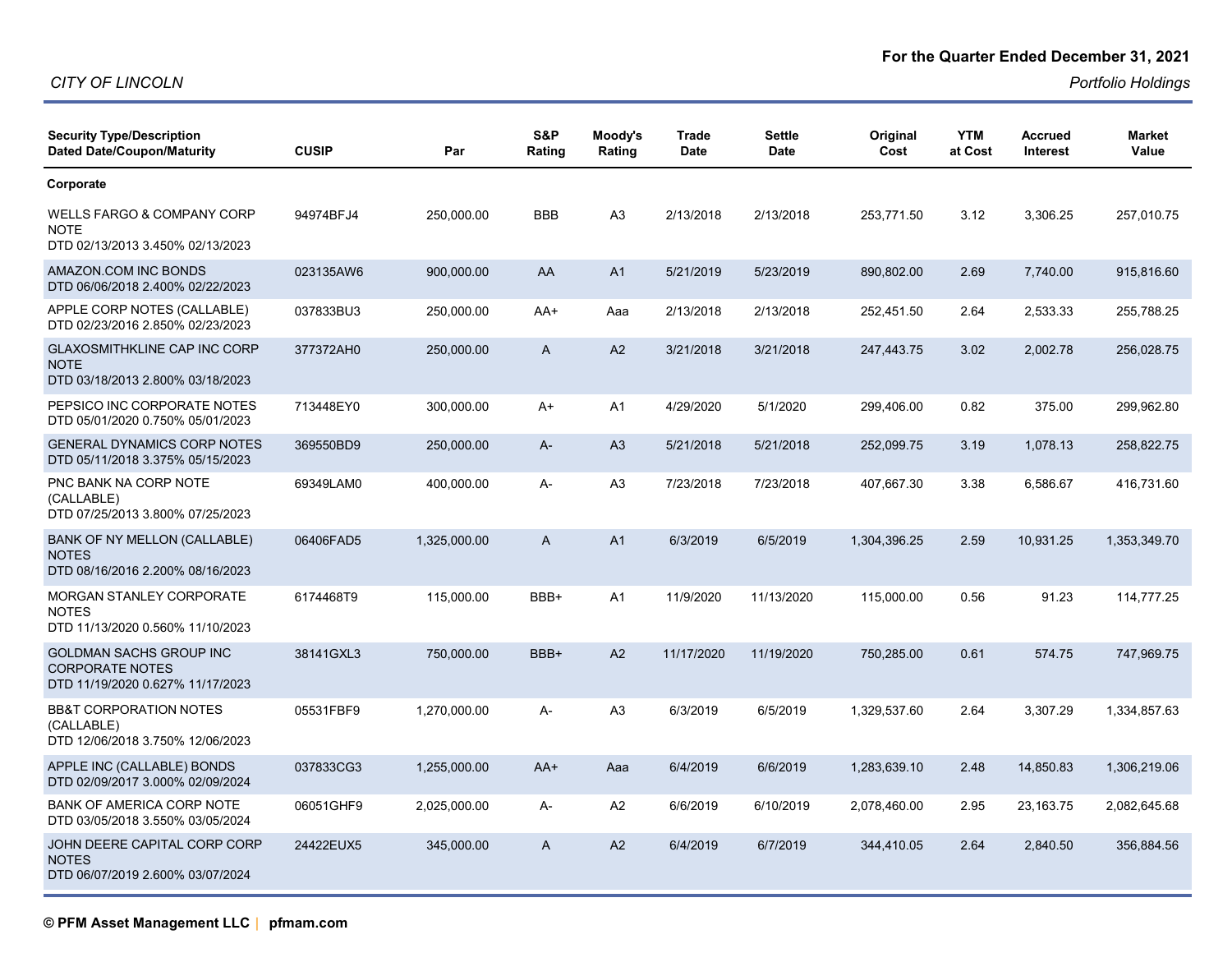*Portfolio Holdings*

| <b>Security Type/Description</b><br><b>Dated Date/Coupon/Maturity</b>                  | <b>CUSIP</b> | Par          | S&P<br>Rating | Moody's<br>Rating | <b>Trade</b><br><b>Date</b> | <b>Settle</b><br>Date | Original<br>Cost | <b>YTM</b><br>at Cost | <b>Accrued</b><br><b>Interest</b> | <b>Market</b><br>Value |
|----------------------------------------------------------------------------------------|--------------|--------------|---------------|-------------------|-----------------------------|-----------------------|------------------|-----------------------|-----------------------------------|------------------------|
| Corporate                                                                              |              |              |               |                   |                             |                       |                  |                       |                                   |                        |
| WELLS FARGO & COMPANY CORP<br><b>NOTE</b><br>DTD 02/13/2013 3.450% 02/13/2023          | 94974BFJ4    | 250,000.00   | <b>BBB</b>    | A <sub>3</sub>    | 2/13/2018                   | 2/13/2018             | 253,771.50       | 3.12                  | 3,306.25                          | 257,010.75             |
| AMAZON.COM INC BONDS<br>DTD 06/06/2018 2.400% 02/22/2023                               | 023135AW6    | 900,000.00   | AA            | A <sub>1</sub>    | 5/21/2019                   | 5/23/2019             | 890,802.00       | 2.69                  | 7,740.00                          | 915,816.60             |
| APPLE CORP NOTES (CALLABLE)<br>DTD 02/23/2016 2.850% 02/23/2023                        | 037833BU3    | 250,000.00   | AA+           | Aaa               | 2/13/2018                   | 2/13/2018             | 252,451.50       | 2.64                  | 2,533.33                          | 255,788.25             |
| <b>GLAXOSMITHKLINE CAP INC CORP</b><br><b>NOTE</b><br>DTD 03/18/2013 2.800% 03/18/2023 | 377372AH0    | 250,000.00   | A             | A2                | 3/21/2018                   | 3/21/2018             | 247,443.75       | 3.02                  | 2,002.78                          | 256,028.75             |
| PEPSICO INC CORPORATE NOTES<br>DTD 05/01/2020 0.750% 05/01/2023                        | 713448EY0    | 300,000.00   | A+            | A <sub>1</sub>    | 4/29/2020                   | 5/1/2020              | 299,406.00       | 0.82                  | 375.00                            | 299,962.80             |
| <b>GENERAL DYNAMICS CORP NOTES</b><br>DTD 05/11/2018 3.375% 05/15/2023                 | 369550BD9    | 250,000.00   | A-            | A3                | 5/21/2018                   | 5/21/2018             | 252,099.75       | 3.19                  | 1,078.13                          | 258,822.75             |
| PNC BANK NA CORP NOTE<br>(CALLABLE)<br>DTD 07/25/2013 3.800% 07/25/2023                | 69349LAM0    | 400,000.00   | А-            | A <sub>3</sub>    | 7/23/2018                   | 7/23/2018             | 407,667.30       | 3.38                  | 6,586.67                          | 416,731.60             |
| BANK OF NY MELLON (CALLABLE)<br><b>NOTES</b><br>DTD 08/16/2016 2.200% 08/16/2023       | 06406FAD5    | 1,325,000.00 | A             | A <sub>1</sub>    | 6/3/2019                    | 6/5/2019              | 1,304,396.25     | 2.59                  | 10,931.25                         | 1,353,349.70           |
| MORGAN STANLEY CORPORATE<br><b>NOTES</b><br>DTD 11/13/2020 0.560% 11/10/2023           | 6174468T9    | 115,000.00   | BBB+          | A <sub>1</sub>    | 11/9/2020                   | 11/13/2020            | 115,000.00       | 0.56                  | 91.23                             | 114,777.25             |
| GOLDMAN SACHS GROUP INC<br><b>CORPORATE NOTES</b><br>DTD 11/19/2020 0.627% 11/17/2023  | 38141GXL3    | 750,000.00   | BBB+          | A2                | 11/17/2020                  | 11/19/2020            | 750,285.00       | 0.61                  | 574.75                            | 747,969.75             |
| <b>BB&amp;T CORPORATION NOTES</b><br>(CALLABLE)<br>DTD 12/06/2018 3.750% 12/06/2023    | 05531FBF9    | 1,270,000.00 | А-            | A <sub>3</sub>    | 6/3/2019                    | 6/5/2019              | 1,329,537.60     | 2.64                  | 3,307.29                          | 1,334,857.63           |
| APPLE INC (CALLABLE) BONDS<br>DTD 02/09/2017 3.000% 02/09/2024                         | 037833CG3    | 1,255,000.00 | $AA+$         | Aaa               | 6/4/2019                    | 6/6/2019              | 1,283,639.10     | 2.48                  | 14,850.83                         | 1,306,219.06           |
| <b>BANK OF AMERICA CORP NOTE</b><br>DTD 03/05/2018 3.550% 03/05/2024                   | 06051GHF9    | 2,025,000.00 | А-            | A2                | 6/6/2019                    | 6/10/2019             | 2,078,460.00     | 2.95                  | 23,163.75                         | 2,082,645.68           |
| JOHN DEERE CAPITAL CORP CORP<br><b>NOTES</b><br>DTD 06/07/2019 2.600% 03/07/2024       | 24422EUX5    | 345,000.00   | A             | A2                | 6/4/2019                    | 6/7/2019              | 344,410.05       | 2.64                  | 2,840.50                          | 356,884.56             |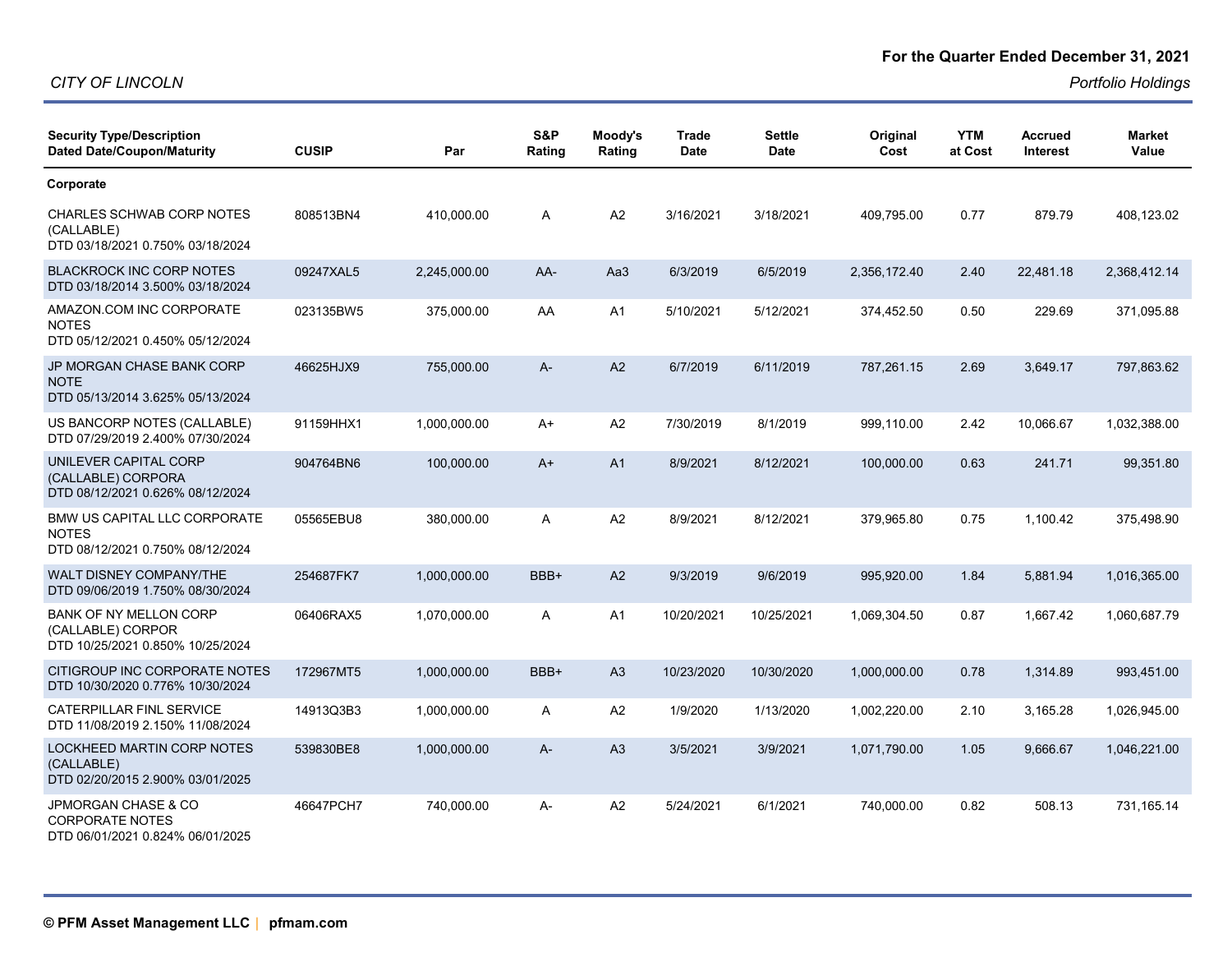*Portfolio Holdings*

| <b>Security Type/Description</b><br><b>Dated Date/Coupon/Maturity</b>                        | <b>CUSIP</b> | Par          | S&P<br>Rating | Moody's<br>Rating | <b>Trade</b><br>Date | <b>Settle</b><br><b>Date</b> | Original<br>Cost | <b>YTM</b><br>at Cost | <b>Accrued</b><br><b>Interest</b> | <b>Market</b><br>Value |
|----------------------------------------------------------------------------------------------|--------------|--------------|---------------|-------------------|----------------------|------------------------------|------------------|-----------------------|-----------------------------------|------------------------|
| Corporate                                                                                    |              |              |               |                   |                      |                              |                  |                       |                                   |                        |
| CHARLES SCHWAB CORP NOTES<br>(CALLABLE)<br>DTD 03/18/2021 0.750% 03/18/2024                  | 808513BN4    | 410,000.00   | Α             | A2                | 3/16/2021            | 3/18/2021                    | 409,795.00       | 0.77                  | 879.79                            | 408,123.02             |
| <b>BLACKROCK INC CORP NOTES</b><br>DTD 03/18/2014 3.500% 03/18/2024                          | 09247XAL5    | 2,245,000.00 | AA-           | Aa3               | 6/3/2019             | 6/5/2019                     | 2,356,172.40     | 2.40                  | 22,481.18                         | 2,368,412.14           |
| AMAZON.COM INC CORPORATE<br><b>NOTES</b><br>DTD 05/12/2021 0.450% 05/12/2024                 | 023135BW5    | 375,000.00   | AA            | A1                | 5/10/2021            | 5/12/2021                    | 374,452.50       | 0.50                  | 229.69                            | 371,095.88             |
| JP MORGAN CHASE BANK CORP<br><b>NOTE</b><br>DTD 05/13/2014 3.625% 05/13/2024                 | 46625HJX9    | 755,000.00   | A-            | A2                | 6/7/2019             | 6/11/2019                    | 787,261.15       | 2.69                  | 3,649.17                          | 797,863.62             |
| US BANCORP NOTES (CALLABLE)<br>DTD 07/29/2019 2.400% 07/30/2024                              | 91159HHX1    | 1,000,000.00 | $A+$          | A2                | 7/30/2019            | 8/1/2019                     | 999,110.00       | 2.42                  | 10,066.67                         | 1,032,388.00           |
| UNILEVER CAPITAL CORP<br>(CALLABLE) CORPORA<br>DTD 08/12/2021 0.626% 08/12/2024              | 904764BN6    | 100,000.00   | $A+$          | A <sub>1</sub>    | 8/9/2021             | 8/12/2021                    | 100,000.00       | 0.63                  | 241.71                            | 99,351.80              |
| BMW US CAPITAL LLC CORPORATE<br><b>NOTES</b><br>DTD 08/12/2021 0.750% 08/12/2024             | 05565EBU8    | 380,000.00   | Α             | A2                | 8/9/2021             | 8/12/2021                    | 379,965.80       | 0.75                  | 1,100.42                          | 375,498.90             |
| WALT DISNEY COMPANY/THE<br>DTD 09/06/2019 1.750% 08/30/2024                                  | 254687FK7    | 1,000,000.00 | BBB+          | A2                | 9/3/2019             | 9/6/2019                     | 995,920.00       | 1.84                  | 5,881.94                          | 1,016,365.00           |
| <b>BANK OF NY MELLON CORP</b><br>(CALLABLE) CORPOR<br>DTD 10/25/2021 0.850% 10/25/2024       | 06406RAX5    | 1,070,000.00 | Α             | A1                | 10/20/2021           | 10/25/2021                   | 1,069,304.50     | 0.87                  | 1,667.42                          | 1,060,687.79           |
| CITIGROUP INC CORPORATE NOTES<br>DTD 10/30/2020 0.776% 10/30/2024                            | 172967MT5    | 1,000,000.00 | BBB+          | A <sub>3</sub>    | 10/23/2020           | 10/30/2020                   | 1,000,000.00     | 0.78                  | 1,314.89                          | 993,451.00             |
| CATERPILLAR FINL SERVICE<br>DTD 11/08/2019 2.150% 11/08/2024                                 | 14913Q3B3    | 1,000,000.00 | Α             | A2                | 1/9/2020             | 1/13/2020                    | 1,002,220.00     | 2.10                  | 3,165.28                          | 1,026,945.00           |
| LOCKHEED MARTIN CORP NOTES<br>(CALLABLE)<br>DTD 02/20/2015 2.900% 03/01/2025                 | 539830BE8    | 1,000,000.00 | $A -$         | A <sub>3</sub>    | 3/5/2021             | 3/9/2021                     | 1,071,790.00     | 1.05                  | 9,666.67                          | 1,046,221.00           |
| <b>JPMORGAN CHASE &amp; CO</b><br><b>CORPORATE NOTES</b><br>DTD 06/01/2021 0.824% 06/01/2025 | 46647PCH7    | 740,000.00   | A-            | A2                | 5/24/2021            | 6/1/2021                     | 740,000.00       | 0.82                  | 508.13                            | 731.165.14             |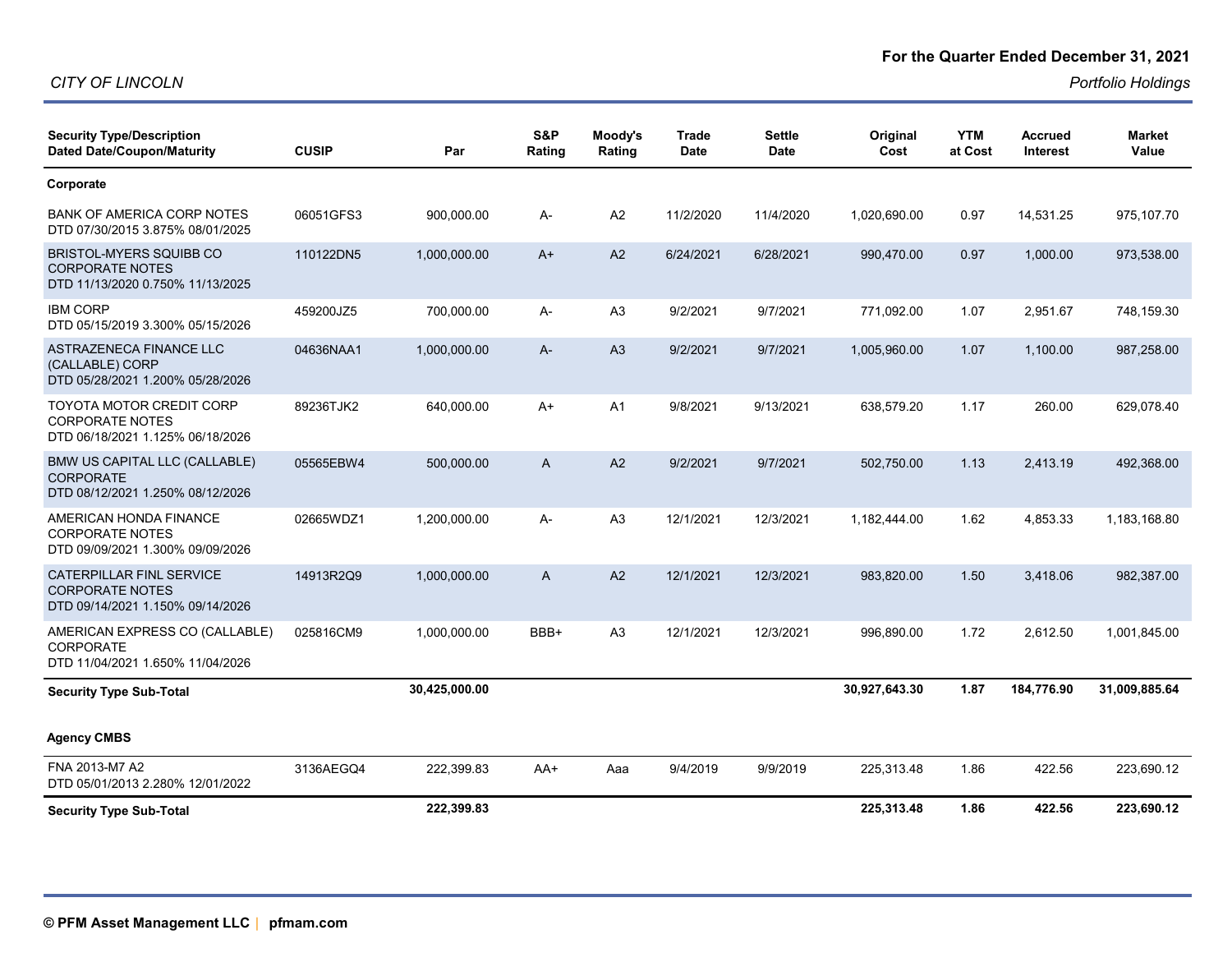#### **For the Quarter Ended December 31, 2021**

| <b>Security Type/Description</b><br><b>Dated Date/Coupon/Maturity</b>                         | <b>CUSIP</b> | Par           | S&P<br>Rating | Moody's<br>Rating | <b>Trade</b><br><b>Date</b> | <b>Settle</b><br><b>Date</b> | Original<br>Cost | <b>YTM</b><br>at Cost | <b>Accrued</b><br><b>Interest</b> | <b>Market</b><br>Value |
|-----------------------------------------------------------------------------------------------|--------------|---------------|---------------|-------------------|-----------------------------|------------------------------|------------------|-----------------------|-----------------------------------|------------------------|
| Corporate                                                                                     |              |               |               |                   |                             |                              |                  |                       |                                   |                        |
| <b>BANK OF AMERICA CORP NOTES</b><br>DTD 07/30/2015 3.875% 08/01/2025                         | 06051GFS3    | 900,000.00    | A-            | A <sub>2</sub>    | 11/2/2020                   | 11/4/2020                    | 1,020,690.00     | 0.97                  | 14,531.25                         | 975,107.70             |
| <b>BRISTOL-MYERS SQUIBB CO</b><br><b>CORPORATE NOTES</b><br>DTD 11/13/2020 0.750% 11/13/2025  | 110122DN5    | 1,000,000.00  | $A+$          | A2                | 6/24/2021                   | 6/28/2021                    | 990,470.00       | 0.97                  | 1,000.00                          | 973,538.00             |
| <b>IBM CORP</b><br>DTD 05/15/2019 3.300% 05/15/2026                                           | 459200JZ5    | 700,000.00    | А-            | A <sub>3</sub>    | 9/2/2021                    | 9/7/2021                     | 771,092.00       | 1.07                  | 2,951.67                          | 748,159.30             |
| ASTRAZENECA FINANCE LLC<br>(CALLABLE) CORP<br>DTD 05/28/2021 1.200% 05/28/2026                | 04636NAA1    | 1,000,000.00  | $A -$         | A3                | 9/2/2021                    | 9/7/2021                     | 1,005,960.00     | 1.07                  | 1,100.00                          | 987,258.00             |
| TOYOTA MOTOR CREDIT CORP<br><b>CORPORATE NOTES</b><br>DTD 06/18/2021 1.125% 06/18/2026        | 89236TJK2    | 640,000.00    | $A+$          | A <sub>1</sub>    | 9/8/2021                    | 9/13/2021                    | 638,579.20       | 1.17                  | 260.00                            | 629,078.40             |
| BMW US CAPITAL LLC (CALLABLE)<br><b>CORPORATE</b><br>DTD 08/12/2021 1.250% 08/12/2026         | 05565EBW4    | 500,000.00    | A             | A <sub>2</sub>    | 9/2/2021                    | 9/7/2021                     | 502,750.00       | 1.13                  | 2,413.19                          | 492,368.00             |
| AMERICAN HONDA FINANCE<br><b>CORPORATE NOTES</b><br>DTD 09/09/2021 1.300% 09/09/2026          | 02665WDZ1    | 1,200,000.00  | $A -$         | A <sub>3</sub>    | 12/1/2021                   | 12/3/2021                    | 1,182,444.00     | 1.62                  | 4,853.33                          | 1,183,168.80           |
| <b>CATERPILLAR FINL SERVICE</b><br><b>CORPORATE NOTES</b><br>DTD 09/14/2021 1.150% 09/14/2026 | 14913R2Q9    | 1,000,000.00  | $\mathsf{A}$  | A2                | 12/1/2021                   | 12/3/2021                    | 983.820.00       | 1.50                  | 3.418.06                          | 982.387.00             |
| AMERICAN EXPRESS CO (CALLABLE)<br><b>CORPORATE</b><br>DTD 11/04/2021 1.650% 11/04/2026        | 025816CM9    | 1,000,000.00  | BBB+          | A3                | 12/1/2021                   | 12/3/2021                    | 996,890.00       | 1.72                  | 2,612.50                          | 1,001,845.00           |
| <b>Security Type Sub-Total</b>                                                                |              | 30,425,000.00 |               |                   |                             |                              | 30,927,643.30    | 1.87                  | 184,776.90                        | 31,009,885.64          |
| <b>Agency CMBS</b>                                                                            |              |               |               |                   |                             |                              |                  |                       |                                   |                        |
| FNA 2013-M7 A2<br>DTD 05/01/2013 2.280% 12/01/2022                                            | 3136AEGQ4    | 222,399.83    | $AA+$         | Aaa               | 9/4/2019                    | 9/9/2019                     | 225,313.48       | 1.86                  | 422.56                            | 223,690.12             |
| <b>Security Type Sub-Total</b>                                                                |              | 222,399.83    |               |                   |                             |                              | 225,313.48       | 1.86                  | 422.56                            | 223,690.12             |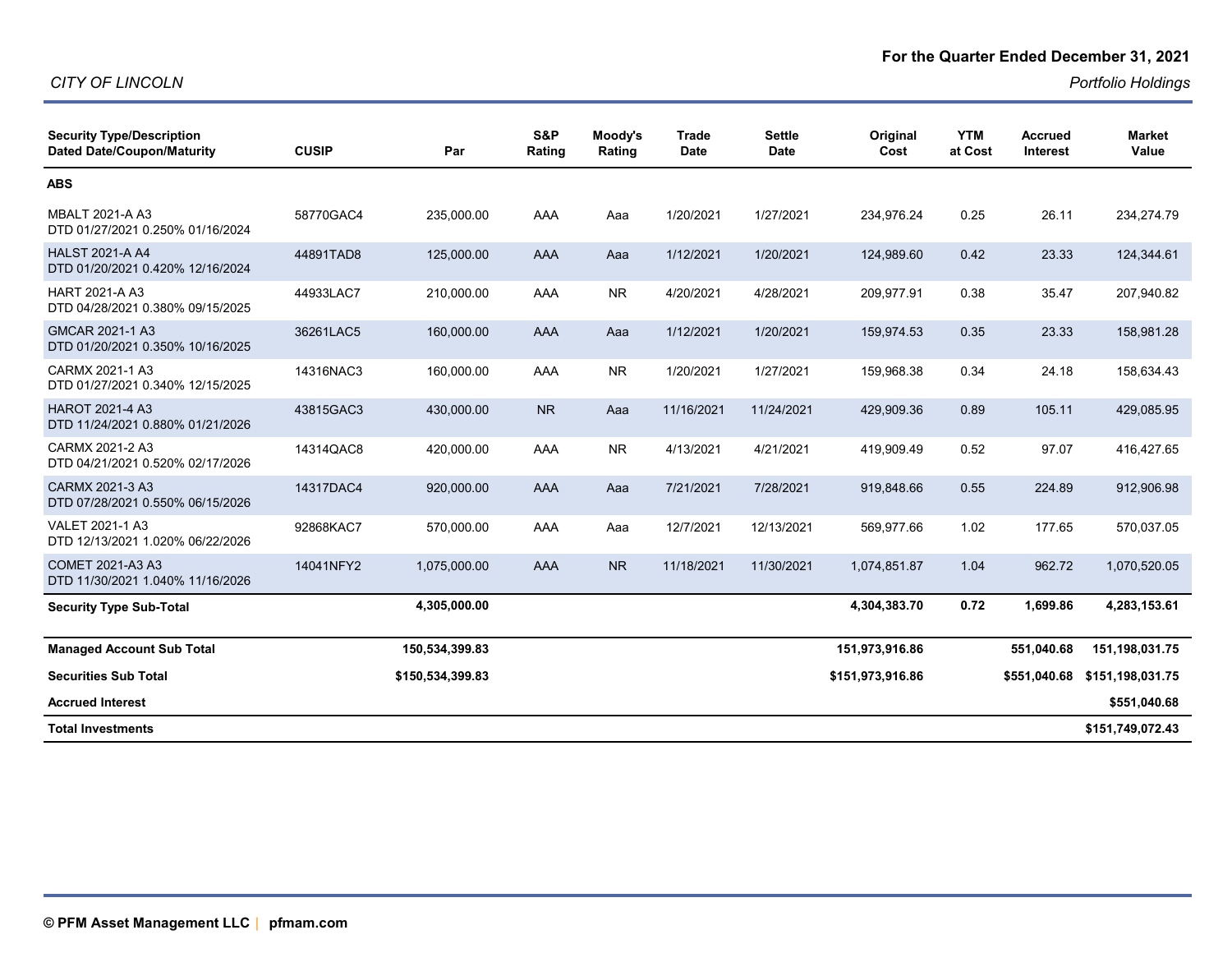#### **For the Quarter Ended December 31, 2021**

| <b>Security Type/Description</b><br><b>Dated Date/Coupon/Maturity</b> | <b>CUSIP</b> | Par              | S&P<br>Rating | Moody's<br>Rating | <b>Trade</b><br><b>Date</b> | <b>Settle</b><br><b>Date</b> | Original<br>Cost | <b>YTM</b><br>at Cost | <b>Accrued</b><br><b>Interest</b> | <b>Market</b><br>Value |
|-----------------------------------------------------------------------|--------------|------------------|---------------|-------------------|-----------------------------|------------------------------|------------------|-----------------------|-----------------------------------|------------------------|
| <b>ABS</b>                                                            |              |                  |               |                   |                             |                              |                  |                       |                                   |                        |
| <b>MBALT 2021-A A3</b><br>DTD 01/27/2021 0.250% 01/16/2024            | 58770GAC4    | 235.000.00       | AAA           | Aaa               | 1/20/2021                   | 1/27/2021                    | 234.976.24       | 0.25                  | 26.11                             | 234,274.79             |
| <b>HALST 2021-A A4</b><br>DTD 01/20/2021 0.420% 12/16/2024            | 44891TAD8    | 125,000.00       | AAA           | Aaa               | 1/12/2021                   | 1/20/2021                    | 124,989.60       | 0.42                  | 23.33                             | 124,344.61             |
| <b>HART 2021-A A3</b><br>DTD 04/28/2021 0.380% 09/15/2025             | 44933LAC7    | 210,000.00       | AAA           | <b>NR</b>         | 4/20/2021                   | 4/28/2021                    | 209,977.91       | 0.38                  | 35.47                             | 207,940.82             |
| GMCAR 2021-1 A3<br>DTD 01/20/2021 0.350% 10/16/2025                   | 36261LAC5    | 160,000.00       | AAA           | Aaa               | 1/12/2021                   | 1/20/2021                    | 159,974.53       | 0.35                  | 23.33                             | 158,981.28             |
| CARMX 2021-1 A3<br>DTD 01/27/2021 0.340% 12/15/2025                   | 14316NAC3    | 160,000.00       | AAA           | <b>NR</b>         | 1/20/2021                   | 1/27/2021                    | 159,968.38       | 0.34                  | 24.18                             | 158,634.43             |
| <b>HAROT 2021-4 A3</b><br>DTD 11/24/2021 0.880% 01/21/2026            | 43815GAC3    | 430,000.00       | <b>NR</b>     | Aaa               | 11/16/2021                  | 11/24/2021                   | 429,909.36       | 0.89                  | 105.11                            | 429,085.95             |
| CARMX 2021-2 A3<br>DTD 04/21/2021 0.520% 02/17/2026                   | 14314QAC8    | 420,000.00       | AAA           | <b>NR</b>         | 4/13/2021                   | 4/21/2021                    | 419,909.49       | 0.52                  | 97.07                             | 416,427.65             |
| CARMX 2021-3 A3<br>DTD 07/28/2021 0.550% 06/15/2026                   | 14317DAC4    | 920,000.00       | <b>AAA</b>    | Aaa               | 7/21/2021                   | 7/28/2021                    | 919,848.66       | 0.55                  | 224.89                            | 912,906.98             |
| VALET 2021-1 A3<br>DTD 12/13/2021 1.020% 06/22/2026                   | 92868KAC7    | 570,000.00       | AAA           | Aaa               | 12/7/2021                   | 12/13/2021                   | 569,977.66       | 1.02                  | 177.65                            | 570,037.05             |
| COMET 2021-A3 A3<br>DTD 11/30/2021 1.040% 11/16/2026                  | 14041NFY2    | 1,075,000.00     | AAA           | N <sub>R</sub>    | 11/18/2021                  | 11/30/2021                   | 1.074.851.87     | 1.04                  | 962.72                            | 1,070,520.05           |
| <b>Security Type Sub-Total</b>                                        |              | 4,305,000.00     |               |                   |                             |                              | 4,304,383.70     | 0.72                  | 1,699.86                          | 4,283,153.61           |
| <b>Managed Account Sub Total</b>                                      |              | 150,534,399.83   |               |                   |                             |                              | 151,973,916.86   |                       | 551,040.68                        | 151, 198, 031. 75      |
| <b>Securities Sub Total</b>                                           |              | \$150,534,399.83 |               |                   |                             |                              | \$151,973,916.86 |                       | \$551,040.68                      | \$151,198,031.75       |
| <b>Accrued Interest</b>                                               |              |                  |               |                   |                             |                              |                  |                       |                                   | \$551,040.68           |
| <b>Total Investments</b>                                              |              |                  |               |                   |                             |                              |                  |                       |                                   | \$151,749,072.43       |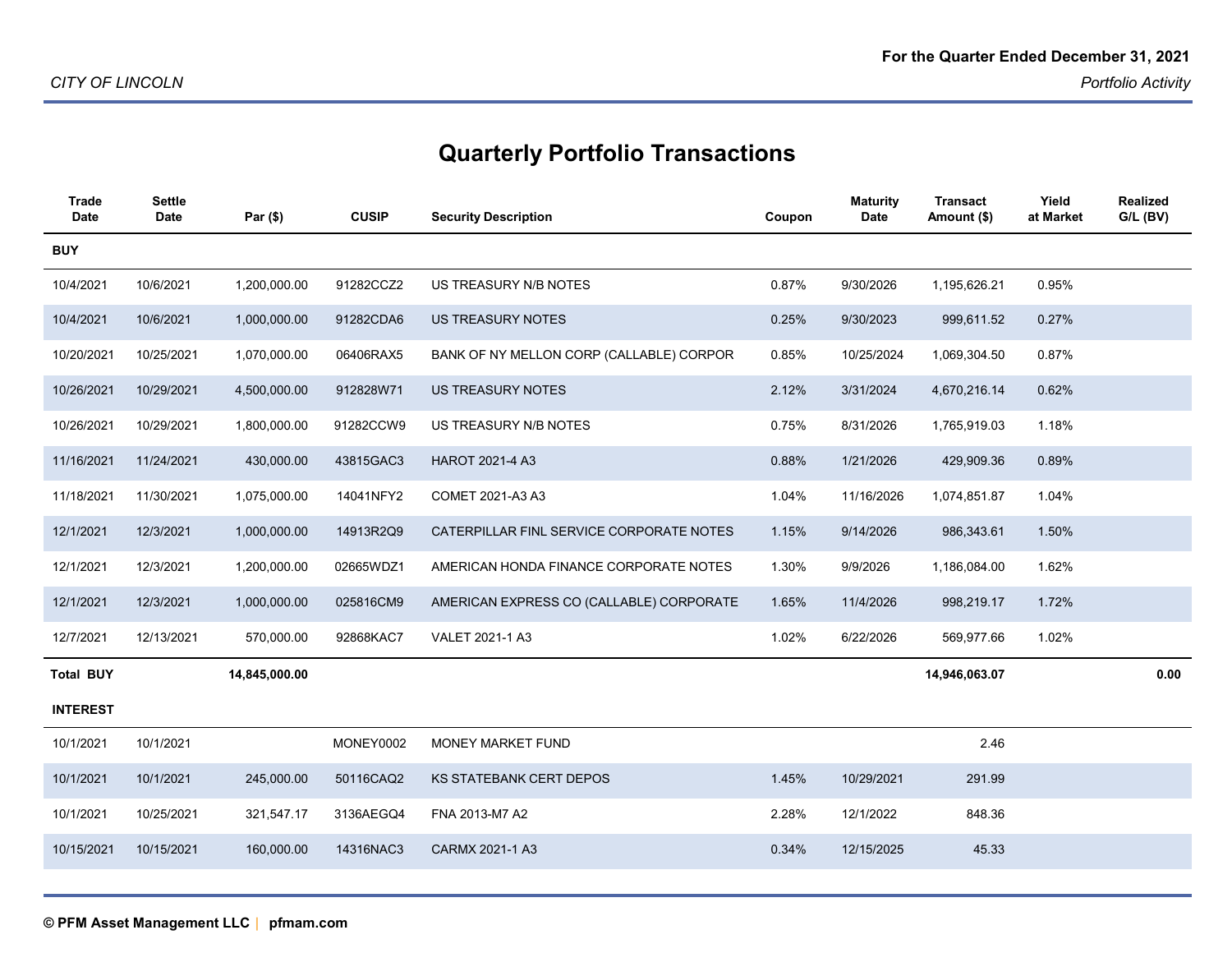| <b>Trade</b><br><b>Date</b> | <b>Settle</b><br><b>Date</b> | Par (\$)      | <b>CUSIP</b> | <b>Security Description</b>              | Coupon | <b>Maturity</b><br><b>Date</b> | <b>Transact</b><br>Amount (\$) | Yield<br>at Market | Realized<br>$G/L$ (BV) |
|-----------------------------|------------------------------|---------------|--------------|------------------------------------------|--------|--------------------------------|--------------------------------|--------------------|------------------------|
| <b>BUY</b>                  |                              |               |              |                                          |        |                                |                                |                    |                        |
| 10/4/2021                   | 10/6/2021                    | 1,200,000.00  | 91282CCZ2    | US TREASURY N/B NOTES                    | 0.87%  | 9/30/2026                      | 1,195,626.21                   | 0.95%              |                        |
| 10/4/2021                   | 10/6/2021                    | 1,000,000.00  | 91282CDA6    | <b>US TREASURY NOTES</b>                 | 0.25%  | 9/30/2023                      | 999,611.52                     | 0.27%              |                        |
| 10/20/2021                  | 10/25/2021                   | 1,070,000.00  | 06406RAX5    | BANK OF NY MELLON CORP (CALLABLE) CORPOR | 0.85%  | 10/25/2024                     | 1,069,304.50                   | 0.87%              |                        |
| 10/26/2021                  | 10/29/2021                   | 4,500,000.00  | 912828W71    | <b>US TREASURY NOTES</b>                 | 2.12%  | 3/31/2024                      | 4,670,216.14                   | 0.62%              |                        |
| 10/26/2021                  | 10/29/2021                   | 1,800,000.00  | 91282CCW9    | US TREASURY N/B NOTES                    | 0.75%  | 8/31/2026                      | 1,765,919.03                   | 1.18%              |                        |
| 11/16/2021                  | 11/24/2021                   | 430,000.00    | 43815GAC3    | HAROT 2021-4 A3                          | 0.88%  | 1/21/2026                      | 429,909.36                     | 0.89%              |                        |
| 11/18/2021                  | 11/30/2021                   | 1,075,000.00  | 14041NFY2    | COMET 2021-A3 A3                         | 1.04%  | 11/16/2026                     | 1,074,851.87                   | 1.04%              |                        |
| 12/1/2021                   | 12/3/2021                    | 1,000,000.00  | 14913R2Q9    | CATERPILLAR FINL SERVICE CORPORATE NOTES | 1.15%  | 9/14/2026                      | 986,343.61                     | 1.50%              |                        |
| 12/1/2021                   | 12/3/2021                    | 1,200,000.00  | 02665WDZ1    | AMERICAN HONDA FINANCE CORPORATE NOTES   | 1.30%  | 9/9/2026                       | 1,186,084.00                   | 1.62%              |                        |
| 12/1/2021                   | 12/3/2021                    | 1,000,000.00  | 025816CM9    | AMERICAN EXPRESS CO (CALLABLE) CORPORATE | 1.65%  | 11/4/2026                      | 998,219.17                     | 1.72%              |                        |
| 12/7/2021                   | 12/13/2021                   | 570,000.00    | 92868KAC7    | VALET 2021-1 A3                          | 1.02%  | 6/22/2026                      | 569,977.66                     | 1.02%              |                        |
| <b>Total BUY</b>            |                              | 14,845,000.00 |              |                                          |        |                                | 14,946,063.07                  |                    | 0.00                   |
| <b>INTEREST</b>             |                              |               |              |                                          |        |                                |                                |                    |                        |
| 10/1/2021                   | 10/1/2021                    |               | MONEY0002    | MONEY MARKET FUND                        |        |                                | 2.46                           |                    |                        |
| 10/1/2021                   | 10/1/2021                    | 245,000.00    | 50116CAQ2    | <b>KS STATEBANK CERT DEPOS</b>           | 1.45%  | 10/29/2021                     | 291.99                         |                    |                        |
| 10/1/2021                   | 10/25/2021                   | 321,547.17    | 3136AEGQ4    | FNA 2013-M7 A2                           | 2.28%  | 12/1/2022                      | 848.36                         |                    |                        |
| 10/15/2021                  | 10/15/2021                   | 160,000.00    | 14316NAC3    | CARMX 2021-1 A3                          | 0.34%  | 12/15/2025                     | 45.33                          |                    |                        |
|                             |                              |               |              |                                          |        |                                |                                |                    |                        |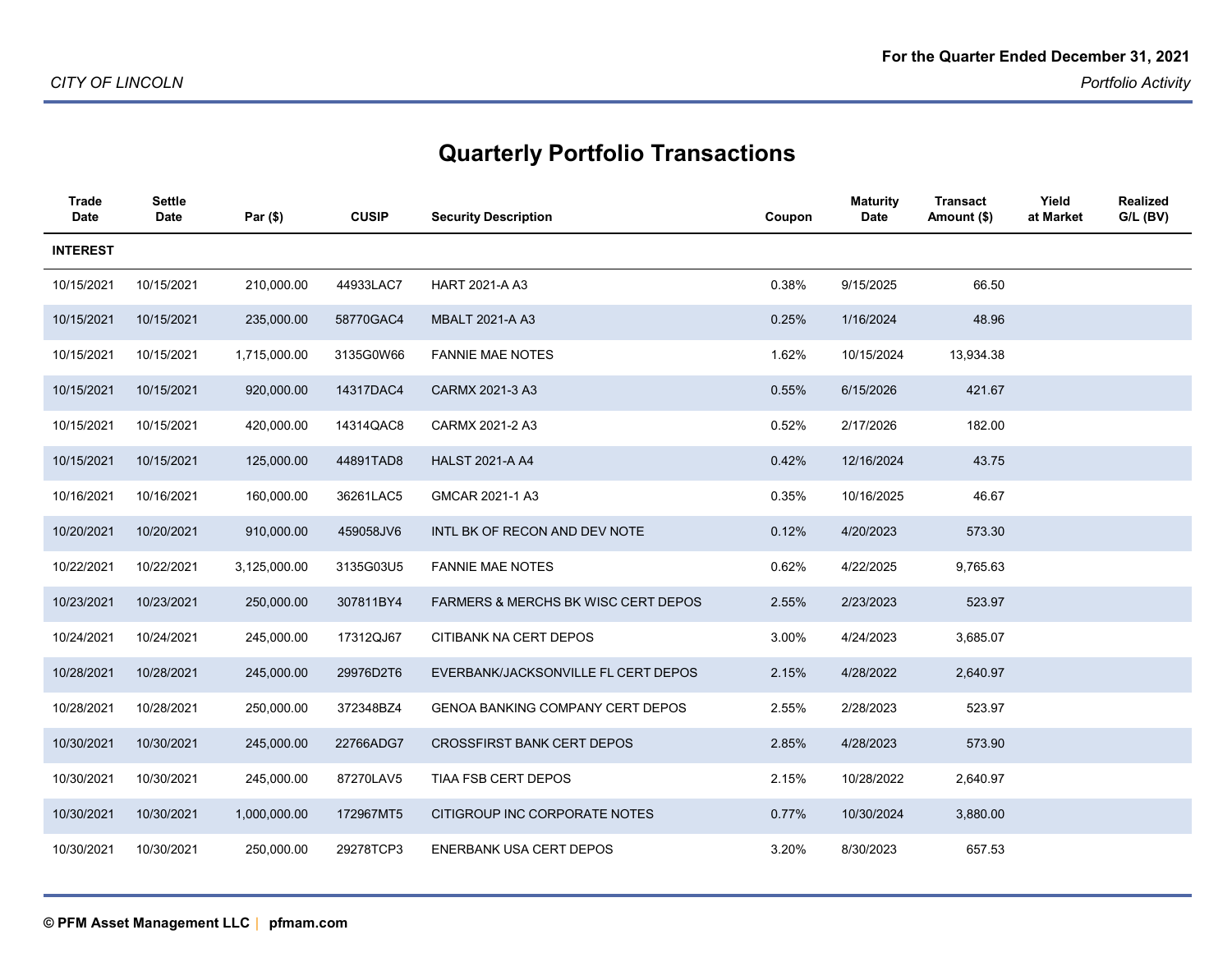| <b>Trade</b><br><b>Date</b> | <b>Settle</b><br><b>Date</b> | Par (\$)     | <b>CUSIP</b> | <b>Security Description</b>                    | Coupon | <b>Maturity</b><br>Date | <b>Transact</b><br>Amount (\$) | Yield<br>at Market | <b>Realized</b><br>G/L (BV) |
|-----------------------------|------------------------------|--------------|--------------|------------------------------------------------|--------|-------------------------|--------------------------------|--------------------|-----------------------------|
| <b>INTEREST</b>             |                              |              |              |                                                |        |                         |                                |                    |                             |
| 10/15/2021                  | 10/15/2021                   | 210,000.00   | 44933LAC7    | <b>HART 2021-A A3</b>                          | 0.38%  | 9/15/2025               | 66.50                          |                    |                             |
| 10/15/2021                  | 10/15/2021                   | 235,000.00   | 58770GAC4    | <b>MBALT 2021-A A3</b>                         | 0.25%  | 1/16/2024               | 48.96                          |                    |                             |
| 10/15/2021                  | 10/15/2021                   | 1,715,000.00 | 3135G0W66    | <b>FANNIE MAE NOTES</b>                        | 1.62%  | 10/15/2024              | 13,934.38                      |                    |                             |
| 10/15/2021                  | 10/15/2021                   | 920,000.00   | 14317DAC4    | CARMX 2021-3 A3                                | 0.55%  | 6/15/2026               | 421.67                         |                    |                             |
| 10/15/2021                  | 10/15/2021                   | 420,000.00   | 14314QAC8    | CARMX 2021-2 A3                                | 0.52%  | 2/17/2026               | 182.00                         |                    |                             |
| 10/15/2021                  | 10/15/2021                   | 125,000.00   | 44891TAD8    | <b>HALST 2021-A A4</b>                         | 0.42%  | 12/16/2024              | 43.75                          |                    |                             |
| 10/16/2021                  | 10/16/2021                   | 160,000.00   | 36261LAC5    | GMCAR 2021-1 A3                                | 0.35%  | 10/16/2025              | 46.67                          |                    |                             |
| 10/20/2021                  | 10/20/2021                   | 910,000.00   | 459058JV6    | INTL BK OF RECON AND DEV NOTE                  | 0.12%  | 4/20/2023               | 573.30                         |                    |                             |
| 10/22/2021                  | 10/22/2021                   | 3,125,000.00 | 3135G03U5    | <b>FANNIE MAE NOTES</b>                        | 0.62%  | 4/22/2025               | 9,765.63                       |                    |                             |
| 10/23/2021                  | 10/23/2021                   | 250,000.00   | 307811BY4    | <b>FARMERS &amp; MERCHS BK WISC CERT DEPOS</b> | 2.55%  | 2/23/2023               | 523.97                         |                    |                             |
| 10/24/2021                  | 10/24/2021                   | 245,000.00   | 17312QJ67    | CITIBANK NA CERT DEPOS                         | 3.00%  | 4/24/2023               | 3,685.07                       |                    |                             |
| 10/28/2021                  | 10/28/2021                   | 245,000.00   | 29976D2T6    | EVERBANK/JACKSONVILLE FL CERT DEPOS            | 2.15%  | 4/28/2022               | 2,640.97                       |                    |                             |
| 10/28/2021                  | 10/28/2021                   | 250,000.00   | 372348BZ4    | <b>GENOA BANKING COMPANY CERT DEPOS</b>        | 2.55%  | 2/28/2023               | 523.97                         |                    |                             |
| 10/30/2021                  | 10/30/2021                   | 245,000.00   | 22766ADG7    | <b>CROSSFIRST BANK CERT DEPOS</b>              | 2.85%  | 4/28/2023               | 573.90                         |                    |                             |
| 10/30/2021                  | 10/30/2021                   | 245,000.00   | 87270LAV5    | TIAA FSB CERT DEPOS                            | 2.15%  | 10/28/2022              | 2,640.97                       |                    |                             |
| 10/30/2021                  | 10/30/2021                   | 1,000,000.00 | 172967MT5    | CITIGROUP INC CORPORATE NOTES                  | 0.77%  | 10/30/2024              | 3,880.00                       |                    |                             |
| 10/30/2021                  | 10/30/2021                   | 250,000.00   | 29278TCP3    | <b>ENERBANK USA CERT DEPOS</b>                 | 3.20%  | 8/30/2023               | 657.53                         |                    |                             |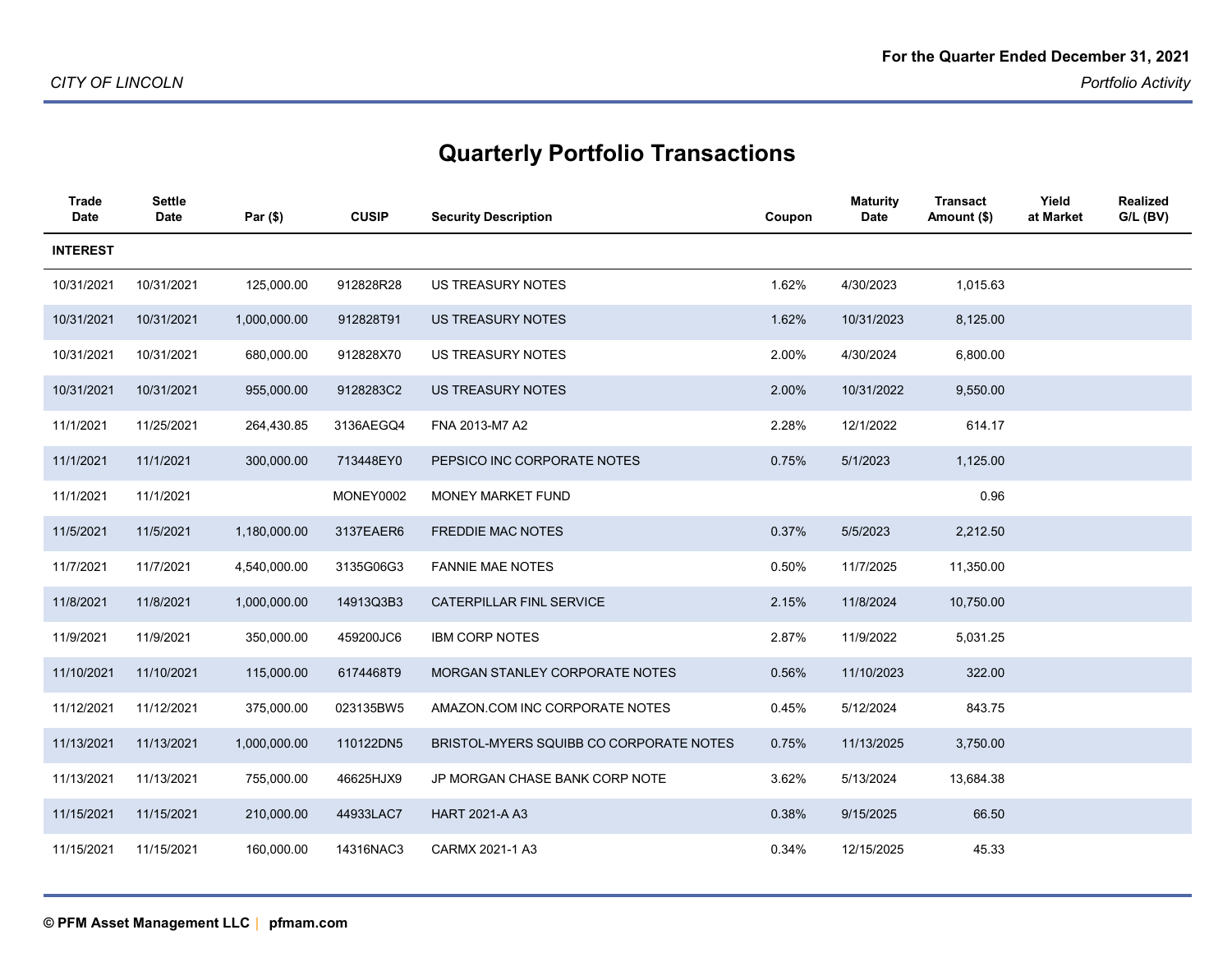| Trade<br><b>Date</b> | Settle<br>Date | Par (\$)     | <b>CUSIP</b> | <b>Security Description</b>             | Coupon | <b>Maturity</b><br><b>Date</b> | <b>Transact</b><br>Amount (\$) | Yield<br>at Market | <b>Realized</b><br>$G/L$ (BV) |
|----------------------|----------------|--------------|--------------|-----------------------------------------|--------|--------------------------------|--------------------------------|--------------------|-------------------------------|
| <b>INTEREST</b>      |                |              |              |                                         |        |                                |                                |                    |                               |
| 10/31/2021           | 10/31/2021     | 125,000.00   | 912828R28    | <b>US TREASURY NOTES</b>                | 1.62%  | 4/30/2023                      | 1,015.63                       |                    |                               |
| 10/31/2021           | 10/31/2021     | 1,000,000.00 | 912828T91    | <b>US TREASURY NOTES</b>                | 1.62%  | 10/31/2023                     | 8,125.00                       |                    |                               |
| 10/31/2021           | 10/31/2021     | 680,000.00   | 912828X70    | <b>US TREASURY NOTES</b>                | 2.00%  | 4/30/2024                      | 6,800.00                       |                    |                               |
| 10/31/2021           | 10/31/2021     | 955,000.00   | 9128283C2    | <b>US TREASURY NOTES</b>                | 2.00%  | 10/31/2022                     | 9,550.00                       |                    |                               |
| 11/1/2021            | 11/25/2021     | 264,430.85   | 3136AEGQ4    | FNA 2013-M7 A2                          | 2.28%  | 12/1/2022                      | 614.17                         |                    |                               |
| 11/1/2021            | 11/1/2021      | 300,000.00   | 713448EY0    | PEPSICO INC CORPORATE NOTES             | 0.75%  | 5/1/2023                       | 1,125.00                       |                    |                               |
| 11/1/2021            | 11/1/2021      |              | MONEY0002    | MONEY MARKET FUND                       |        |                                | 0.96                           |                    |                               |
| 11/5/2021            | 11/5/2021      | 1,180,000.00 | 3137EAER6    | <b>FREDDIE MAC NOTES</b>                | 0.37%  | 5/5/2023                       | 2,212.50                       |                    |                               |
| 11/7/2021            | 11/7/2021      | 4,540,000.00 | 3135G06G3    | <b>FANNIE MAE NOTES</b>                 | 0.50%  | 11/7/2025                      | 11,350.00                      |                    |                               |
| 11/8/2021            | 11/8/2021      | 1,000,000.00 | 14913Q3B3    | CATERPILLAR FINL SERVICE                | 2.15%  | 11/8/2024                      | 10,750.00                      |                    |                               |
| 11/9/2021            | 11/9/2021      | 350,000.00   | 459200JC6    | <b>IBM CORP NOTES</b>                   | 2.87%  | 11/9/2022                      | 5,031.25                       |                    |                               |
| 11/10/2021           | 11/10/2021     | 115,000.00   | 6174468T9    | MORGAN STANLEY CORPORATE NOTES          | 0.56%  | 11/10/2023                     | 322.00                         |                    |                               |
| 11/12/2021           | 11/12/2021     | 375,000.00   | 023135BW5    | AMAZON.COM INC CORPORATE NOTES          | 0.45%  | 5/12/2024                      | 843.75                         |                    |                               |
| 11/13/2021           | 11/13/2021     | 1,000,000.00 | 110122DN5    | BRISTOL-MYERS SQUIBB CO CORPORATE NOTES | 0.75%  | 11/13/2025                     | 3,750.00                       |                    |                               |
| 11/13/2021           | 11/13/2021     | 755,000.00   | 46625HJX9    | JP MORGAN CHASE BANK CORP NOTE          | 3.62%  | 5/13/2024                      | 13,684.38                      |                    |                               |
| 11/15/2021           | 11/15/2021     | 210,000.00   | 44933LAC7    | HART 2021-A A3                          | 0.38%  | 9/15/2025                      | 66.50                          |                    |                               |
| 11/15/2021           | 11/15/2021     | 160,000.00   | 14316NAC3    | CARMX 2021-1 A3                         | 0.34%  | 12/15/2025                     | 45.33                          |                    |                               |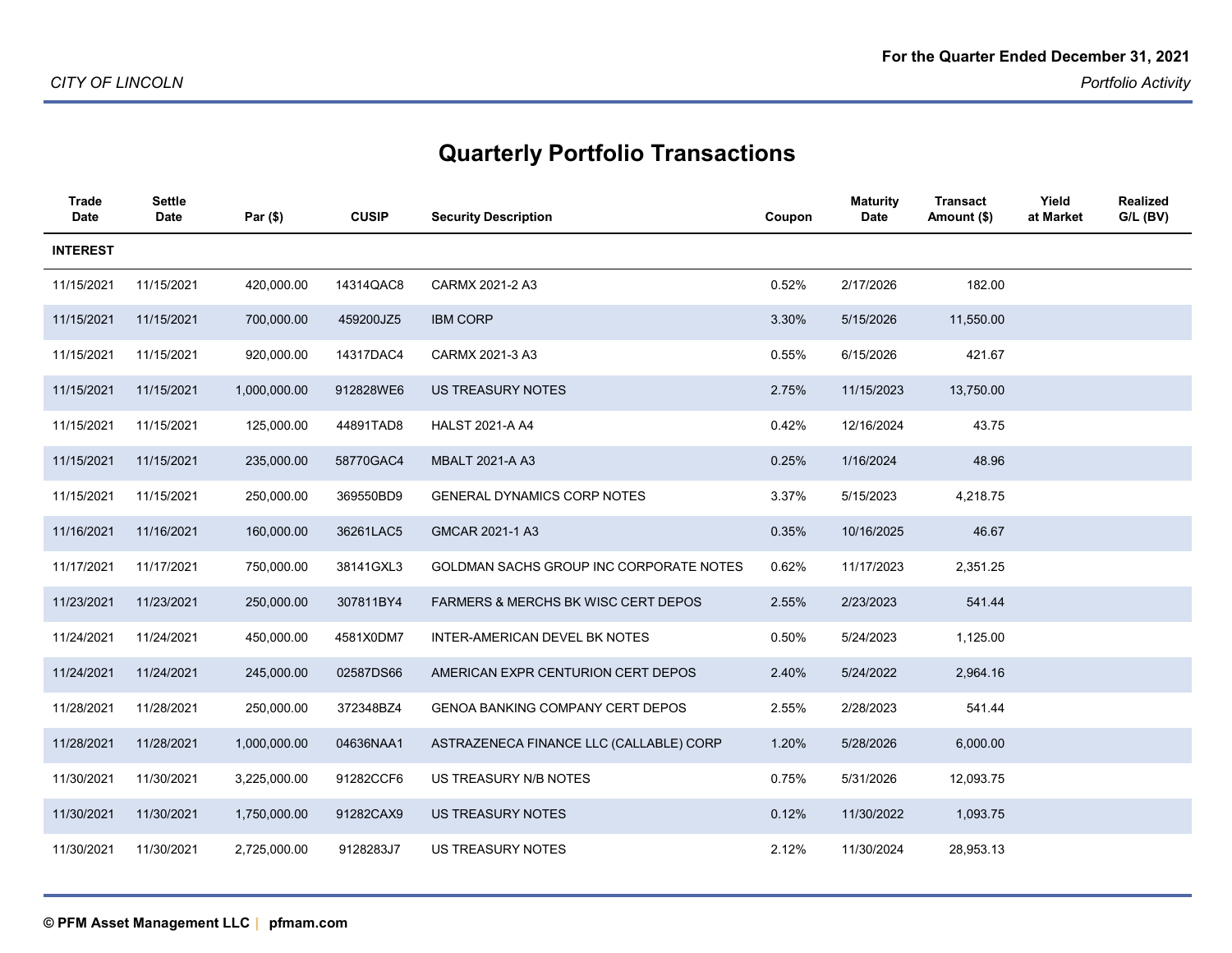| <b>Trade</b><br><b>Date</b> | <b>Settle</b><br><b>Date</b> | Par (\$)     | <b>CUSIP</b> | <b>Security Description</b>                    | Coupon | <b>Maturity</b><br><b>Date</b> | <b>Transact</b><br>Amount (\$) | Yield<br>at Market | <b>Realized</b><br>$G/L$ (BV) |
|-----------------------------|------------------------------|--------------|--------------|------------------------------------------------|--------|--------------------------------|--------------------------------|--------------------|-------------------------------|
| <b>INTEREST</b>             |                              |              |              |                                                |        |                                |                                |                    |                               |
| 11/15/2021                  | 11/15/2021                   | 420,000.00   | 14314QAC8    | CARMX 2021-2 A3                                | 0.52%  | 2/17/2026                      | 182.00                         |                    |                               |
| 11/15/2021                  | 11/15/2021                   | 700,000.00   | 459200JZ5    | <b>IBM CORP</b>                                | 3.30%  | 5/15/2026                      | 11,550.00                      |                    |                               |
| 11/15/2021                  | 11/15/2021                   | 920,000.00   | 14317DAC4    | CARMX 2021-3 A3                                | 0.55%  | 6/15/2026                      | 421.67                         |                    |                               |
| 11/15/2021                  | 11/15/2021                   | 1,000,000.00 | 912828WE6    | US TREASURY NOTES                              | 2.75%  | 11/15/2023                     | 13,750.00                      |                    |                               |
| 11/15/2021                  | 11/15/2021                   | 125,000.00   | 44891TAD8    | <b>HALST 2021-A A4</b>                         | 0.42%  | 12/16/2024                     | 43.75                          |                    |                               |
| 11/15/2021                  | 11/15/2021                   | 235,000.00   | 58770GAC4    | <b>MBALT 2021-A A3</b>                         | 0.25%  | 1/16/2024                      | 48.96                          |                    |                               |
| 11/15/2021                  | 11/15/2021                   | 250,000.00   | 369550BD9    | <b>GENERAL DYNAMICS CORP NOTES</b>             | 3.37%  | 5/15/2023                      | 4,218.75                       |                    |                               |
| 11/16/2021                  | 11/16/2021                   | 160,000.00   | 36261LAC5    | GMCAR 2021-1 A3                                | 0.35%  | 10/16/2025                     | 46.67                          |                    |                               |
| 11/17/2021                  | 11/17/2021                   | 750,000.00   | 38141GXL3    | GOLDMAN SACHS GROUP INC CORPORATE NOTES        | 0.62%  | 11/17/2023                     | 2,351.25                       |                    |                               |
| 11/23/2021                  | 11/23/2021                   | 250,000.00   | 307811BY4    | <b>FARMERS &amp; MERCHS BK WISC CERT DEPOS</b> | 2.55%  | 2/23/2023                      | 541.44                         |                    |                               |
| 11/24/2021                  | 11/24/2021                   | 450,000.00   | 4581X0DM7    | INTER-AMERICAN DEVEL BK NOTES                  | 0.50%  | 5/24/2023                      | 1,125.00                       |                    |                               |
| 11/24/2021                  | 11/24/2021                   | 245,000.00   | 02587DS66    | AMERICAN EXPR CENTURION CERT DEPOS             | 2.40%  | 5/24/2022                      | 2,964.16                       |                    |                               |
| 11/28/2021                  | 11/28/2021                   | 250,000.00   | 372348BZ4    | <b>GENOA BANKING COMPANY CERT DEPOS</b>        | 2.55%  | 2/28/2023                      | 541.44                         |                    |                               |
| 11/28/2021                  | 11/28/2021                   | 1,000,000.00 | 04636NAA1    | ASTRAZENECA FINANCE LLC (CALLABLE) CORP        | 1.20%  | 5/28/2026                      | 6,000.00                       |                    |                               |
| 11/30/2021                  | 11/30/2021                   | 3,225,000.00 | 91282CCF6    | US TREASURY N/B NOTES                          | 0.75%  | 5/31/2026                      | 12,093.75                      |                    |                               |
| 11/30/2021                  | 11/30/2021                   | 1,750,000.00 | 91282CAX9    | <b>US TREASURY NOTES</b>                       | 0.12%  | 11/30/2022                     | 1,093.75                       |                    |                               |
| 11/30/2021                  | 11/30/2021                   | 2,725,000.00 | 9128283J7    | <b>US TREASURY NOTES</b>                       | 2.12%  | 11/30/2024                     | 28,953.13                      |                    |                               |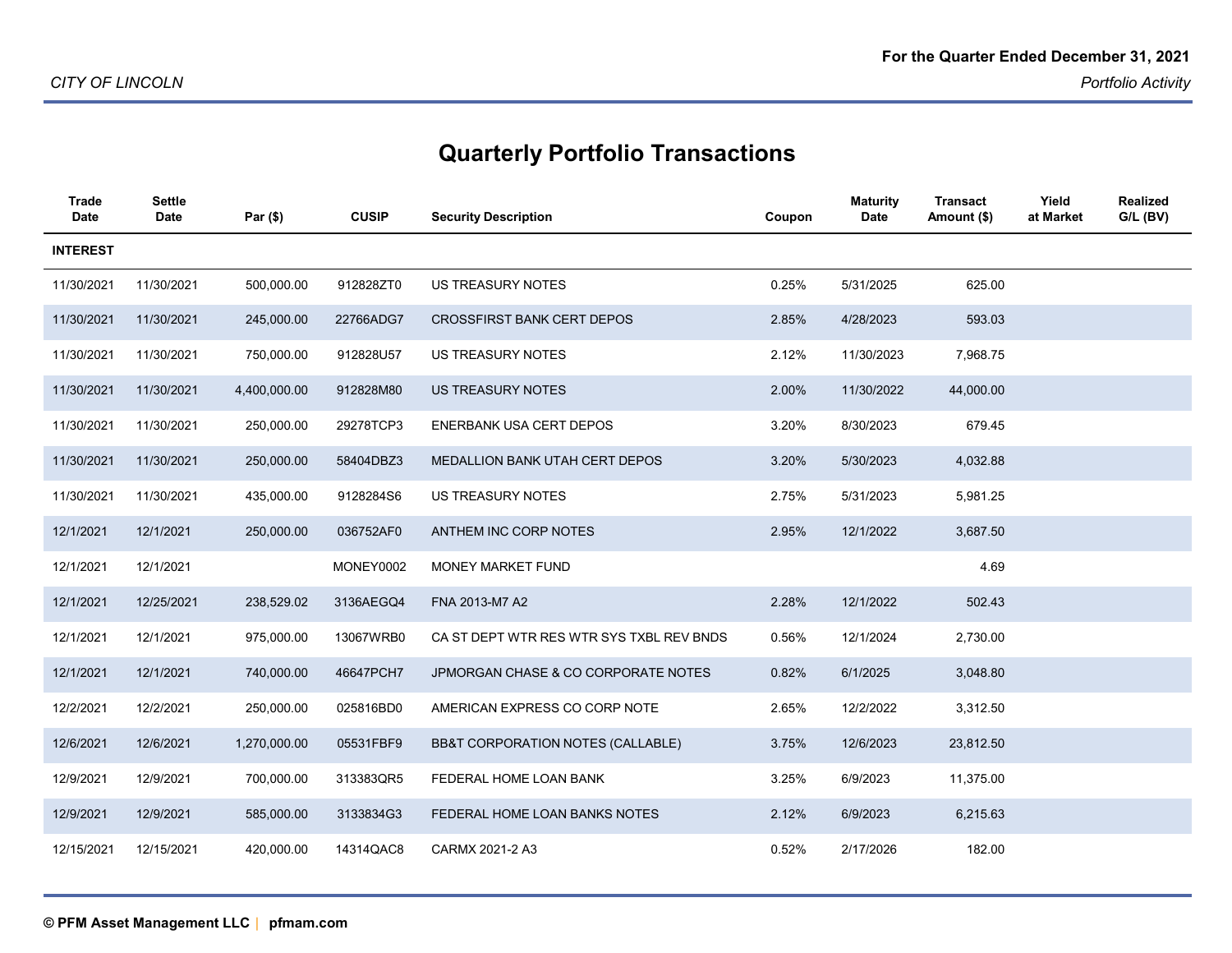| <b>Trade</b><br>Date | <b>Settle</b><br><b>Date</b> | Par (\$)     | <b>CUSIP</b> | <b>Security Description</b>              | Coupon | <b>Maturity</b><br><b>Date</b> | <b>Transact</b><br>Amount (\$) | Yield<br>at Market | Realized<br>$G/L$ (BV) |
|----------------------|------------------------------|--------------|--------------|------------------------------------------|--------|--------------------------------|--------------------------------|--------------------|------------------------|
| <b>INTEREST</b>      |                              |              |              |                                          |        |                                |                                |                    |                        |
| 11/30/2021           | 11/30/2021                   | 500,000.00   | 912828ZT0    | <b>US TREASURY NOTES</b>                 | 0.25%  | 5/31/2025                      | 625.00                         |                    |                        |
| 11/30/2021           | 11/30/2021                   | 245,000.00   | 22766ADG7    | <b>CROSSFIRST BANK CERT DEPOS</b>        | 2.85%  | 4/28/2023                      | 593.03                         |                    |                        |
| 11/30/2021           | 11/30/2021                   | 750,000.00   | 912828U57    | <b>US TREASURY NOTES</b>                 | 2.12%  | 11/30/2023                     | 7,968.75                       |                    |                        |
| 11/30/2021           | 11/30/2021                   | 4,400,000.00 | 912828M80    | <b>US TREASURY NOTES</b>                 | 2.00%  | 11/30/2022                     | 44,000.00                      |                    |                        |
| 11/30/2021           | 11/30/2021                   | 250,000.00   | 29278TCP3    | <b>ENERBANK USA CERT DEPOS</b>           | 3.20%  | 8/30/2023                      | 679.45                         |                    |                        |
| 11/30/2021           | 11/30/2021                   | 250,000.00   | 58404DBZ3    | <b>MEDALLION BANK UTAH CERT DEPOS</b>    | 3.20%  | 5/30/2023                      | 4,032.88                       |                    |                        |
| 11/30/2021           | 11/30/2021                   | 435,000.00   | 9128284S6    | <b>US TREASURY NOTES</b>                 | 2.75%  | 5/31/2023                      | 5,981.25                       |                    |                        |
| 12/1/2021            | 12/1/2021                    | 250,000.00   | 036752AF0    | ANTHEM INC CORP NOTES                    | 2.95%  | 12/1/2022                      | 3,687.50                       |                    |                        |
| 12/1/2021            | 12/1/2021                    |              | MONEY0002    | <b>MONEY MARKET FUND</b>                 |        |                                | 4.69                           |                    |                        |
| 12/1/2021            | 12/25/2021                   | 238,529.02   | 3136AEGQ4    | FNA 2013-M7 A2                           | 2.28%  | 12/1/2022                      | 502.43                         |                    |                        |
| 12/1/2021            | 12/1/2021                    | 975,000.00   | 13067WRB0    | CA ST DEPT WTR RES WTR SYS TXBL REV BNDS | 0.56%  | 12/1/2024                      | 2,730.00                       |                    |                        |
| 12/1/2021            | 12/1/2021                    | 740,000.00   | 46647PCH7    | JPMORGAN CHASE & CO CORPORATE NOTES      | 0.82%  | 6/1/2025                       | 3,048.80                       |                    |                        |
| 12/2/2021            | 12/2/2021                    | 250,000.00   | 025816BD0    | AMERICAN EXPRESS CO CORP NOTE            | 2.65%  | 12/2/2022                      | 3,312.50                       |                    |                        |
| 12/6/2021            | 12/6/2021                    | 1,270,000.00 | 05531FBF9    | BB&T CORPORATION NOTES (CALLABLE)        | 3.75%  | 12/6/2023                      | 23,812.50                      |                    |                        |
| 12/9/2021            | 12/9/2021                    | 700,000.00   | 313383QR5    | FEDERAL HOME LOAN BANK                   | 3.25%  | 6/9/2023                       | 11,375.00                      |                    |                        |
| 12/9/2021            | 12/9/2021                    | 585,000.00   | 3133834G3    | FEDERAL HOME LOAN BANKS NOTES            | 2.12%  | 6/9/2023                       | 6,215.63                       |                    |                        |
| 12/15/2021           | 12/15/2021                   | 420,000.00   | 14314QAC8    | CARMX 2021-2 A3                          | 0.52%  | 2/17/2026                      | 182.00                         |                    |                        |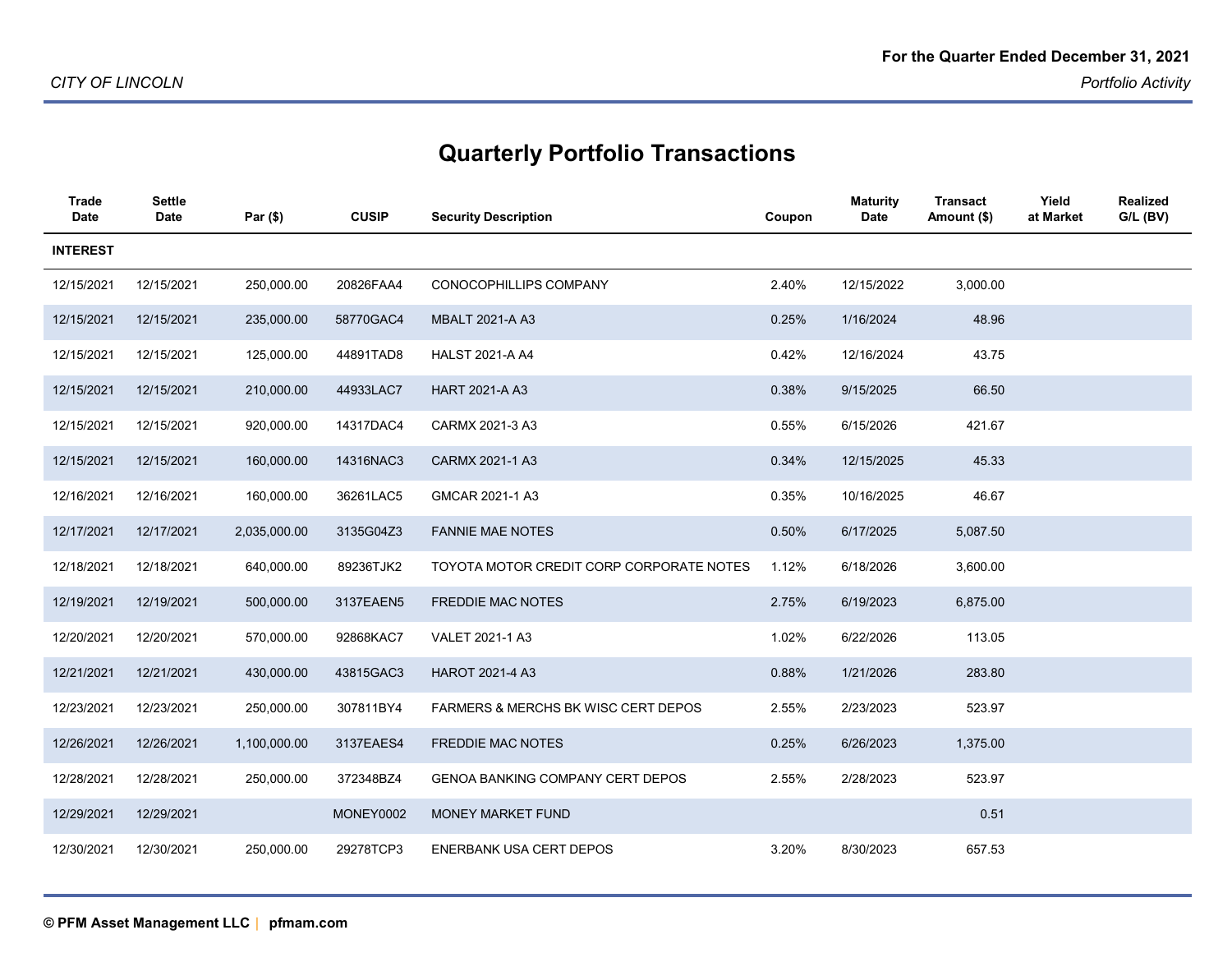| Trade<br>Date   | Settle<br><b>Date</b> | Par $($ \$)  | <b>CUSIP</b> | <b>Security Description</b>              | Coupon | <b>Maturity</b><br><b>Date</b> | <b>Transact</b><br>Amount (\$) | Yield<br>at Market | <b>Realized</b><br>$G/L$ (BV) |
|-----------------|-----------------------|--------------|--------------|------------------------------------------|--------|--------------------------------|--------------------------------|--------------------|-------------------------------|
| <b>INTEREST</b> |                       |              |              |                                          |        |                                |                                |                    |                               |
| 12/15/2021      | 12/15/2021            | 250,000.00   | 20826FAA4    | CONOCOPHILLIPS COMPANY                   | 2.40%  | 12/15/2022                     | 3,000.00                       |                    |                               |
| 12/15/2021      | 12/15/2021            | 235,000.00   | 58770GAC4    | <b>MBALT 2021-A A3</b>                   | 0.25%  | 1/16/2024                      | 48.96                          |                    |                               |
| 12/15/2021      | 12/15/2021            | 125,000.00   | 44891TAD8    | <b>HALST 2021-A A4</b>                   | 0.42%  | 12/16/2024                     | 43.75                          |                    |                               |
| 12/15/2021      | 12/15/2021            | 210,000.00   | 44933LAC7    | <b>HART 2021-A A3</b>                    | 0.38%  | 9/15/2025                      | 66.50                          |                    |                               |
| 12/15/2021      | 12/15/2021            | 920,000.00   | 14317DAC4    | CARMX 2021-3 A3                          | 0.55%  | 6/15/2026                      | 421.67                         |                    |                               |
| 12/15/2021      | 12/15/2021            | 160,000.00   | 14316NAC3    | CARMX 2021-1 A3                          | 0.34%  | 12/15/2025                     | 45.33                          |                    |                               |
| 12/16/2021      | 12/16/2021            | 160,000.00   | 36261LAC5    | GMCAR 2021-1 A3                          | 0.35%  | 10/16/2025                     | 46.67                          |                    |                               |
| 12/17/2021      | 12/17/2021            | 2,035,000.00 | 3135G04Z3    | <b>FANNIE MAE NOTES</b>                  | 0.50%  | 6/17/2025                      | 5,087.50                       |                    |                               |
| 12/18/2021      | 12/18/2021            | 640,000.00   | 89236TJK2    | TOYOTA MOTOR CREDIT CORP CORPORATE NOTES | 1.12%  | 6/18/2026                      | 3,600.00                       |                    |                               |
| 12/19/2021      | 12/19/2021            | 500,000.00   | 3137EAEN5    | <b>FREDDIE MAC NOTES</b>                 | 2.75%  | 6/19/2023                      | 6,875.00                       |                    |                               |
| 12/20/2021      | 12/20/2021            | 570,000.00   | 92868KAC7    | VALET 2021-1 A3                          | 1.02%  | 6/22/2026                      | 113.05                         |                    |                               |
| 12/21/2021      | 12/21/2021            | 430,000.00   | 43815GAC3    | <b>HAROT 2021-4 A3</b>                   | 0.88%  | 1/21/2026                      | 283.80                         |                    |                               |
| 12/23/2021      | 12/23/2021            | 250,000.00   | 307811BY4    | FARMERS & MERCHS BK WISC CERT DEPOS      | 2.55%  | 2/23/2023                      | 523.97                         |                    |                               |
| 12/26/2021      | 12/26/2021            | 1,100,000.00 | 3137EAES4    | <b>FREDDIE MAC NOTES</b>                 | 0.25%  | 6/26/2023                      | 1,375.00                       |                    |                               |
| 12/28/2021      | 12/28/2021            | 250,000.00   | 372348BZ4    | <b>GENOA BANKING COMPANY CERT DEPOS</b>  | 2.55%  | 2/28/2023                      | 523.97                         |                    |                               |
| 12/29/2021      | 12/29/2021            |              | MONEY0002    | MONEY MARKET FUND                        |        |                                | 0.51                           |                    |                               |
| 12/30/2021      | 12/30/2021            | 250,000.00   | 29278TCP3    | <b>ENERBANK USA CERT DEPOS</b>           | 3.20%  | 8/30/2023                      | 657.53                         |                    |                               |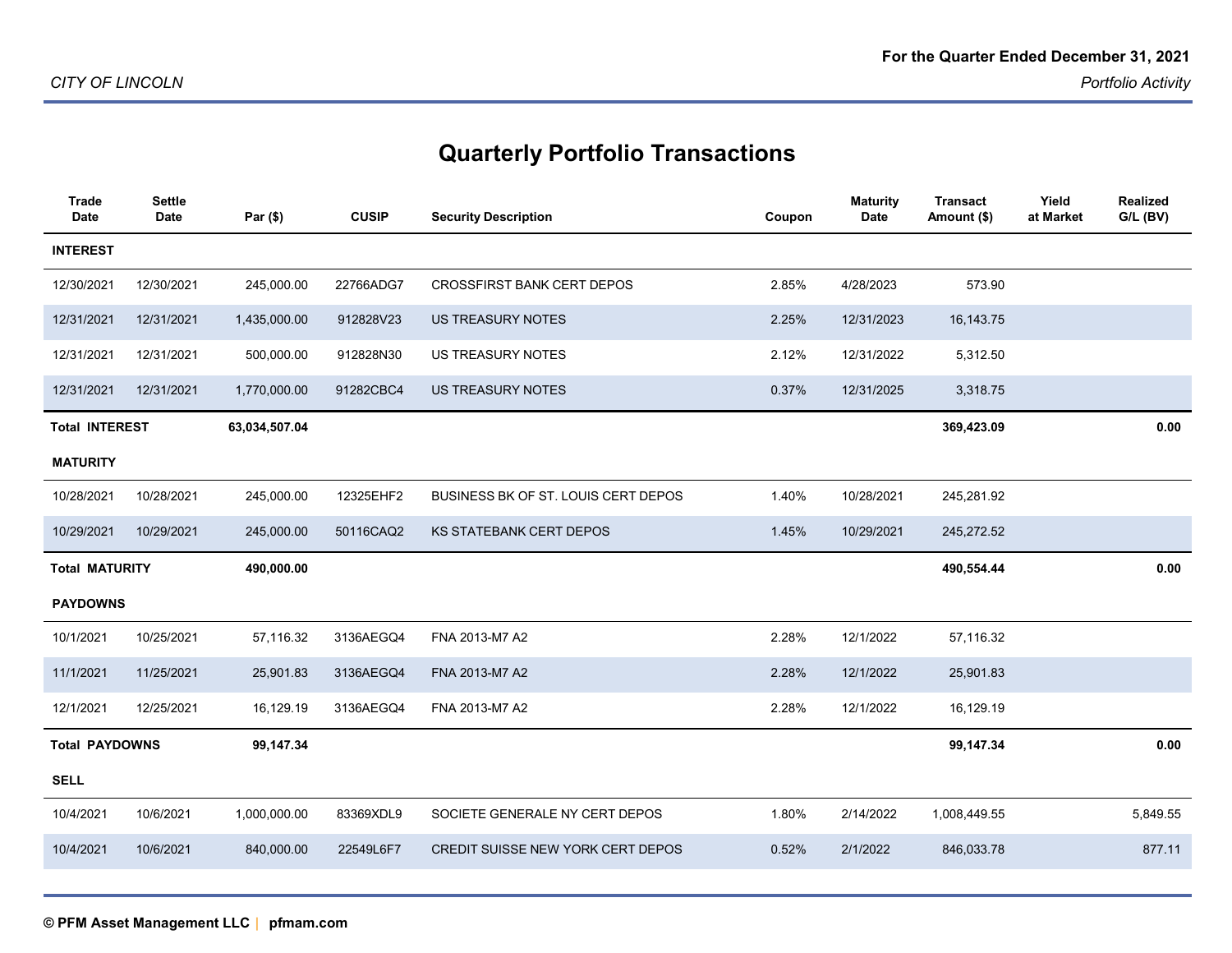| <b>Trade</b><br><b>Date</b> | <b>Settle</b><br><b>Date</b> | Par (\$)      | <b>CUSIP</b> | <b>Security Description</b>         | Coupon | <b>Maturity</b><br>Date | <b>Transact</b><br>Amount (\$) | Yield<br>at Market | <b>Realized</b><br>G/L (BV) |
|-----------------------------|------------------------------|---------------|--------------|-------------------------------------|--------|-------------------------|--------------------------------|--------------------|-----------------------------|
| <b>INTEREST</b>             |                              |               |              |                                     |        |                         |                                |                    |                             |
| 12/30/2021                  | 12/30/2021                   | 245,000.00    | 22766ADG7    | <b>CROSSFIRST BANK CERT DEPOS</b>   | 2.85%  | 4/28/2023               | 573.90                         |                    |                             |
| 12/31/2021                  | 12/31/2021                   | 1,435,000.00  | 912828V23    | <b>US TREASURY NOTES</b>            | 2.25%  | 12/31/2023              | 16, 143. 75                    |                    |                             |
| 12/31/2021                  | 12/31/2021                   | 500,000.00    | 912828N30    | US TREASURY NOTES                   | 2.12%  | 12/31/2022              | 5,312.50                       |                    |                             |
| 12/31/2021                  | 12/31/2021                   | 1,770,000.00  | 91282CBC4    | US TREASURY NOTES                   | 0.37%  | 12/31/2025              | 3,318.75                       |                    |                             |
| <b>Total INTEREST</b>       |                              | 63,034,507.04 |              |                                     |        |                         | 369,423.09                     |                    | 0.00                        |
| <b>MATURITY</b>             |                              |               |              |                                     |        |                         |                                |                    |                             |
| 10/28/2021                  | 10/28/2021                   | 245,000.00    | 12325EHF2    | BUSINESS BK OF ST. LOUIS CERT DEPOS | 1.40%  | 10/28/2021              | 245,281.92                     |                    |                             |
| 10/29/2021                  | 10/29/2021                   | 245,000.00    | 50116CAQ2    | <b>KS STATEBANK CERT DEPOS</b>      | 1.45%  | 10/29/2021              | 245,272.52                     |                    |                             |
|                             | <b>Total MATURITY</b>        |               |              |                                     |        |                         | 490,554.44                     |                    | 0.00                        |
| <b>PAYDOWNS</b>             |                              |               |              |                                     |        |                         |                                |                    |                             |
| 10/1/2021                   | 10/25/2021                   | 57,116.32     | 3136AEGQ4    | FNA 2013-M7 A2                      | 2.28%  | 12/1/2022               | 57,116.32                      |                    |                             |
| 11/1/2021                   | 11/25/2021                   | 25,901.83     | 3136AEGQ4    | FNA 2013-M7 A2                      | 2.28%  | 12/1/2022               | 25,901.83                      |                    |                             |
| 12/1/2021                   | 12/25/2021                   | 16,129.19     | 3136AEGQ4    | FNA 2013-M7 A2                      | 2.28%  | 12/1/2022               | 16,129.19                      |                    |                             |
| <b>Total PAYDOWNS</b>       |                              | 99,147.34     |              |                                     |        |                         | 99,147.34                      |                    | 0.00                        |
| <b>SELL</b>                 |                              |               |              |                                     |        |                         |                                |                    |                             |
| 10/4/2021                   | 10/6/2021                    | 1,000,000.00  | 83369XDL9    | SOCIETE GENERALE NY CERT DEPOS      | 1.80%  | 2/14/2022               | 1,008,449.55                   |                    | 5,849.55                    |
| 10/4/2021                   | 10/6/2021                    | 840,000.00    | 22549L6F7    | CREDIT SUISSE NEW YORK CERT DEPOS   | 0.52%  | 2/1/2022                | 846,033.78                     |                    | 877.11                      |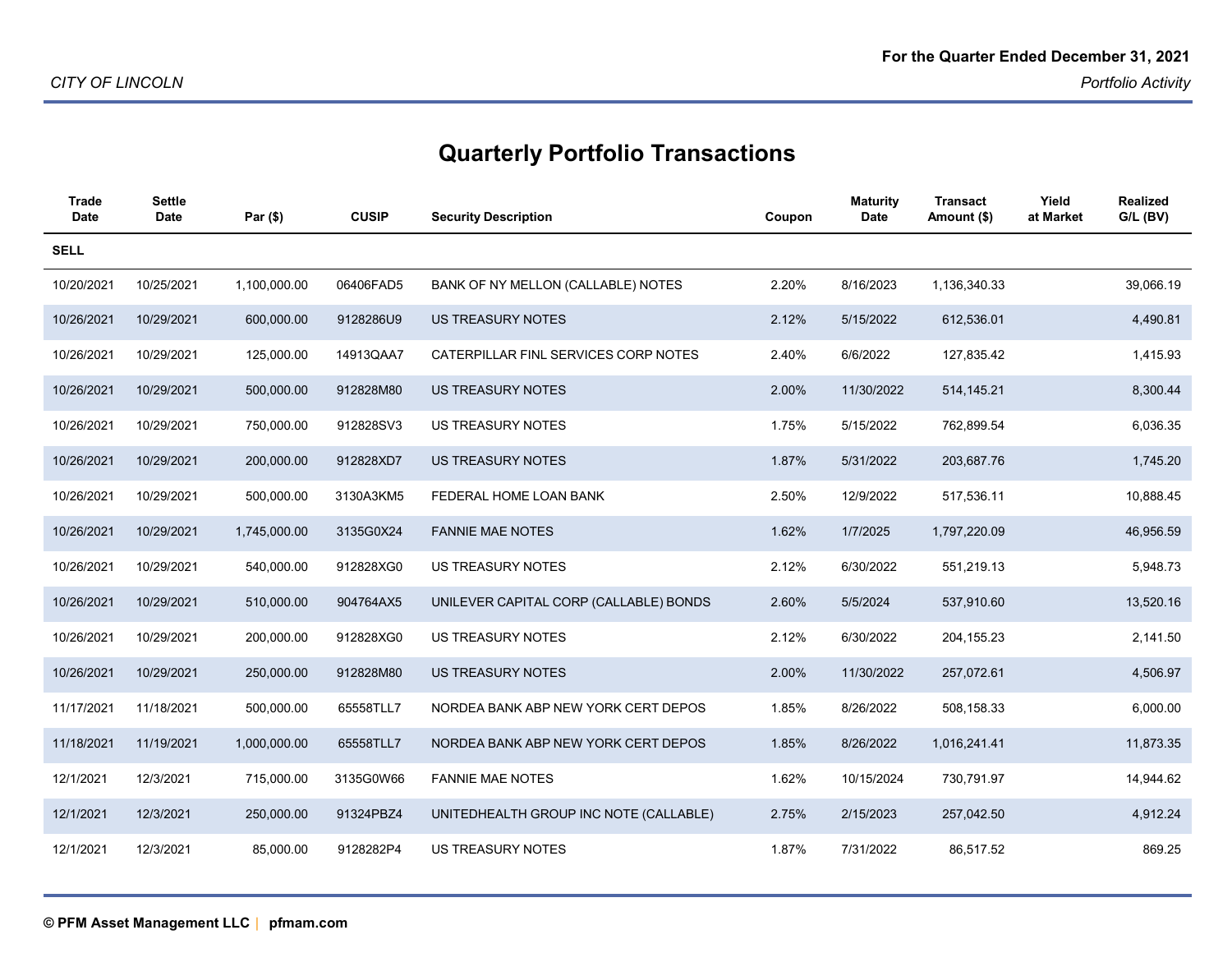| Trade<br>Date | Settle<br><b>Date</b> | Par (\$)     | <b>CUSIP</b> | <b>Security Description</b>            | Coupon | <b>Maturity</b><br><b>Date</b> | Transact<br>Amount (\$) | Yield<br>at Market | Realized<br>$G/L$ (BV) |
|---------------|-----------------------|--------------|--------------|----------------------------------------|--------|--------------------------------|-------------------------|--------------------|------------------------|
| <b>SELL</b>   |                       |              |              |                                        |        |                                |                         |                    |                        |
| 10/20/2021    | 10/25/2021            | 1,100,000.00 | 06406FAD5    | BANK OF NY MELLON (CALLABLE) NOTES     | 2.20%  | 8/16/2023                      | 1,136,340.33            |                    | 39,066.19              |
| 10/26/2021    | 10/29/2021            | 600,000.00   | 9128286U9    | <b>US TREASURY NOTES</b>               | 2.12%  | 5/15/2022                      | 612,536.01              |                    | 4,490.81               |
| 10/26/2021    | 10/29/2021            | 125,000.00   | 14913QAA7    | CATERPILLAR FINL SERVICES CORP NOTES   | 2.40%  | 6/6/2022                       | 127,835.42              |                    | 1,415.93               |
| 10/26/2021    | 10/29/2021            | 500,000.00   | 912828M80    | <b>US TREASURY NOTES</b>               | 2.00%  | 11/30/2022                     | 514, 145.21             |                    | 8,300.44               |
| 10/26/2021    | 10/29/2021            | 750,000.00   | 912828SV3    | <b>US TREASURY NOTES</b>               | 1.75%  | 5/15/2022                      | 762,899.54              |                    | 6,036.35               |
| 10/26/2021    | 10/29/2021            | 200,000.00   | 912828XD7    | <b>US TREASURY NOTES</b>               | 1.87%  | 5/31/2022                      | 203,687.76              |                    | 1,745.20               |
| 10/26/2021    | 10/29/2021            | 500,000.00   | 3130A3KM5    | FEDERAL HOME LOAN BANK                 | 2.50%  | 12/9/2022                      | 517,536.11              |                    | 10,888.45              |
| 10/26/2021    | 10/29/2021            | 1,745,000.00 | 3135G0X24    | <b>FANNIE MAE NOTES</b>                | 1.62%  | 1/7/2025                       | 1,797,220.09            |                    | 46,956.59              |
| 10/26/2021    | 10/29/2021            | 540,000.00   | 912828XG0    | <b>US TREASURY NOTES</b>               | 2.12%  | 6/30/2022                      | 551,219.13              |                    | 5,948.73               |
| 10/26/2021    | 10/29/2021            | 510,000.00   | 904764AX5    | UNILEVER CAPITAL CORP (CALLABLE) BONDS | 2.60%  | 5/5/2024                       | 537,910.60              |                    | 13,520.16              |
| 10/26/2021    | 10/29/2021            | 200,000.00   | 912828XG0    | <b>US TREASURY NOTES</b>               | 2.12%  | 6/30/2022                      | 204, 155.23             |                    | 2,141.50               |
| 10/26/2021    | 10/29/2021            | 250,000.00   | 912828M80    | <b>US TREASURY NOTES</b>               | 2.00%  | 11/30/2022                     | 257,072.61              |                    | 4,506.97               |
| 11/17/2021    | 11/18/2021            | 500,000.00   | 65558TLL7    | NORDEA BANK ABP NEW YORK CERT DEPOS    | 1.85%  | 8/26/2022                      | 508,158.33              |                    | 6,000.00               |
| 11/18/2021    | 11/19/2021            | 1,000,000.00 | 65558TLL7    | NORDEA BANK ABP NEW YORK CERT DEPOS    | 1.85%  | 8/26/2022                      | 1,016,241.41            |                    | 11,873.35              |
| 12/1/2021     | 12/3/2021             | 715,000.00   | 3135G0W66    | <b>FANNIE MAE NOTES</b>                | 1.62%  | 10/15/2024                     | 730,791.97              |                    | 14,944.62              |
| 12/1/2021     | 12/3/2021             | 250,000.00   | 91324PBZ4    | UNITEDHEALTH GROUP INC NOTE (CALLABLE) | 2.75%  | 2/15/2023                      | 257,042.50              |                    | 4,912.24               |
| 12/1/2021     | 12/3/2021             | 85,000.00    | 9128282P4    | <b>US TREASURY NOTES</b>               | 1.87%  | 7/31/2022                      | 86,517.52               |                    | 869.25                 |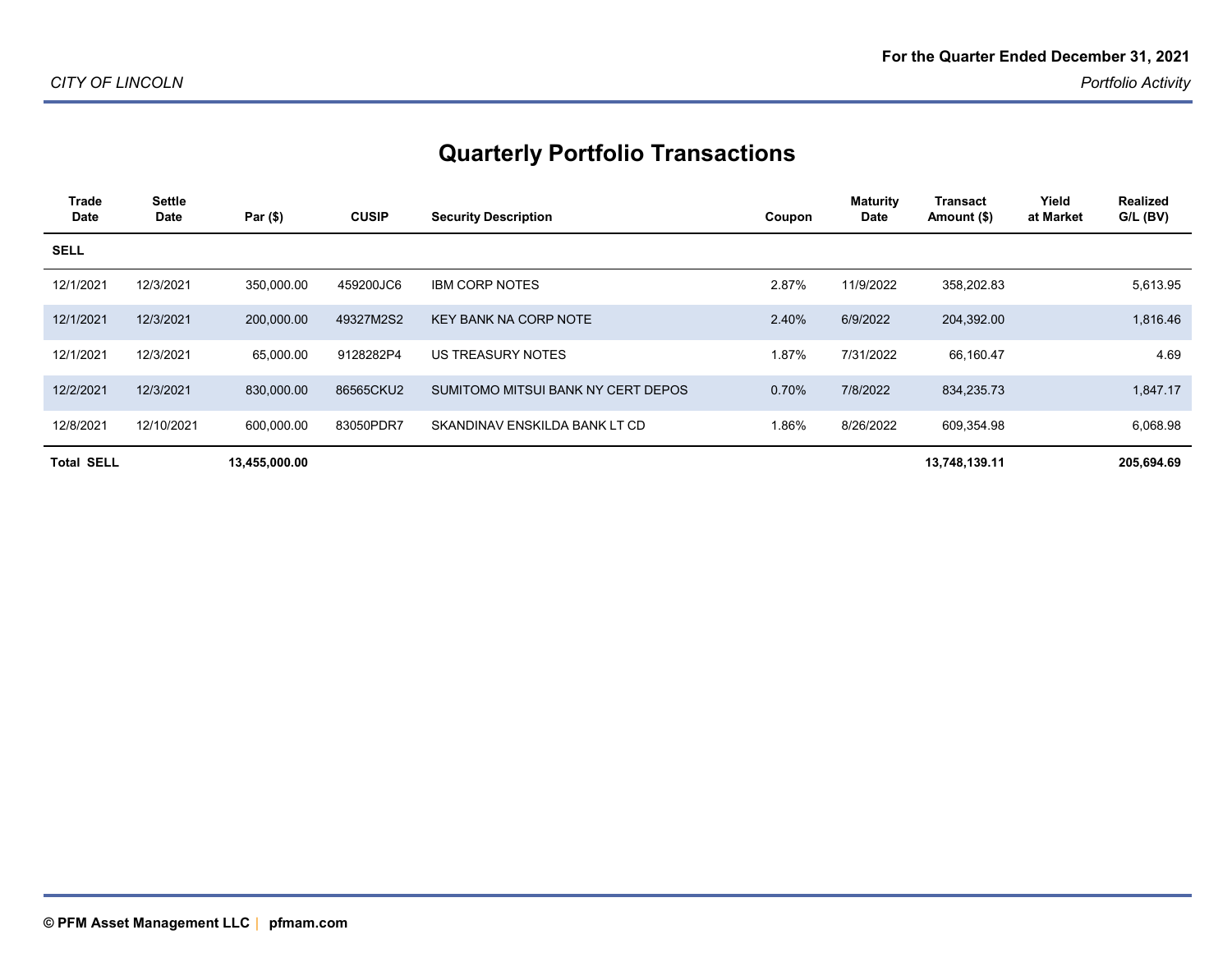| Trade<br><b>Date</b> | <b>Settle</b><br>Date | Par $($ \$)   | <b>CUSIP</b> | <b>Security Description</b>        | Coupon | <b>Maturity</b><br>Date | <b>Transact</b><br>Amount (\$) | Yield<br>at Market | <b>Realized</b><br>$G/L$ (BV) |
|----------------------|-----------------------|---------------|--------------|------------------------------------|--------|-------------------------|--------------------------------|--------------------|-------------------------------|
| <b>SELL</b>          |                       |               |              |                                    |        |                         |                                |                    |                               |
| 12/1/2021            | 12/3/2021             | 350,000.00    | 459200JC6    | <b>IBM CORP NOTES</b>              | 2.87%  | 11/9/2022               | 358,202.83                     |                    | 5,613.95                      |
| 12/1/2021            | 12/3/2021             | 200,000.00    | 49327M2S2    | <b>KEY BANK NA CORP NOTE</b>       | 2.40%  | 6/9/2022                | 204,392.00                     |                    | 1,816.46                      |
| 12/1/2021            | 12/3/2021             | 65,000.00     | 9128282P4    | US TREASURY NOTES                  | 1.87%  | 7/31/2022               | 66,160.47                      |                    | 4.69                          |
| 12/2/2021            | 12/3/2021             | 830,000.00    | 86565CKU2    | SUMITOMO MITSUI BANK NY CERT DEPOS | 0.70%  | 7/8/2022                | 834,235.73                     |                    | 1,847.17                      |
| 12/8/2021            | 12/10/2021            | 600,000.00    | 83050PDR7    | SKANDINAV ENSKILDA BANK LT CD      | 1.86%  | 8/26/2022               | 609,354.98                     |                    | 6,068.98                      |
| <b>Total SELL</b>    |                       | 13,455,000.00 |              |                                    |        |                         | 13,748,139.11                  |                    | 205,694.69                    |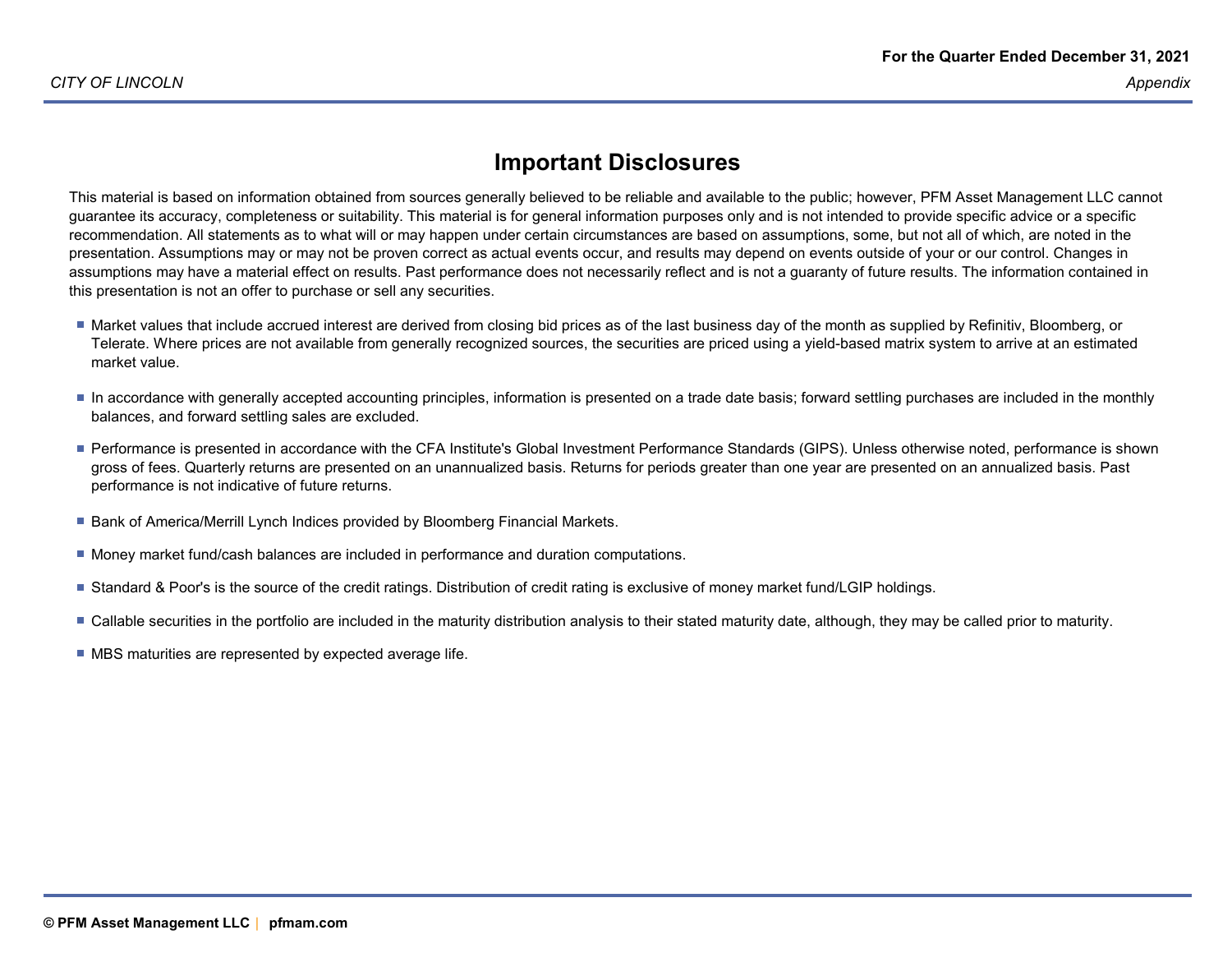#### **Important Disclosures**

This material is based on information obtained from sources generally believed to be reliable and available to the public; however, PFM Asset Management LLC cannotguarantee its accuracy, completeness or suitability. This material is for general information purposes only and is not intended to provide specific advice or a specific recommendation. All statements as to what will or may happen under certain circumstances are based on assumptions, some, but not all of which, are noted in the presentation. Assumptions may or may not be proven correct as actual events occur, and results may depend on events outside of your or our control. Changes in assumptions may have a material effect on results. Past performance does not necessarily reflect and is not a guaranty of future results. The information contained inthis presentation is not an offer to purchase or sell any securities.

- Market values that include accrued interest are derived from closing bid prices as of the last business day of the month as supplied by Refinitiv, Bloomberg, or Telerate. Where prices are not available from generally recognized sources, the securities are priced using a yield-based matrix system to arrive at an estimatedmarket value.
- In accordance with generally accepted accounting principles, information is presented on a trade date basis; forward settling purchases are included in the monthly balances, and forward settling sales are excluded.
- Performance is presented in accordance with the CFA Institute's Global Investment Performance Standards (GIPS). Unless otherwise noted, performance is shown gross of fees. Quarterly returns are presented on an unannualized basis. Returns for periods greater than one year are presented on an annualized basis. Pastperformance is not indicative of future returns.
- Bank of America/Merrill Lynch Indices provided by Bloomberg Financial Markets.
- **Money market fund/cash balances are included in performance and duration computations.**
- Standard & Poor's is the source of the credit ratings. Distribution of credit rating is exclusive of money market fund/LGIP holdings.
- Callable securities in the portfolio are included in the maturity distribution analysis to their stated maturity date, although, they may be called prior to maturity.
- **MBS** maturities are represented by expected average life.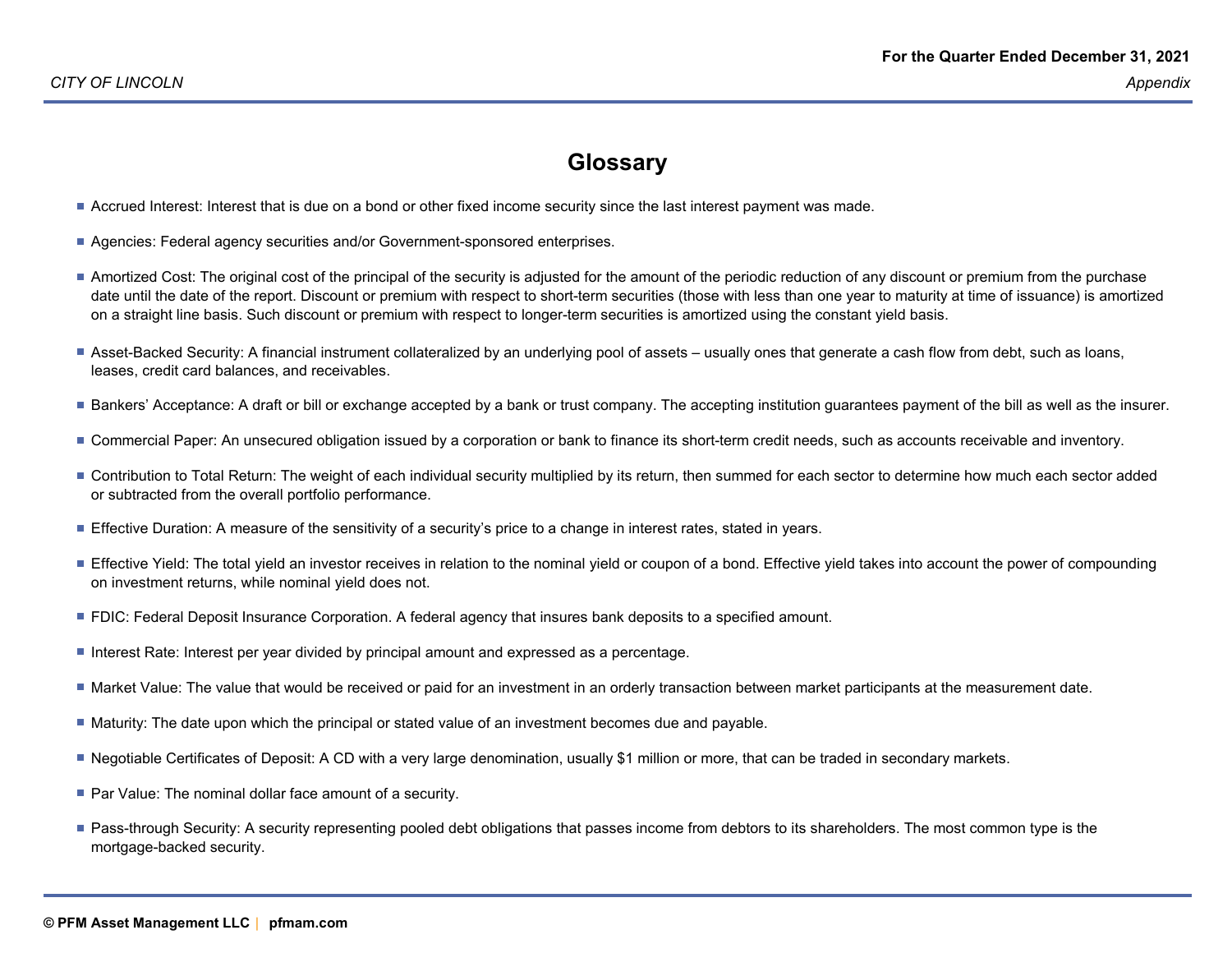#### **Glossary**

- Accrued Interest: Interest that is due on a bond or other fixed income security since the last interest payment was made.
- Agencies: Federal agency securities and/or Government-sponsored enterprises.
- Amortized Cost: The original cost of the principal of the security is adjusted for the amount of the periodic reduction of any discount or premium from the purchase date until the date of the report. Discount or premium with respect to short-term securities (those with less than one year to maturity at time of issuance) is amortizedon a straight line basis. Such discount or premium with respect to longer-term securities is amortized using the constant yield basis.
- Asset-Backed Security: A financial instrument collateralized by an underlying pool of assets usually ones that generate a cash flow from debt, such as loans,leases, credit card balances, and receivables.
- Bankers' Acceptance: A draft or bill or exchange accepted by a bank or trust company. The accepting institution guarantees payment of the bill as well as the insurer.
- Commercial Paper: An unsecured obligation issued by a corporation or bank to finance its short-term credit needs, such as accounts receivable and inventory.
- Contribution to Total Return: The weight of each individual security multiplied by its return, then summed for each sector to determine how much each sector added or subtracted from the overall portfolio performance.
- **Effective Duration: A measure of the sensitivity of a security's price to a change in interest rates, stated in years.**
- Effective Yield: The total yield an investor receives in relation to the nominal yield or coupon of a bond. Effective yield takes into account the power of compounding on investment returns, while nominal yield does not.
- **FIC: Federal Deposit Insurance Corporation. A federal agency that insures bank deposits to a specified amount.**
- Interest Rate: Interest per year divided by principal amount and expressed as a percentage.
- Market Value: The value that would be received or paid for an investment in an orderly transaction between market participants at the measurement date.
- Maturity: The date upon which the principal or stated value of an investment becomes due and payable.
- Negotiable Certificates of Deposit: A CD with a very large denomination, usually \$1 million or more, that can be traded in secondary markets.
- Par Value: The nominal dollar face amount of a security.
- Pass-through Security: A security representing pooled debt obligations that passes income from debtors to its shareholders. The most common type is the mortgage-backed security.